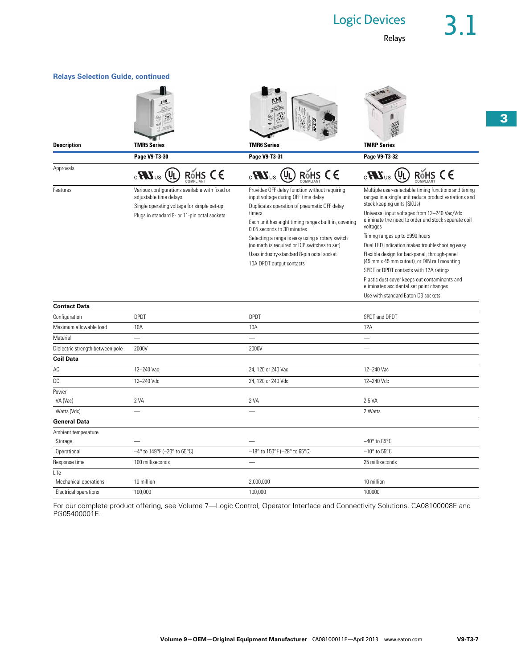Relays

| <b>Relays Selection Guide, continued</b> |                                                                                                                                                                        |                                                                                                                                                                                                                                                                                                                                                                                                                 |                                                                                                                                                                                                                                                                                                                                                                                                                                                                                                                                                                                                                                |
|------------------------------------------|------------------------------------------------------------------------------------------------------------------------------------------------------------------------|-----------------------------------------------------------------------------------------------------------------------------------------------------------------------------------------------------------------------------------------------------------------------------------------------------------------------------------------------------------------------------------------------------------------|--------------------------------------------------------------------------------------------------------------------------------------------------------------------------------------------------------------------------------------------------------------------------------------------------------------------------------------------------------------------------------------------------------------------------------------------------------------------------------------------------------------------------------------------------------------------------------------------------------------------------------|
|                                          |                                                                                                                                                                        |                                                                                                                                                                                                                                                                                                                                                                                                                 |                                                                                                                                                                                                                                                                                                                                                                                                                                                                                                                                                                                                                                |
| <b>Description</b>                       | <b>TMR5 Series</b>                                                                                                                                                     | <b>TMR6 Series</b>                                                                                                                                                                                                                                                                                                                                                                                              | <b>TMRP Series</b>                                                                                                                                                                                                                                                                                                                                                                                                                                                                                                                                                                                                             |
|                                          | Page V9-T3-30                                                                                                                                                          | Page V9-T3-31                                                                                                                                                                                                                                                                                                                                                                                                   | Page V9-T3-32                                                                                                                                                                                                                                                                                                                                                                                                                                                                                                                                                                                                                  |
| Approvals                                | ROHS CE<br>$_{\rm c}$ RV $_{\rm us}$ (UL                                                                                                                               | RoHS CE<br>(Ų <sub>L</sub><br>$_{\circ}$ UR                                                                                                                                                                                                                                                                                                                                                                     | ROHS CE<br>(Ų <sub>L</sub><br>$_{\circ}$ UR <sub>3</sub>                                                                                                                                                                                                                                                                                                                                                                                                                                                                                                                                                                       |
| Features                                 | Various configurations available with fixed or<br>adjustable time delays<br>Single operating voltage for simple set-up<br>Plugs in standard 8- or 11-pin octal sockets | Provides OFF delay function without requiring<br>input voltage during OFF time delay<br>Duplicates operation of pneumatic OFF delay<br>timers<br>Each unit has eight timing ranges built in, covering<br>0.05 seconds to 30 minutes<br>Selecting a range is easy using a rotary switch<br>(no math is required or DIP switches to set)<br>Uses industry-standard 8-pin octal socket<br>10A DPDT output contacts | Multiple user-selectable timing functions and timing<br>ranges in a single unit reduce product variations and<br>stock keeping units (SKUs)<br>Universal input voltages from 12-240 Vac/Vdc<br>eliminate the need to order and stock separate coil<br>voltages<br>Timing ranges up to 9990 hours<br>Dual LED indication makes troubleshooting easy<br>Flexible design for backpanel, through-panel<br>(45 mm x 45 mm cutout), or DIN rail mounting<br>SPDT or DPDT contacts with 12A ratings<br>Plastic dust cover keeps out contaminants and<br>eliminates accidental set point changes<br>Use with standard Eaton D3 sockets |
| <b>Contact Data</b>                      |                                                                                                                                                                        |                                                                                                                                                                                                                                                                                                                                                                                                                 |                                                                                                                                                                                                                                                                                                                                                                                                                                                                                                                                                                                                                                |
| Configuration                            | <b>DPDT</b>                                                                                                                                                            | <b>DPDT</b>                                                                                                                                                                                                                                                                                                                                                                                                     | SPDT and DPDT                                                                                                                                                                                                                                                                                                                                                                                                                                                                                                                                                                                                                  |
| Maximum allowable load                   | 10A                                                                                                                                                                    | 10A                                                                                                                                                                                                                                                                                                                                                                                                             | 12A                                                                                                                                                                                                                                                                                                                                                                                                                                                                                                                                                                                                                            |
| Material                                 |                                                                                                                                                                        |                                                                                                                                                                                                                                                                                                                                                                                                                 |                                                                                                                                                                                                                                                                                                                                                                                                                                                                                                                                                                                                                                |
| Dielectric strength between pole         | 2000V                                                                                                                                                                  | 2000V                                                                                                                                                                                                                                                                                                                                                                                                           |                                                                                                                                                                                                                                                                                                                                                                                                                                                                                                                                                                                                                                |
| <b>Coil Data</b>                         |                                                                                                                                                                        |                                                                                                                                                                                                                                                                                                                                                                                                                 |                                                                                                                                                                                                                                                                                                                                                                                                                                                                                                                                                                                                                                |
| AC                                       | 12-240 Vac                                                                                                                                                             | 24, 120 or 240 Vac                                                                                                                                                                                                                                                                                                                                                                                              | 12-240 Vac                                                                                                                                                                                                                                                                                                                                                                                                                                                                                                                                                                                                                     |
| DC                                       | 12-240 Vdc                                                                                                                                                             | 24, 120 or 240 Vdc                                                                                                                                                                                                                                                                                                                                                                                              | 12-240 Vdc                                                                                                                                                                                                                                                                                                                                                                                                                                                                                                                                                                                                                     |
| Power                                    |                                                                                                                                                                        |                                                                                                                                                                                                                                                                                                                                                                                                                 |                                                                                                                                                                                                                                                                                                                                                                                                                                                                                                                                                                                                                                |
| VA (Vac)                                 | 2 VA                                                                                                                                                                   | 2 VA                                                                                                                                                                                                                                                                                                                                                                                                            | 2.5 VA                                                                                                                                                                                                                                                                                                                                                                                                                                                                                                                                                                                                                         |
| Watts (Vdc)                              |                                                                                                                                                                        |                                                                                                                                                                                                                                                                                                                                                                                                                 | 2 Watts                                                                                                                                                                                                                                                                                                                                                                                                                                                                                                                                                                                                                        |
| <b>General Data</b>                      |                                                                                                                                                                        |                                                                                                                                                                                                                                                                                                                                                                                                                 |                                                                                                                                                                                                                                                                                                                                                                                                                                                                                                                                                                                                                                |
| Ambient temperature<br>Storage           |                                                                                                                                                                        |                                                                                                                                                                                                                                                                                                                                                                                                                 | $-40^\circ$ to 85 $\degree$ C                                                                                                                                                                                                                                                                                                                                                                                                                                                                                                                                                                                                  |
| Operational                              | -4° to 149°F (-20° to 65°C)                                                                                                                                            | $-18^{\circ}$ to 150°F (-28° to 65°C)                                                                                                                                                                                                                                                                                                                                                                           | $-10^{\circ}$ to 55 $^{\circ}$ C                                                                                                                                                                                                                                                                                                                                                                                                                                                                                                                                                                                               |
| Response time                            | 100 milliseconds                                                                                                                                                       |                                                                                                                                                                                                                                                                                                                                                                                                                 | 25 milliseconds                                                                                                                                                                                                                                                                                                                                                                                                                                                                                                                                                                                                                |
| Life                                     |                                                                                                                                                                        |                                                                                                                                                                                                                                                                                                                                                                                                                 |                                                                                                                                                                                                                                                                                                                                                                                                                                                                                                                                                                                                                                |
| Mechanical operations                    | 10 million                                                                                                                                                             | 2,000,000                                                                                                                                                                                                                                                                                                                                                                                                       | 10 million                                                                                                                                                                                                                                                                                                                                                                                                                                                                                                                                                                                                                     |
| Electrical operations                    | 100,000                                                                                                                                                                | 100,000                                                                                                                                                                                                                                                                                                                                                                                                         | 100000                                                                                                                                                                                                                                                                                                                                                                                                                                                                                                                                                                                                                         |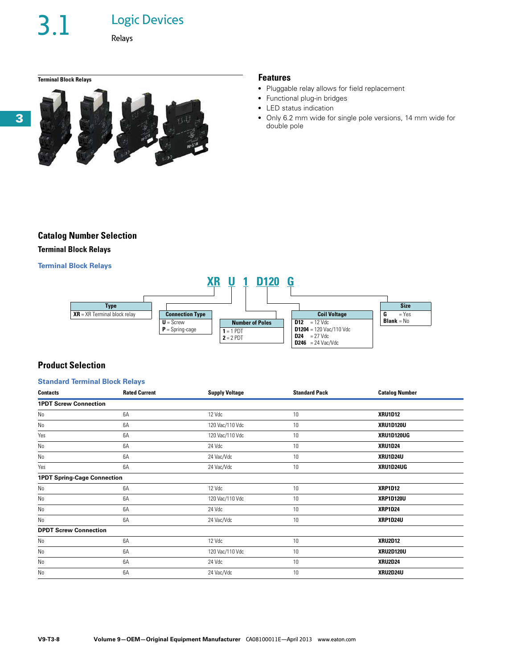3.1 Logic Devices

Relays

**Terminal Block Relays Features**



- Pluggable relay allows for field replacement
- Functional plug-in bridges
- LED status indication
- Only 6.2 mm wide for single pole versions, 14 mm wide for double pole

## **Catalog Number Selection**

## **Terminal Block Relays**

## **Terminal Block Relays**



## **Product Selection**

## **Standard Terminal Block Relays**

| <b>Contacts</b>                    | <b>Rated Current</b> | <b>Supply Voltage</b> | <b>Standard Pack</b> | <b>Catalog Number</b> |
|------------------------------------|----------------------|-----------------------|----------------------|-----------------------|
| <b>1PDT Screw Connection</b>       |                      |                       |                      |                       |
| No                                 | 6A                   | 12 Vdc                | 10                   | <b>XRU1D12</b>        |
| No                                 | 6A                   | 120 Vac/110 Vdc       | 10                   | <b>XRU1D120U</b>      |
| Yes                                | 6A                   | 120 Vac/110 Vdc       | 10                   | <b>XRU1D120UG</b>     |
| No                                 | 6A                   | 24 Vdc                | 10                   | <b>XRU1D24</b>        |
| No                                 | 6A                   | 24 Vac/Vdc            | 10                   | XRU1D24U              |
| Yes                                | 6A                   | 24 Vac/Vdc            | 10                   | XRU1D24UG             |
| <b>1PDT Spring-Cage Connection</b> |                      |                       |                      |                       |
| No                                 | 6A                   | 12 Vdc                | 10                   | <b>XRP1D12</b>        |
| No                                 | 6A                   | 120 Vac/110 Vdc       | 10                   | <b>XRP1D120U</b>      |
| No                                 | 6A                   | 24 Vdc                | 10                   | <b>XRP1D24</b>        |
| No                                 | 6A                   | 24 Vac/Vdc            | 10                   | <b>XRP1D24U</b>       |
| <b>DPDT Screw Connection</b>       |                      |                       |                      |                       |
| No                                 | 6A                   | 12 Vdc                | 10                   | <b>XRU2D12</b>        |
| No                                 | 6A                   | 120 Vac/110 Vdc       | 10                   | <b>XRU2D120U</b>      |
| No                                 | 6A                   | 24 Vdc                | 10                   | <b>XRU2D24</b>        |
| No                                 | 6A                   | 24 Vac/Vdc            | 10                   | XRU2D24U              |

**3**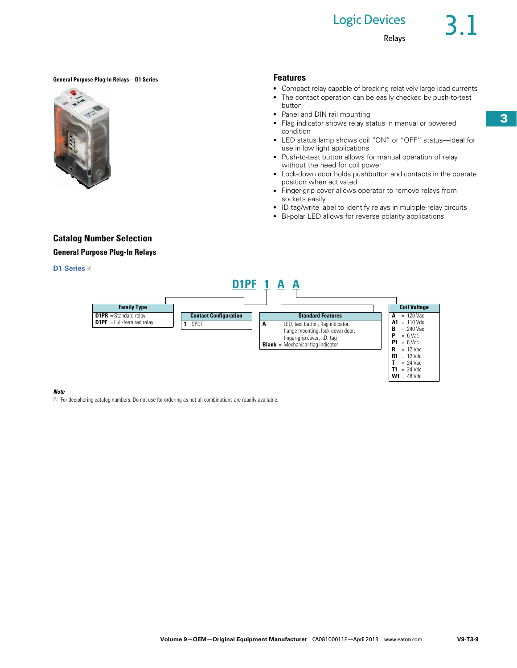## **Logic Devices**

## **General Purpose Plug-In Relays—D1 Series Features**



button

- Compact relay capable of breaking relatively large load currents
- The contact operation can be easily checked by push-to-test
- Panel and DIN rail mounting
- Flag indicator shows relay status in manual or powered condition
- LED status lamp shows coil "ON" or "OFF" status—ideal for use in low light applications
- Push-to-test button allows for manual operation of relay without the need for coil power
- Lock-down door holds pushbutton and contacts in the operate position when activated
- Finger-grip cover allows operator to remove relays from sockets easily
- ID tag/write label to identify relays in multiple-relay circuits
- Bi-polar LED allows for reverse polarity applications

## **Catalog Number Selection**

## **General Purpose Plug-In Relays**

## **D1 Series**  $0$



### *Note*

 $\circledcirc$  For deciphering catalog numbers. Do not use for ordering as not all combinations are readily available.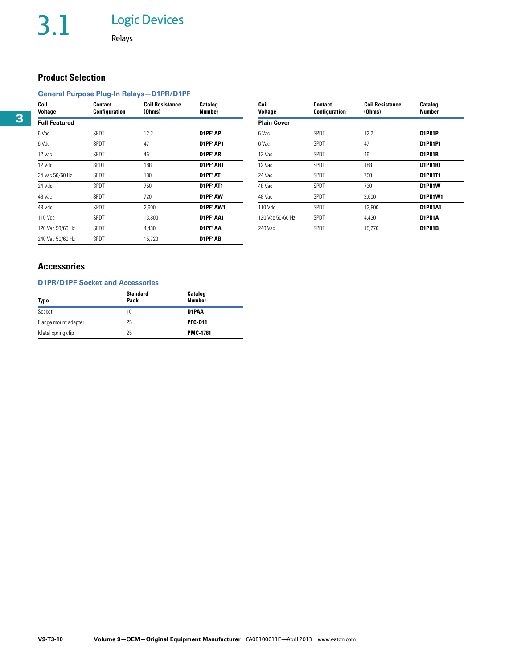## **Product Selection**

## **General Purpose Plug-In Relays—D1PR/D1PF**

| Coil<br><b>Voltage</b> | Contact<br>Configuration | <b>Coil Resistance</b><br>(Ohms) | Catalog<br>Number | Coil<br>Voltage    | <b>Contact</b><br><b>Configuration</b> | <b>Coil Resistance</b><br>(Ohms) | Catalog<br>Number |
|------------------------|--------------------------|----------------------------------|-------------------|--------------------|----------------------------------------|----------------------------------|-------------------|
| <b>Full Featured</b>   |                          |                                  |                   | <b>Plain Cover</b> |                                        |                                  |                   |
| 6 Vac                  | SPDT                     | 12.2                             | D1PF1AP           | 6 Vac              | SPDT                                   | 12.2                             | D1PR1P            |
| 6 Vdc                  | SPDT                     | 47                               | D1PF1AP1          | 6 Vac              | SPDT                                   | 47                               | <b>D1PR1P1</b>    |
| 12 Vac                 | <b>SPDT</b>              | 46                               | D1PF1AR           | 12 Vac             | SPDT                                   | 46                               | D1PR1R            |
| 12 Vdc                 | SPDT                     | 188                              | D1PF1AR1          | 12 Vac             | SPDT                                   | 188                              | D1PR1R1           |
| 24 Vac 50/60 Hz        | <b>SPDT</b>              | 180                              | D1PF1AT           | 24 Vac             | SPDT                                   | 750                              | <b>D1PR1T1</b>    |
| 24 Vdc                 | SPDT                     | 750                              | D1PF1AT1          | 48 Vac             | SPDT                                   | 720                              | D1PR1W            |
| 48 Vac                 | SPDT                     | 720                              | D1PF1AW           | 48 Vac             | SPDT                                   | 2,600                            | D1PR1W1           |
| 48 Vdc                 | SPDT                     | 2,600                            | D1PF1AW1          | 110 Vdc            | SPDT                                   | 13,800                           | D1PR1A1           |
| 110 Vdc                | <b>SPDT</b>              | 13,800                           | D1PF1AA1          | 120 Vac 50/60 Hz   | SPDT                                   | 4,430                            | D1PR1A            |
| 120 Vac 50/60 Hz       | <b>SPDT</b>              | 4,430                            | D1PF1AA           | 240 Vac            | SPDT                                   | 15,270                           | D1PR1B            |
| 240 Vac 50/60 Hz       | <b>SPDT</b>              | 15,720                           | D1PF1AB           |                    |                                        |                                  |                   |
|                        |                          |                                  |                   |                    |                                        |                                  |                   |

| Coil<br><b>Voltage</b> | Contact<br>Configuration | <b>Coil Resistance</b><br>(Ohms) | Catalog<br>Number |
|------------------------|--------------------------|----------------------------------|-------------------|
| <b>Plain Cover</b>     |                          |                                  |                   |
| 6 Vac                  | SPDT                     | 12.2                             | D1PR1P            |
| 6 Vac                  | SPDT                     | 47                               | D1PR1P1           |
| 12 Vac                 | SPDT                     | 46                               | D1PR1R            |
| 12 Vac                 | SPDT                     | 188                              | <b>D1PR1R1</b>    |
| 24 Vac                 | SPDT                     | 750                              | <b>D1PR1T1</b>    |
| 48 Vac                 | SPDT                     | 720                              | D1PR1W            |
| 48 Vac                 | SPDT                     | 2.600                            | D1PR1W1           |
| 110 Vdc                | SPDT                     | 13.800                           | <b>D1PR1A1</b>    |
| 120 Vac 50/60 Hz       | SPDT                     | 4.430                            | D1PR1A            |
| 240 Vac                | SPDT                     | 15.270                           | D1PR1B            |

## **Accessories**

## **D1PR/D1PF Socket and Accessories**

| Type                 | <b>Standard</b><br>Pack | <b>Catalog</b><br><b>Number</b> |
|----------------------|-------------------------|---------------------------------|
| Socket               | 10                      | D1PAA                           |
| Flange mount adapter | 25                      | <b>PFC-D11</b>                  |
| Metal spring clip    | 25                      | <b>PMC-1781</b>                 |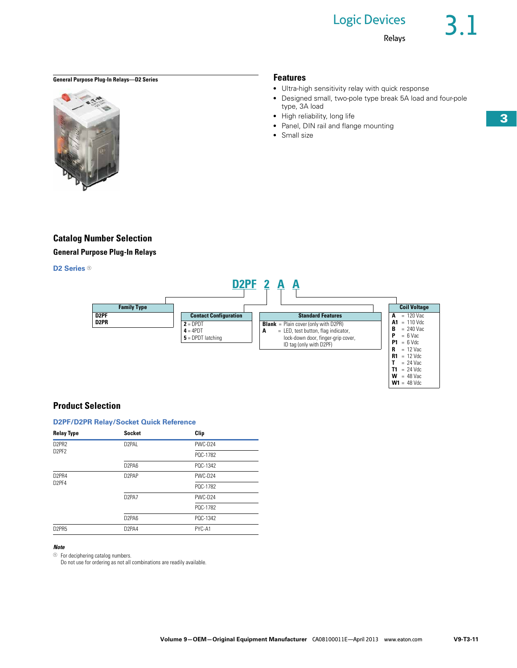● Designed small, two-pole type break 5A load and four-pole

• Ultra-high sensitivity relay with quick response

● Panel, DIN rail and flange mounting

type, 3A load ● High reliability, long life

• Small size

Relays

 $T = 24$  Vac **T1** = 24 Vdc  $W = 48$  Vac **W1** = 48 Vdc

## **General Purpose Plug-In Relays—D2 Series Features**



## **Catalog Number Selection**

**General Purpose Plug-In Relays**

## **D2 Series <sup>1</sup>**



## **Product Selection**

## **D2PF/D2PR Relay/Socket Quick Reference**

| <b>Relay Type</b>              | <b>Socket</b>                  | Clip     |
|--------------------------------|--------------------------------|----------|
| D <sub>2</sub> PR <sub>2</sub> | D <sub>2</sub> PAI             | PWC-D24  |
| D2PF2                          |                                | PQC-1782 |
|                                | D <sub>2</sub> PA <sub>6</sub> | POC-1342 |
| D2PR4                          | D <sub>2</sub> PAP             | PWC-D24  |
| D <sub>2</sub> PF4             |                                | PQC-1782 |
|                                | D <sub>2</sub> PA <sub>7</sub> | PWC-D24  |
|                                |                                | PQC-1782 |
|                                | D <sub>2</sub> PA <sub>6</sub> | PQC-1342 |
| D2PR5                          | D <sub>2</sub> PA4             | PYC-A1   |

## *Note*

<sup>1</sup> For deciphering catalog numbers.

Do not use for ordering as not all combinations are readily available.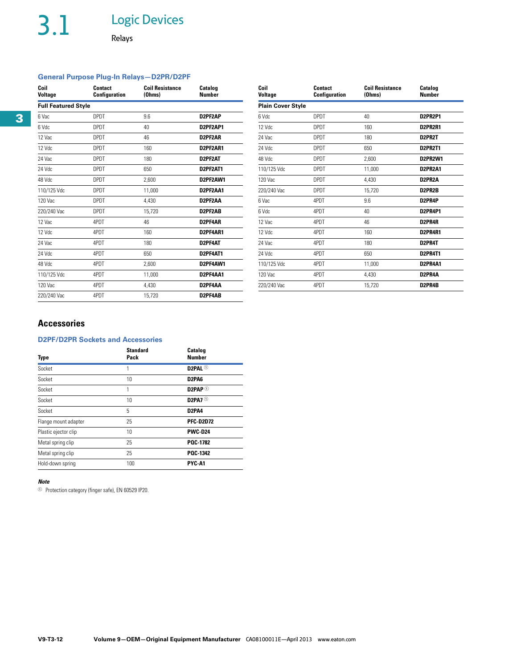# 3.1 Logic Devices

Relays

## **General Purpose Plug-In Relays—D2PR/D2PF**

| Coil<br><b>Voltage</b>     | Contact<br>Configuration | <b>Coil Resistance</b><br>(Ohms) | <b>Catalog</b><br><b>Number</b> | Coil<br>Voltage          | Contact<br>Configuration | <b>Coil Resistance</b><br>(Ohms) | Catalog<br><b>Number</b> |
|----------------------------|--------------------------|----------------------------------|---------------------------------|--------------------------|--------------------------|----------------------------------|--------------------------|
| <b>Full Featured Style</b> |                          |                                  |                                 | <b>Plain Cover Style</b> |                          |                                  |                          |
| 6 Vac                      | <b>DPDT</b>              | 9.6                              | D2PF2AP                         | 6 Vdc                    | <b>DPDT</b>              | 40                               | D2PR2P1                  |
| 6 Vdc                      | <b>DPDT</b>              | 40                               | D2PF2AP1                        | 12 Vdc                   | <b>DPDT</b>              | 160                              | D2PR2R1                  |
| 12 Vac                     | <b>DPDT</b>              | 46                               | D2PF2AR                         | 24 Vac                   | <b>DPDT</b>              | 180                              | D2PR2T                   |
| 12 Vdc                     | <b>DPDT</b>              | 160                              | D2PF2AR1                        | 24 Vdc                   | <b>DPDT</b>              | 650                              | D2PR2T1                  |
| 24 Vac                     | <b>DPDT</b>              | 180                              | D2PF2AT                         | 48 Vdc                   | <b>DPDT</b>              | 2,600                            | D2PR2W1                  |
| 24 Vdc                     | <b>DPDT</b>              | 650                              | D2PF2AT1                        | 110/125 Vdc              | <b>DPDT</b>              | 11,000                           | D2PR2A1                  |
| 48 Vdc                     | <b>DPDT</b>              | 2,600                            | D2PF2AW1                        | 120 Vac                  | <b>DPDT</b>              | 4,430                            | D2PR2A                   |
| 110/125 Vdc                | <b>DPDT</b>              | 11,000                           | D2PF2AA1                        | 220/240 Vac              | <b>DPDT</b>              | 15,720                           | D2PR2B                   |
| 120 Vac                    | <b>DPDT</b>              | 4,430                            | D2PF2AA                         | 6 Vac                    | 4PDT                     | 9.6                              | D2PR4P                   |
| 220/240 Vac                | <b>DPDT</b>              | 15,720                           | D2PF2AB                         | 6 Vdc                    | 4PDT                     | 40                               | D2PR4P1                  |
| 12 Vac                     | 4PDT                     | 46                               | D2PF4AR                         | 12 Vac                   | 4PDT                     | 46                               | D2PR4R                   |
| 12 Vdc                     | 4PDT                     | 160                              | D2PF4AR1                        | 12 Vdc                   | 4PDT                     | 160                              | D2PR4R1                  |
| 24 Vac                     | 4PDT                     | 180                              | D2PF4AT                         | 24 Vac                   | 4PDT                     | 180                              | D2PR4T                   |
| 24 Vdc                     | 4PDT                     | 650                              | D2PF4AT1                        | 24 Vdc                   | 4PDT                     | 650                              | D2PR4T1                  |
| 48 Vdc                     | 4PDT                     | 2,600                            | D2PF4AW1                        | 110/125 Vdc              | 4PDT                     | 11,000                           | D2PR4A1                  |
| 110/125 Vdc                | 4PDT                     | 11,000                           | D2PF4AA1                        | 120 Vac                  | 4PDT                     | 4,430                            | D2PR4A                   |
| 120 Vac                    | 4PDT                     | 4,430                            | D2PF4AA                         | 220/240 Vac              | 4PDT                     | 15,720                           | D2PR4B                   |
| 220/240 Vac                | 4PDT                     | 15,720                           | D2PF4AB                         |                          |                          |                                  |                          |

| Coil<br><b>Voltage</b>   | <b>Contact</b><br>Configuration | <b>Coil Resistance</b><br>(Ohms) | Catalog<br><b>Number</b> |
|--------------------------|---------------------------------|----------------------------------|--------------------------|
| <b>Plain Cover Style</b> |                                 |                                  |                          |
| 6 Vdc                    | <b>DPDT</b>                     | 40                               | D2PR2P1                  |
| 12 Vdc                   | DPDT                            | 160                              | D2PR2R1                  |
| 24 Vac                   | <b>DPDT</b>                     | 180                              | D2PR2T                   |
| 24 Vdc                   | DPDT                            | 650                              | <b>D2PR2T1</b>           |
| 48 Vdc                   | <b>DPDT</b>                     | 2,600                            | D2PR2W1                  |
| 110/125 Vdc              | DPDT                            | 11,000                           | <b>D2PR2A1</b>           |
| 120 Vac                  | <b>DPDT</b>                     | 4.430                            | D2PR2A                   |
| 220/240 Vac              | <b>DPDT</b>                     | 15,720                           | D2PR2B                   |
| 6 Vac                    | 4PDT                            | 9.6                              | D2PR4P                   |
| 6 Vdc                    | 4PDT                            | 40                               | D2PR4P1                  |
| 12 Vac                   | 4PDT                            | 46                               | D2PR4R                   |
| $12$ Vdc                 | 4PDT                            | 160                              | <b>D2PR4R1</b>           |
| 24 Vac                   | 4PDT                            | 180                              | D2PR4T                   |
| 24 Vdc                   | 4PDT                            | 650                              | <b>D2PR4T1</b>           |
| 110/125 Vdc              | 4PDT                            | 11,000                           | D2PR4A1                  |
| 120 Vac                  | 4PDT                            | 4,430                            | D2PR4A                   |
| 220/240 Vac              | 4PDT                            | 15,720                           | D2PR4B                   |

## **Accessories**

## **D2PF/D2PR Sockets and Accessories**

| <b>Type</b>          | <b>Standard</b><br>Pack | Catalog<br><b>Number</b>       |
|----------------------|-------------------------|--------------------------------|
| Socket               |                         | D2PAL <sup>1</sup>             |
| Socket               | 10                      | D <sub>2</sub> PA <sub>6</sub> |
| Socket               | 1                       | D2PAP $\, \circledcirc$        |
| Socket               | 10                      | D2PA7 $\circ$                  |
| Socket               | 5                       | D <sub>2</sub> PA <sub>4</sub> |
| Flange mount adapter | 25                      | <b>PFC-D2D72</b>               |
| Plastic ejector clip | 10                      | <b>PWC-D24</b>                 |
| Metal spring clip    | 25                      | <b>POC 1782</b>                |
| Metal spring clip    | 25                      | POC-1342                       |
| Hold-down spring     | 100                     | PYC-A1                         |

## *Note*

<sup>1</sup> Protection category (finger safe), EN 60529 IP20.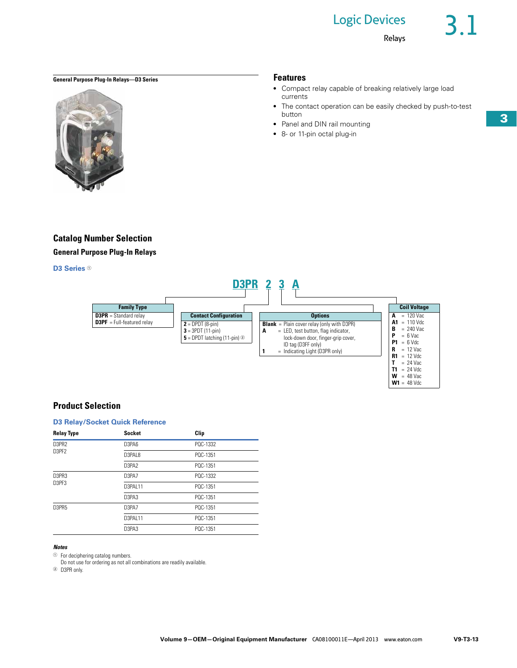## Logic Devices

Relays

 $W = 48$  Vac **W1** = 48 Vdc

## **General Purpose Plug-In Relays—D3 Series Features**



## **Catalog Number Selection**

**General Purpose Plug-In Relays**

## **D3 Series**  $0$



## **Product Selection**

## **D3 Relay/Socket Quick Reference**

| <b>Relay Type</b> | <b>Socket</b> | Clip     |  |
|-------------------|---------------|----------|--|
| D3PR2             | D3PA6         | POC-1332 |  |
| D3PF2             | D3PAL8        | POC-1351 |  |
|                   | D3PA2         | POC-1351 |  |
| D3PR3             | D3PA7         | POC-1332 |  |
| D3PF3             | D3PAI 11      | PQC-1351 |  |
|                   | D3PA3         | POC-1351 |  |
| D3PR5             | D3PA7         | POC-1351 |  |
|                   | D3PAI 11      | PQC-1351 |  |
|                   | D3PA3         | PQC-1351 |  |

### *Notes*

<sup>1</sup> For deciphering catalog numbers.

Do not use for ordering as not all combinations are readily available.

<sup>2</sup> D3PR only.

**3**

- Compact relay capable of breaking relatively large load currents
- The contact operation can be easily checked by push-to-test button
- Panel and DIN rail mounting
- 8- or 11-pin octal plug-in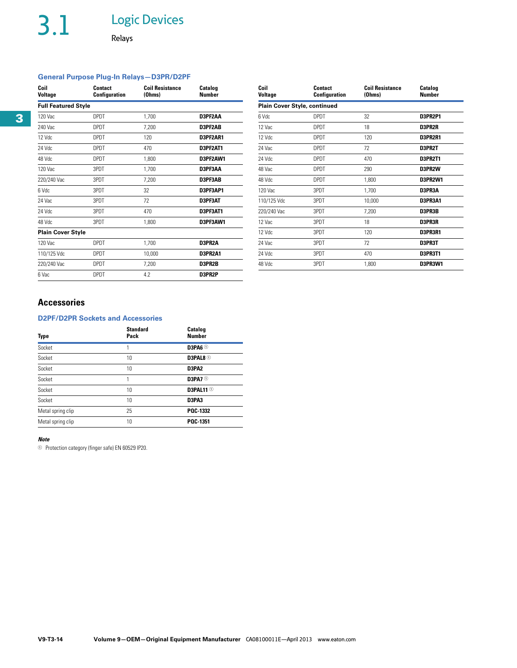# 3.1 Logic Devices

Relays

## **General Purpose Plug-In Relays—D3PR/D2PF**

| Coil<br><b>Voltage</b>     | <b>Contact</b><br><b>Configuration</b> | <b>Coil Resistance</b><br>(Ohms) | <b>Catalog</b><br><b>Number</b> | Coil<br>Voltage | <b>Contact</b><br>Configuration | <b>Coil Resistance</b><br>(Ohms) | <b>Catalog</b><br><b>Number</b> |
|----------------------------|----------------------------------------|----------------------------------|---------------------------------|-----------------|---------------------------------|----------------------------------|---------------------------------|
| <b>Full Featured Style</b> |                                        |                                  |                                 |                 | Plain Cover Style, continued    |                                  |                                 |
| 120 Vac                    | <b>DPDT</b>                            | 1,700                            | D3PF2AA                         | 6 Vdc           | <b>DPDT</b>                     | 32                               | <b>D3PR2P1</b>                  |
| 240 Vac                    | <b>DPDT</b>                            | 7,200                            | D3PF2AB                         | 12 Vac          | <b>DPDT</b>                     | 18                               | D3PR2R                          |
| 12 Vdc                     | <b>DPDT</b>                            | 120                              | D3PF2AR1                        | 12 Vdc          | <b>DPDT</b>                     | 120                              | D3PR2R1                         |
| 24 Vdc                     | <b>DPDT</b>                            | 470                              | D3PF2AT1                        | 24 Vac          | <b>DPDT</b>                     | 72                               | D3PR2T                          |
| 48 Vdc                     | <b>DPDT</b>                            | 1,800                            | D3PF2AW1                        | 24 Vdc          | <b>DPDT</b>                     | 470                              | D3PR2T1                         |
| 120 Vac                    | 3PDT                                   | 1,700                            | D3PF3AA                         | 48 Vac          | <b>DPDT</b>                     | 290                              | D3PR2W                          |
| 220/240 Vac                | 3PDT                                   | 7,200                            | D3PF3AB                         | 48 Vdc          | <b>DPDT</b>                     | 1,800                            | D3PR2W1                         |
| 6 Vdc                      | 3PDT                                   | 32                               | D3PF3AP1                        | 120 Vac         | 3PDT                            | 1,700                            | D3PR3A                          |
| 24 Vac                     | 3PDT                                   | 72                               | D3PF3AT                         | 110/125 Vdc     | 3PDT                            | 10,000                           | D3PR3A1                         |
| 24 Vdc                     | 3PDT                                   | 470                              | D3PF3AT1                        | 220/240 Vac     | 3PDT                            | 7,200                            | D3PR3B                          |
| 48 Vdc                     | 3PDT                                   | 1,800                            | D3PF3AW1                        | 12 Vac          | 3PDT                            | 18                               | D3PR3R                          |
| <b>Plain Cover Style</b>   |                                        |                                  |                                 | 12 Vdc          | 3PDT                            | 120                              | D3PR3R1                         |
| 120 Vac                    | <b>DPDT</b>                            | 1,700                            | D3PR2A                          | 24 Vac          | 3PDT                            | 72                               | D3PR3T                          |
| 110/125 Vdc                | <b>DPDT</b>                            | 10,000                           | D3PR2A1                         | 24 Vdc          | 3PDT                            | 470                              | D3PR3T1                         |
| 220/240 Vac                | <b>DPDT</b>                            | 7,200                            | D3PR2B                          | 48 Vdc          | 3PDT                            | 1,800                            | D3PR3W1                         |
| 6 Vac                      | <b>DPDT</b>                            | 4.2                              | D3PR2P                          |                 |                                 |                                  |                                 |

| Coil<br>Voltage                     | Contact<br>Configuration | <b>Coil Resistance</b><br>(Ohms) | Catalog<br><b>Number</b> |
|-------------------------------------|--------------------------|----------------------------------|--------------------------|
| <b>Plain Cover Style, continued</b> |                          |                                  |                          |
| 6 Vdc                               | <b>DPDT</b>              | 32                               | D3PR2P1                  |
| 12 Vac                              | <b>DPDT</b>              | 18                               | D3PR2R                   |
| 12 Vdc                              | <b>DPDT</b>              | 120                              | D3PR2R1                  |
| 24 Vac                              | <b>DPDT</b>              | 72                               | D3PR2T                   |
| 24 Vdc                              | <b>DPDT</b>              | 470                              | D3PR2T1                  |
| 48 Vac                              | <b>DPDT</b>              | 290                              | D3PR2W                   |
| 48 Vdc                              | <b>DPDT</b>              | 1,800                            | <b>D3PR2W1</b>           |
| 120 Vac                             | 3PDT                     | 1,700                            | D3PR3A                   |
| 110/125 Vdc                         | 3PDT                     | 10,000                           | D3PR3A1                  |
| 220/240 Vac                         | 3PDT                     | 7,200                            | D3PR3B                   |
| 12 Vac                              | 3PDT                     | 18                               | D3PR3R                   |
| 12 Vdc                              | 3PDT                     | 120                              | D3PR3R1                  |
| 24 Vac                              | 3PDT                     | 72                               | D3PR3T                   |
| 24 Vdc                              | 3PDT                     | 470                              | D3PR3T1                  |
| 48 Vdc                              | 3PDT                     | 1,800                            | <b>D3PR3W1</b>           |

## **Accessories**

## **D2PF/D2PR Sockets and Accessories**

| Type              | <b>Standard</b><br>Pack | Catalog<br><b>Number</b> |
|-------------------|-------------------------|--------------------------|
| Socket            | 1                       | D3PA6 <sup>1</sup>       |
| Socket            | 10                      | D3PAL8 <sup>1</sup>      |
| Socket            | 10                      | D3PA2                    |
| Socket            | 1                       | D3PA7 <sup>1</sup>       |
| Socket            | 10                      | D3PAL11 <sup>①</sup>     |
| Socket            | 10                      | D3PA3                    |
| Metal spring clip | 25                      | POC-1332                 |
| Metal spring clip | 10                      | POC 1351                 |

## *Note*

 $10$  Protection category (finger safe) EN 60529 IP20.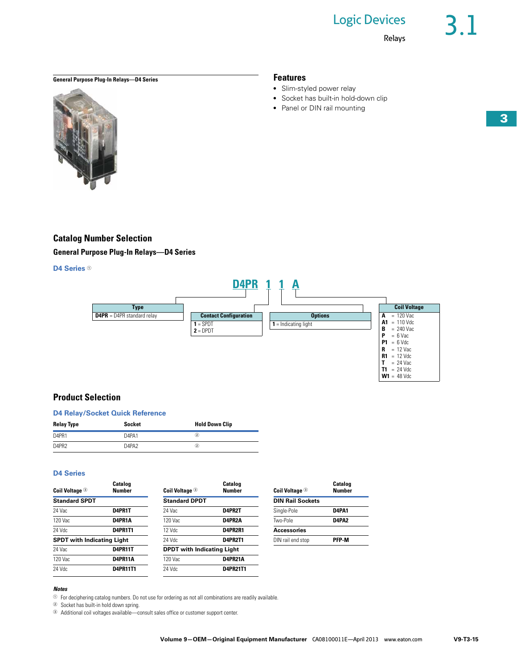## Logic Devices

• Slim-styled power relay

• Socket has built-in hold-down clip ● Panel or DIN rail mounting

Relays

## **General Purpose Plug-In Relays—D4 Series Features**



## **Catalog Number Selection**

**General Purpose Plug-In Relays—D4 Series**

## **D4 Series**  $0$



## **Product Selection**

| <b>D4 Relay/Socket Quick Reference</b> |                   |                       |  |  |
|----------------------------------------|-------------------|-----------------------|--|--|
| <b>Relay Type</b>                      | Socket            | <b>Hold Down Clip</b> |  |  |
| D <sub>4</sub> PR <sub>1</sub>         | D4PA1             | $^\mathrm{(2)}$       |  |  |
| D <sub>4</sub> PR <sub>2</sub>         | D4PA <sub>2</sub> | $\bf{(2)}$            |  |  |

## **D4 Series**

| Coil Voltage <sup>3</sup>         | Catalog<br><b>Number</b> | <b>Coil Voltage <sup>3</sup></b>  | <b>Catalog</b><br><b>Number</b> | <b>Coil Voltage <sup>3</sup></b> | Catalog<br><b>Number</b> |
|-----------------------------------|--------------------------|-----------------------------------|---------------------------------|----------------------------------|--------------------------|
| <b>Standard SPDT</b>              |                          | <b>Standard DPDT</b>              |                                 | <b>DIN Rail Sockets</b>          |                          |
| 24 Vac                            | D4PR1T                   | 24 Vac                            | D4PR2T                          | Single-Pole                      | D4PA1                    |
| 120 Vac                           | D4PR1A                   | 120 Vac                           | D4PR2A                          | Two-Pole                         | D4PA2                    |
| 24 Vdc                            | <b>D4PR1T1</b>           | 12 Vdc                            | D4PR2R1                         | <b>Accessories</b>               |                          |
| <b>SPDT with Indicating Light</b> |                          | 24 Vdc                            | D4PR2T1                         | DIN rail end stop                | <b>PFP-M</b>             |
| 24 Vac                            | D4PR11T                  | <b>DPDT</b> with Indicating Light |                                 |                                  |                          |
| 120 Vac                           | D4PR11A                  | 120 Vac                           | D4PR21A                         |                                  |                          |
| 24 Vdc                            | <b>D4PR11T1</b>          | 24 Vdc                            | <b>D4PR21T1</b>                 |                                  |                          |

## *Notes*

 $10$  For deciphering catalog numbers. Do not use for ordering as not all combinations are readily available.

<sup>2</sup> Socket has built-in hold down spring.

<sup>3</sup> Additional coil voltages available—consult sales office or customer support center.

**T1** = 24 Vdc **W1** = 48 Vdc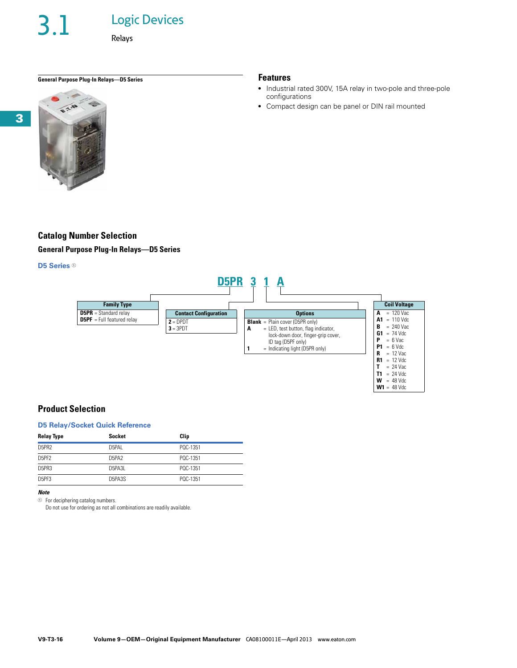Relays

## **General Purpose Plug-In Relays—D5 Series Features**



## **Catalog Number Selection**

**General Purpose Plug-In Relays—D5 Series**

## **D5 Series**  $0$



## **Product Selection**

## **D5 Relay/Socket Quick Reference**

| <b>Relay Type</b> | <b>Socket</b>                  | Clip     |
|-------------------|--------------------------------|----------|
| D5PR2             | D5PAI                          | POC-1351 |
| D5PF2             | D <sub>5</sub> PA <sub>2</sub> | POC-1351 |
| D5PR3             | D5PA3L                         | POC-1351 |
| D5PF3             | D5PA3S                         | POC-1351 |

## *Note*

 $\circledcirc$  For deciphering catalog numbers.

Do not use for ordering as not all combinations are readily available.

• Industrial rated 300V, 15A relay in two-pole and three-pole configurations

**W1** = 48 Vdc

• Compact design can be panel or DIN rail mounted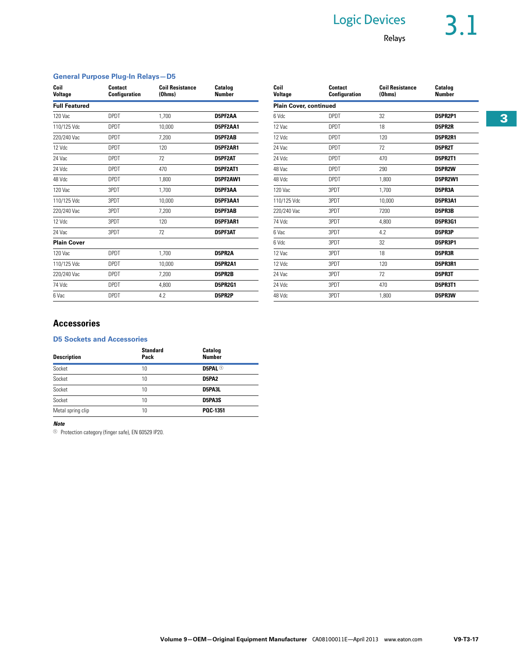# Logic Devices 3.1

## Relays

## **General Purpose Plug-In Relays—D5**

| Coil<br>Voltage      | <b>Contact</b><br>Configuration | <b>Coil Resistance</b><br>(Ohms) | Catalog<br><b>Number</b> | Coil<br><b>Voltage</b>        | <b>Contact</b><br><b>Configuration</b> | <b>Coil Resistance</b><br>(Ohms) | Catalog<br><b>Number</b> |
|----------------------|---------------------------------|----------------------------------|--------------------------|-------------------------------|----------------------------------------|----------------------------------|--------------------------|
| <b>Full Featured</b> |                                 |                                  |                          | <b>Plain Cover, continued</b> |                                        |                                  |                          |
| 120 Vac              | <b>DPDT</b>                     | 1,700                            | D5PF2AA                  | 6 Vdc                         | <b>DPDT</b>                            | 32                               | D5PR2P1                  |
| 110/125 Vdc          | <b>DPDT</b>                     | 10,000                           | D5PF2AA1                 | 12 Vac                        | <b>DPDT</b>                            | 18                               | D5PR2R                   |
| 220/240 Vac          | <b>DPDT</b>                     | 7.200                            | D5PF2AB                  | 12 Vdc                        | <b>DPDT</b>                            | 120                              | D5PR2R1                  |
| 12 Vdc               | <b>DPDT</b>                     | 120                              | D5PF2AR1                 | 24 Vac                        | <b>DPDT</b>                            | 72                               | D5PR2T                   |
| 24 Vac               | <b>DPDT</b>                     | 72                               | D5PF2AT                  | 24 Vdc                        | <b>DPDT</b>                            | 470                              | D5PR2T1                  |
| 24 Vdc               | <b>DPDT</b>                     | 470                              | D5PF2AT1                 | 48 Vac                        | <b>DPDT</b>                            | 290                              | D5PR2W                   |
| 48 Vdc               | <b>DPDT</b>                     | 1,800                            | D5PF2AW1                 | 48 Vdc                        | <b>DPDT</b>                            | 1,800                            | D5PR2W1                  |
| 120 Vac              | 3PDT                            | 1.700                            | D5PF3AA                  | 120 Vac                       | 3PDT                                   | 1.700                            | D5PR3A                   |
| 110/125 Vdc          | 3PDT                            | 10,000                           | D5PF3AA1                 | 110/125 Vdc                   | 3PDT                                   | 10,000                           | D5PR3A1                  |
| 220/240 Vac          | 3PDT                            | 7,200                            | D5PF3AB                  | 220/240 Vac                   | 3PDT                                   | 7200                             | D5PR3B                   |
| 12 Vdc               | 3PDT                            | 120                              | D5PF3AR1                 | 74 Vdc                        | 3PDT                                   | 4,800                            | <b>D5PR3G1</b>           |
| 24 Vac               | 3PDT                            | 72                               | D5PF3AT                  | 6 Vac                         | 3PDT                                   | 4.2                              | D5PR3P                   |
| <b>Plain Cover</b>   |                                 |                                  |                          | 6 Vdc                         | 3PDT                                   | 32                               | D5PR3P1                  |
| 120 Vac              | <b>DPDT</b>                     | 1.700                            | D5PR2A                   | 12 Vac                        | 3PDT                                   | 18                               | D5PR3R                   |
| 110/125 Vdc          | <b>DPDT</b>                     | 10,000                           | D5PR2A1                  | 12 Vdc                        | 3PDT                                   | 120                              | D5PR3R1                  |
| 220/240 Vac          | <b>DPDT</b>                     | 7.200                            | D5PR2B                   | 24 Vac                        | 3PDT                                   | 72                               | D5PR3T                   |
| 74 Vdc               | <b>DPDT</b>                     | 4,800                            | <b>D5PR2G1</b>           | 24 Vdc                        | 3PDT                                   | 470                              | D5PR3T1                  |
| 6 Vac                | <b>DPDT</b>                     | 4.2                              | D5PR2P                   | 48 Vdc                        | 3PDT                                   | 1,800                            | D5PR3W                   |

| Coil<br><b>Voltage</b>        | <b>Contact</b><br><b>Coil Resistance</b><br>Configuration<br>(Ohms) |        | Catalog<br><b>Number</b> |
|-------------------------------|---------------------------------------------------------------------|--------|--------------------------|
| <b>Plain Cover, continued</b> |                                                                     |        |                          |
| 6 Vdc                         | <b>DPDT</b>                                                         | 32     | <b>D5PR2P1</b>           |
| 12 Vac                        | <b>DPDT</b>                                                         | 18     | D5PR2R                   |
| 12 Vdc                        | <b>DPDT</b>                                                         | 120    | <b>D5PR2R1</b>           |
| 24 Vac                        | <b>DPDT</b>                                                         | 72     | D5PR2T                   |
| 24 Vdc                        | <b>DPDT</b>                                                         | 470    | D5PR2T1                  |
| 48 Vac                        | <b>DPDT</b>                                                         | 290    | D5PR2W                   |
| 48 Vdc                        | <b>DPDT</b>                                                         | 1,800  | <b>D5PR2W1</b>           |
| 120 Vac                       | 3PDT                                                                | 1.700  | D5PR3A                   |
| 110/125 Vdc                   | 3PDT                                                                | 10,000 | <b>D5PR3A1</b>           |
| 220/240 Vac                   | 3PDT                                                                | 7200   | D5PR3B                   |
| 74 Vdc                        | 3PDT                                                                | 4.800  | <b>D5PR3G1</b>           |
| 6 Vac                         | 3PDT                                                                | 4.2    | D5PR3P                   |
| 6 Vdc                         | 3PDT                                                                | 32     | <b>D5PR3P1</b>           |
| 12 Vac                        | 3PDT                                                                | 18     | D5PR3R                   |
| 12 Vdc                        | 3PDT                                                                | 120    | D5PR3R1                  |
| 24 Vac                        | 3PDT                                                                | 72     | D5PR3T                   |
| 24 Vdc                        | 3PDT                                                                | 470    | <b>D5PR3T1</b>           |
| 48 Vdc                        | 3PDT                                                                | 1.800  | D5PR3W                   |

## **Accessories**

## **D5 Sockets and Accessories**

| <b>Description</b> | <b>Standard</b><br>Pack | Catalog<br><b>Number</b> |
|--------------------|-------------------------|--------------------------|
| Socket             | 10                      | D5PAL <sup>1</sup>       |
| Socket             | 10                      | <b>D5PA2</b>             |
| Socket             | 10                      | D5PA3L                   |
| Socket             | 10                      | D5PA3S                   |
| Metal spring clip  | 10                      | POC-1351                 |

## *Note*

<sup>1</sup> Protection category (finger safe), EN 60529 IP20.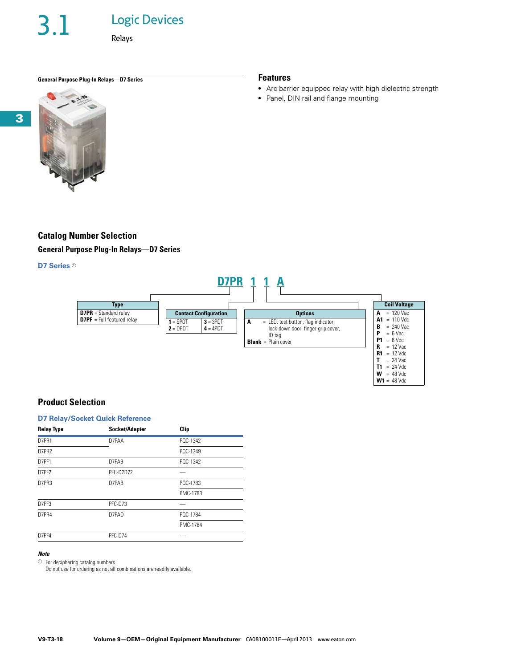## Logic Devices

Relays

## **General Purpose Plug-In Relays—D7 Series Features**



## **Catalog Number Selection**

**General Purpose Plug-In Relays—D7 Series**

## **D7 Series**  $0$



## **Product Selection**

## **D7 Relay/Socket Quick Reference**

| <b>Relay Type</b> | Socket/Adapter | Clip     |
|-------------------|----------------|----------|
| D7PR1             | D7PAA          | PQC-1342 |
| D7PR2             |                | PQC-1349 |
| D7PF1             | D7PA9          | POC-1342 |
| D7PF2             | PFC-D2D72      |          |
| D7PR3             | D7PAB          | PQC-1783 |
|                   |                | PMC-1783 |
| D7PF3             | PFC-D73        |          |
| D7PR4             | D7PAD          | PQC-1784 |
|                   |                | PMC-1784 |
| D7PF4             | PFC-D74        |          |

## *Note*

 $\circledcirc$  For deciphering catalog numbers.

Do not use for ordering as not all combinations are readily available.

• Arc barrier equipped relay with high dielectric strength

**T1** = 24 Vdc **W** = 48 Vdc **W1** = 48 Vdc

● Panel, DIN rail and flange mounting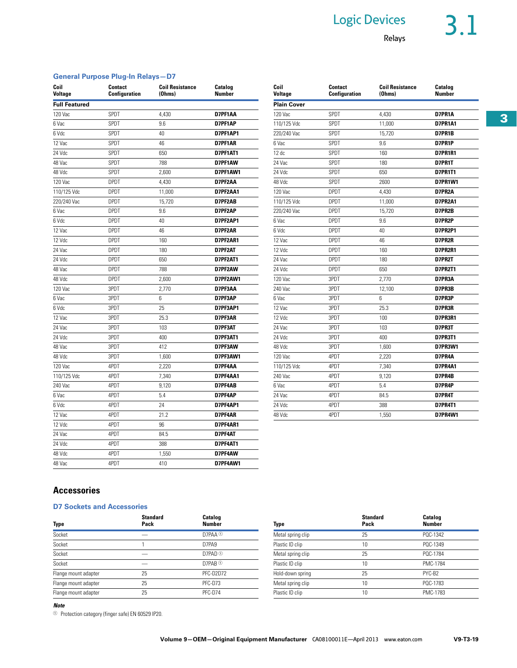# Logic Devices 3.1

## Relays

## **General Purpose Plug-In Relays—D7**

| Coil<br><b>Voltage</b> | <b>Contact</b><br><b>Configuration</b> | <b>Coil Resistance</b><br>(Ohms) | Catalog<br><b>Number</b> | Coil<br><b>Voltage</b> | <b>Contact</b><br><b>Configuration</b> | <b>Coil Resistance</b><br>(Ohms) | Catalog<br><b>Number</b> |
|------------------------|----------------------------------------|----------------------------------|--------------------------|------------------------|----------------------------------------|----------------------------------|--------------------------|
| <b>Full Featured</b>   |                                        |                                  |                          | <b>Plain Cover</b>     |                                        |                                  |                          |
| 120 Vac                | SPDT                                   | 4,430                            | D7PF1AA                  | 120 Vac                | SPDT                                   | 4,430                            | D7PR1A                   |
| 6 Vac                  | SPDT                                   | 9.6                              | D7PF1AP                  | 110/125 Vdc            | SPDT                                   | 11,000                           | D7PR1A1                  |
| 6 Vdc                  | SPDT                                   | 40                               | D7PF1AP1                 | 220/240 Vac            | SPDT                                   | 15.720                           | D7PR1B                   |
| 12 Vac                 | SPDT                                   | 46                               | D7PF1AR                  | 6 Vac                  | SPDT                                   | 9.6                              | D7PR1P                   |
| 24 Vdc                 | SPDT                                   | 650                              | D7PF1AT1                 | 12 dc                  | SPDT                                   | 160                              | <b>D7PR1R1</b>           |
| 48 Vac                 | SPDT                                   | 788                              | D7PF1AW                  | 24 Vac                 | SPDT                                   | 180                              | D7PR1T                   |
| 48 Vdc                 | SPDT                                   | 2,600                            | D7PF1AW1                 | 24 Vdc                 | SPDT                                   | 650                              | <b>D7PR1T1</b>           |
| 120 Vac                | <b>DPDT</b>                            | 4,430                            | D7PF2AA                  | 48 Vdc                 | SPDT                                   | 2600                             | D7PR1W1                  |
| 110/125 Vdc            | <b>DPDT</b>                            | 11,000                           | D7PF2AA1                 | 120 Vac                | <b>DPDT</b>                            | 4,430                            | D7PR2A                   |
| 220/240 Vac            | <b>DPDT</b>                            | 15,720                           | D7PF2AB                  | 110/125 Vdc            | <b>DPDT</b>                            | 11,000                           | D7PR2A1                  |
| 6 Vac                  | <b>DPDT</b>                            | 9.6                              | D7PF2AP                  | 220/240 Vac            | <b>DPDT</b>                            | 15,720                           | D7PR2B                   |
| 6 Vdc                  | <b>DPDT</b>                            | 40                               | D7PF2AP1                 | 6 Vac                  | <b>DPDT</b>                            | 9.6                              | D7PR2P                   |
| 12 Vac                 | <b>DPDT</b>                            | 46                               | D7PF2AR                  | 6 Vdc                  | <b>DPDT</b>                            | 40                               | D7PR2P1                  |
| 12 Vdc                 | <b>DPDT</b>                            | 160                              | D7PF2AR1                 | 12 Vac                 | <b>DPDT</b>                            | 46                               | D7PR2R                   |
| 24 Vac                 | <b>DPDT</b>                            | 180                              | D7PF2AT                  | 12 Vdc                 | <b>DPDT</b>                            | 160                              | D7PR2R1                  |
| 24 Vdc                 | <b>DPDT</b>                            | 650                              | D7PF2AT1                 | 24 Vac                 | <b>DPDT</b>                            | 180                              | D7PR2T                   |
| 48 Vac                 | <b>DPDT</b>                            | 788                              | D7PF2AW                  | 24 Vdc                 | <b>DPDT</b>                            | 650                              | <b>D7PR2T1</b>           |
| 48 Vdc                 | <b>DPDT</b>                            | 2,600                            | D7PF2AW1                 | 120 Vac                | 3PDT                                   | 2,770                            | D7PR3A                   |
| 120 Vac                | 3PDT                                   | 2,770                            | D7PF3AA                  | 240 Vac                | 3PDT                                   | 12,100                           | D7PR3B                   |
| 6 Vac                  | 3PDT                                   | 6                                | D7PF3AP                  | 6 Vac                  | 3PDT                                   | $6\phantom{a}$                   | D7PR3P                   |
| 6 Vdc                  | 3PDT                                   | 25                               | D7PF3AP1                 | 12 Vac                 | 3PDT                                   | 25.3                             | D7PR3R                   |
| 12 Vac                 | 3PDT                                   | 25.3                             | D7PF3AR                  | 12 Vdc                 | 3PDT                                   | 100                              | D7PR3R1                  |
| 24 Vac                 | 3PDT                                   | 103                              | D7PF3AT                  | 24 Vac                 | 3PDT                                   | 103                              | D7PR3T                   |
| 24 Vdc                 | 3PDT                                   | 400                              | D7PF3AT1                 | 24 Vdc                 | 3PDT                                   | 400                              | <b>D7PR3T1</b>           |
| 48 Vac                 | 3PDT                                   | 412                              | D7PF3AW                  | 48 Vdc                 | 3PDT                                   | 1,600                            | D7PR3W1                  |
| 48 Vdc                 | 3PDT                                   | 1,600                            | D7PF3AW1                 | 120 Vac                | 4PDT                                   | 2,220                            | D7PR4A                   |
| 120 Vac                | 4PDT                                   | 2,220                            | D7PF4AA                  | 110/125 Vdc            | 4PDT                                   | 7,340                            | D7PR4A1                  |
| 110/125 Vdc            | 4PDT                                   | 7,340                            | D7PF4AA1                 | 240 Vac                | 4PDT                                   | 9,120                            | D7PR4B                   |
| 240 Vac                | 4PDT                                   | 9,120                            | D7PF4AB                  | 6 Vac                  | 4PDT                                   | 5.4                              | D7PR4P                   |
| 6 Vac                  | 4PDT                                   | 5.4                              | D7PF4AP                  | 24 Vac                 | 4PDT                                   | 84.5                             | D7PR4T                   |
| 6 Vdc                  | 4PDT                                   | 24                               | D7PF4AP1                 | 24 Vdc                 | 4PDT                                   | 388                              | <b>D7PR4T1</b>           |
| 12 Vac                 | 4PDT                                   | 21.2                             | D7PF4AR                  | 48 Vdc                 | 4PDT                                   | 1,550                            | D7PR4W1                  |
| 12 Vdc                 | 4PDT                                   | 96                               | D7PF4AR1                 |                        |                                        |                                  |                          |
| 24 Vac                 | 4PDT                                   | 84.5                             | D7PF4AT                  |                        |                                        |                                  |                          |
| 24 Vdc                 | 4PDT                                   | 388                              | D7PF4AT1                 |                        |                                        |                                  |                          |
| 48 Vdc                 | 4PDT                                   | 1,550                            | D7PF4AW                  |                        |                                        |                                  |                          |
| 48 Vac                 | 4PDT                                   | 410                              | D7PF4AW1                 |                        |                                        |                                  |                          |

| 12 <sub>dc</sub> | SPDT        | 160    | <b>D7PR1R1</b> |
|------------------|-------------|--------|----------------|
| 24 Vac           | SPDT        | 180    | D7PR1T         |
| 24 Vdc           | <b>SPDT</b> | 650    | <b>D7PR1T1</b> |
| 48 Vdc           | SPDT        | 2600   | <b>D7PR1W1</b> |
| 120 Vac          | <b>DPDT</b> | 4,430  | D7PR2A         |
| 110/125 Vdc      | <b>DPDT</b> | 11,000 | <b>D7PR2A1</b> |
| 220/240 Vac      | <b>DPDT</b> | 15,720 | D7PR2B         |
| 6 Vac            | <b>DPDT</b> | 9.6    | D7PR2P         |
| 6 Vdc            | <b>DPDT</b> | 40     | <b>D7PR2P1</b> |
| 12 Vac           | <b>DPDT</b> | 46     | D7PR2R         |
| 12 Vdc           | <b>DPDT</b> | 160    | <b>D7PR2R1</b> |
| 24 Vac           | <b>DPDT</b> | 180    | D7PR2T         |
| 24 Vdc           | <b>DPDT</b> | 650    | <b>D7PR2T1</b> |
| 120 Vac          | 3PDT        | 2,770  | D7PR3A         |
| 240 Vac          | 3PDT        | 12,100 | D7PR3B         |
| 6 Vac            | 3PDT        | 6      | D7PR3P         |
| 12 Vac           | 3PDT        | 25.3   | D7PR3R         |
| 12 Vdc           | 3PDT        | 100    | D7PR3R1        |
| 24 Vac           | 3PDT        | 103    | D7PR3T         |
| 24 Vdc           | 3PDT        | 400    | D7PR3T1        |
| 48 Vdc           | 3PDT        | 1,600  | <b>D7PR3W1</b> |
| 120 Vac          | 4PDT        | 2,220  | D7PR4A         |
| 110/125 Vdc      | 4PDT        | 7,340  | D7PR4A1        |
| 240 Vac          | 4PDT        | 9,120  | D7PR4B         |
| 6 Vac            | 4PDT        | 5.4    | D7PR4P         |
| 24 Vac           | 4PDT        | 84.5   | D7PR4T         |
| 24 Vdc           | 4PDT        | 388    | <b>D7PR4T1</b> |
| 48 Vdc           | 4PDT        | 1.550  | <b>D7PR4W1</b> |

## **Accessories**

## **D7 Sockets and Accessories**

| Type                 | Standard<br>Pack | <b>Catalog</b><br><b>Number</b> | Type              | <b>Standard</b><br>Pack | Catalog<br><b>Number</b> |
|----------------------|------------------|---------------------------------|-------------------|-------------------------|--------------------------|
| Socket               |                  | D7PAA <sup>1</sup>              | Metal spring clip | 25                      | POC-1342                 |
| Socket               |                  | D7PA9                           | Plastic ID clip   | 10                      | PQC-1349                 |
| Socket               | —                | D7PAD ①                         | Metal spring clip | 25                      | PQC-1784                 |
| Socket               |                  | D7PAB <sup>①</sup>              | Plastic ID clip   | 10                      | PMC-1784                 |
| Flange mount adapter | 25               | PFC-D2D72                       | Hold-down spring  | 25                      | PYC-B2                   |
| Flange mount adapter | 25               | PFC-D73                         | Metal spring clip | 10                      | PQC-1783                 |
| Flange mount adapter | 25               | PFC-D74                         | Plastic ID clip   | 10                      | PMC-1783                 |

### *Note*

<sup>1</sup> Protection category (finger safe) EN 60529 IP20.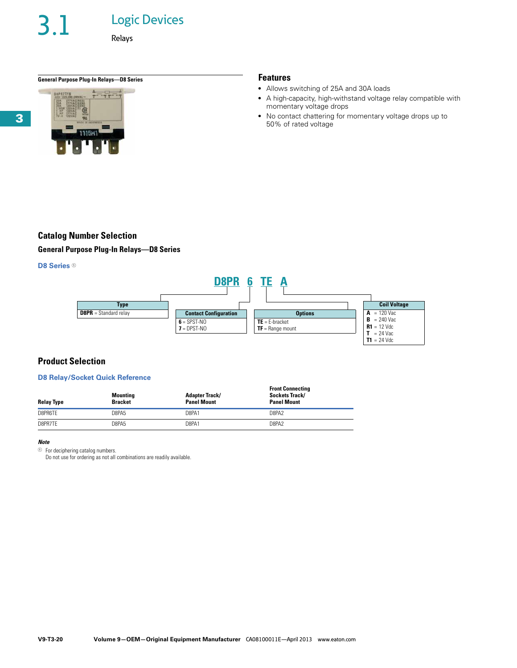## Logic Devices

Relays

## **General Purpose Plug-In Relays—D8 Series Features**



- Allows switching of 25A and 30A loads
- A high-capacity, high-withstand voltage relay compatible with momentary voltage drops
- No contact chattering for momentary voltage drops up to 50% of rated voltage

## **Catalog Number Selection**

**General Purpose Plug-In Relays—D8 Series**

## **D8 Series**  $0$



## **Product Selection**

## **D8 Relay/Socket Quick Reference**

| <b>Relay Type</b> | <b>Mounting</b><br><b>Bracket</b> | <b>Adapter Track/</b><br><b>Panel Mount</b> | <b>Front Connecting</b><br>Sockets Track/<br><b>Panel Mount</b> |
|-------------------|-----------------------------------|---------------------------------------------|-----------------------------------------------------------------|
| D8PR6TE           | D8PA5                             | D8PA1                                       | D8PA <sub>2</sub>                                               |
| D8PR7TE           | D8PA5                             | D8PA1                                       | D8PA2                                                           |

## *Note*

 $\odot$  For deciphering catalog numbers.

Do not use for ordering as not all combinations are readily available.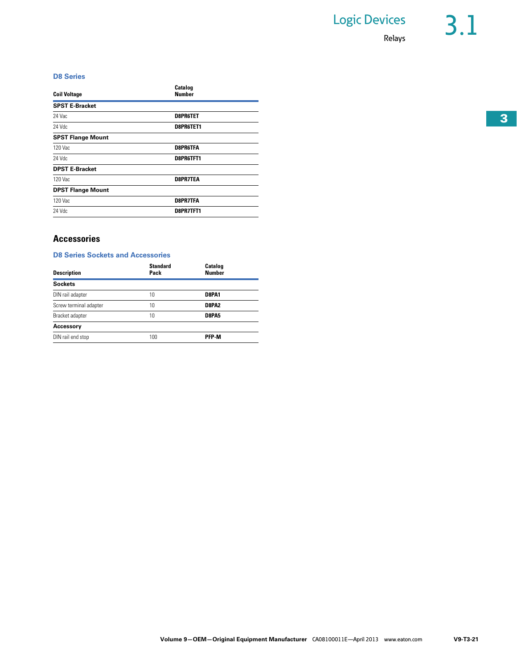## **D8 Series**

| <b>Coil Voltage</b>      | Catalog<br>Number |
|--------------------------|-------------------|
| <b>SPST E-Bracket</b>    |                   |
| 24 Vac                   | <b>D8PR6TET</b>   |
| 24 Vdc                   | D8PR6TET1         |
| <b>SPST Flange Mount</b> |                   |
| 120 Vac                  | <b>D8PR6TFA</b>   |
| 24 Vdc                   | D8PR6TFT1         |
| <b>DPST E-Bracket</b>    |                   |
| 120 Vac                  | <b>D8PR7TEA</b>   |
| <b>DPST Flange Mount</b> |                   |
| 120 Vac                  | <b>D8PR7TFA</b>   |
| 24 Vdc                   | D8PR7TFT1         |
|                          |                   |

## **Accessories**

## **D8 Series Sockets and Accessories**

| Description            | <b>Standard</b><br>Pack | Catalog<br><b>Number</b> |  |
|------------------------|-------------------------|--------------------------|--|
| Sockets                |                         |                          |  |
| DIN rail adapter       | 10                      | D8PA1                    |  |
| Screw terminal adapter | 10                      | D8PA2                    |  |
| Bracket adapter        | 10                      | D8PA5                    |  |
| Accessory              |                         |                          |  |
| DIN rail end stop      | 100                     | <b>PFP-M</b>             |  |
|                        |                         |                          |  |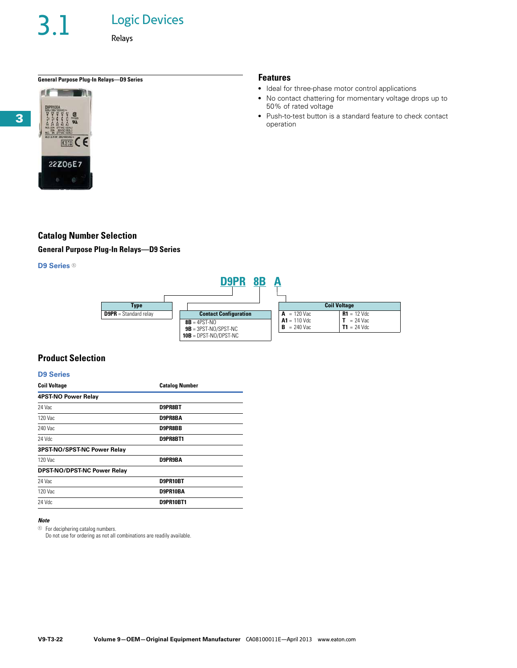3.1 Logic Devices

Relays

## **General Purpose Plug-In Relays—D9 Series Features**



- Ideal for three-phase motor control applications
- No contact chattering for momentary voltage drops up to 50% of rated voltage
- Push-to-test button is a standard feature to check contact operation

## **Catalog Number Selection**

**General Purpose Plug-In Relays—D9 Series**

## **D9 Series**  $0$



## **Product Selection**

### **D9 Series**

| <b>Coil Voltage</b>         | <b>Catalog Number</b> |
|-----------------------------|-----------------------|
| 4PST-NO Power Relay         |                       |
| 24 Vac                      | D9PR8BT               |
| 120 Vac                     | D9PR8BA               |
| 240 Vac                     | D9PR8BB               |
| 24 Vdc                      | D9PR8BT1              |
| 3PST-NO/SPST-NC Power Relay |                       |
| 120 Vac                     | D9PR9BA               |
| DPST-NO/DPST-NC Power Relay |                       |
| 24 Vac                      | D9PR10BT              |
| 120 Vac                     | D9PR10BA              |
| 24 Vdc                      | D9PR10BT1             |

### *Note*

 $\odot$  For deciphering catalog numbers.

Do not use for ordering as not all combinations are readily available.

**3**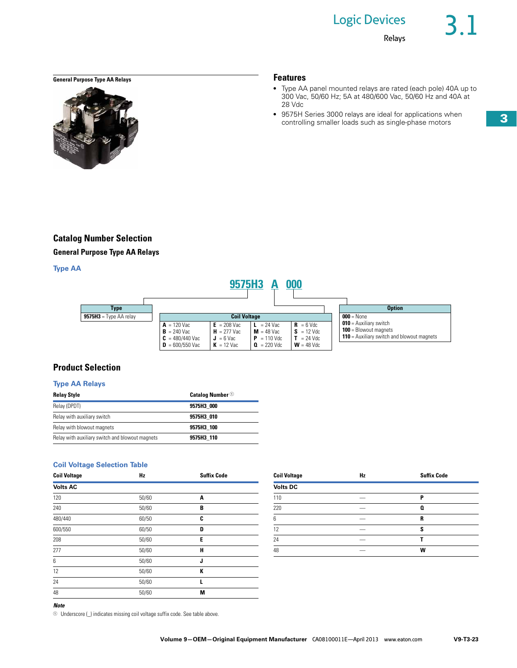## **General Purpose Type AA Relays Features**



- Type AA panel mounted relays are rated (each pole) 40A up to 300 Vac, 50/60 Hz; 5A at 480/600 Vac, 50/60 Hz and 40A at 28 Vdc
- 9575H Series 3000 relays are ideal for applications when controlling smaller loads such as single-phase motors

## **Catalog Number Selection**

**General Purpose Type AA Relays**

## **Type AA**



## **Product Selection**

## **Type AA Relays**

| <b>Relay Style</b>                              | <b>Catalog Number</b> <sup>①</sup> |
|-------------------------------------------------|------------------------------------|
| Relay (DPDT)                                    | 9575H3 000                         |
| Relay with auxiliary switch                     | 9575H3 010                         |
| Relay with blowout magnets                      | 9575H3 100                         |
| Relay with auxiliary switch and blowout magnets | 9575H3 110                         |

## **Coil Voltage Selection Table**

| <b>Coil Voltage</b> | Hz    | <b>Suffix Code</b> | <b>Coil Voltage</b> | Hz | <b>Suffix Code</b> |
|---------------------|-------|--------------------|---------------------|----|--------------------|
| <b>Volts AC</b>     |       |                    | <b>Volts DC</b>     |    |                    |
| 120                 | 50/60 | A                  | 110                 |    | P                  |
| 240                 | 50/60 | В                  | 220                 |    | Q                  |
| 480/440             | 60/50 |                    |                     |    | R                  |
| 600/550             | 60/50 | D                  | 12                  |    | s                  |
| 208                 | 50/60 | Е                  | 24                  |    |                    |
| 277                 | 50/60 | н                  | 48                  |    | W                  |
| 6                   | 50/60 |                    |                     |    |                    |
| 12                  | 50/60 | к                  |                     |    |                    |
| 24                  | 50/60 |                    |                     |    |                    |
| 48                  | 50/60 | M                  |                     |    |                    |
|                     |       |                    |                     |    |                    |

| <b>Coil Voltage</b> | Hz | <b>Suffix Code</b> |
|---------------------|----|--------------------|
| <b>Volts DC</b>     |    |                    |
| 110                 |    | P                  |
| 220                 |    | 0                  |
| 6                   |    | R                  |
| 12                  |    | S                  |
| 24                  |    |                    |
| 48                  |    | w                  |

*Note*

 $10$  Underscore ( $_$ ) indicates missing coil voltage suffix code. See table above.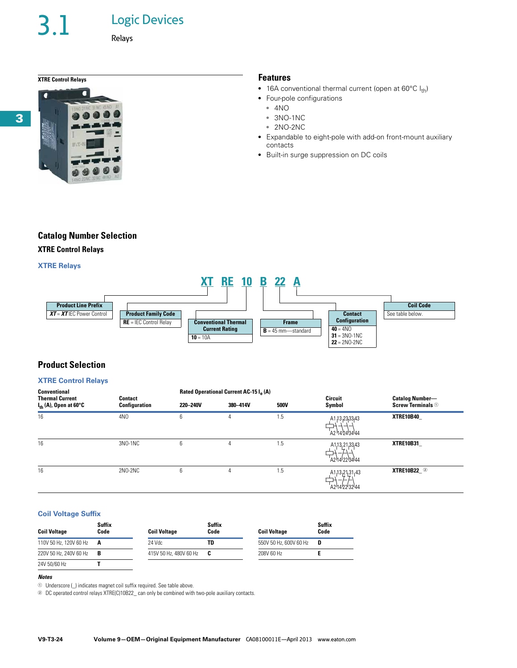# 3.1 Logic Devices

Relays

## **XTRE Control Relays Features**



- 16A conventional thermal current (open at  $60^{\circ}C I_{th}$ )
- Four-pole configurations
	- 4NO
	- 3NO-1NC
	- 2NO-2NC
- Expandable to eight-pole with add-on front-mount auxiliary contacts
- Built-in surge suppression on DC coils

## **Catalog Number Selection**

## **XTRE Control Relays**

## **XTRE Relays**



## **Product Selection**

## **XTRE Control Relays**

| Conventional                                                |                          |          | Rated Operational Current AC-15 I. (A) |      |                                                                                           |                                                               |
|-------------------------------------------------------------|--------------------------|----------|----------------------------------------|------|-------------------------------------------------------------------------------------------|---------------------------------------------------------------|
| <b>Thermal Current</b><br>$I_{\text{th}}$ (A), Open at 60°C | Contact<br>Configuration | 220-240V | 380-414V                               | 500V | <b>Circuit</b><br>Symbol                                                                  | <b>Catalog Number-</b><br><b>Screw Terminals <sup>1</sup></b> |
| 16                                                          | 4N <sub>0</sub>          | 6        | 4                                      | 1.5  | A1, 13, 23, 33, 43<br>A2 14 24 34 44                                                      | XTRE10B40                                                     |
| 16                                                          | 3NO-1NC                  | 6        | 4                                      | 1.5  | A1,13,21,33,43<br>A214223444                                                              | XTRE10B31                                                     |
| 16                                                          | 2NO-2NC                  | 6        | 4                                      | 1.5  | A1,13,21,31,43<br>–<br>A2 <sup>1</sup> 14 <sup>1</sup> 22 <sup>1</sup> 32 <sup>1</sup> 44 | <b>XTRE10B22</b> <sup>2</sup>                                 |

## **Coil Voltage Suffix**

| <b>Suffix</b><br>Code<br><b>Coil Voltage</b> |     | <b>Coil Voltage</b>    | <b>Suffix</b><br>Code |                        | <b>Suffix</b><br>Code |  |
|----------------------------------------------|-----|------------------------|-----------------------|------------------------|-----------------------|--|
| 110V 50 Hz, 120V 60 Hz <b>A</b>              |     | 24 Vdc                 | TD                    | 550V 50 Hz, 600V 60 Hz | D                     |  |
| 220V 50 Hz, 240V 60 Hz                       | - B | 415V 50 Hz, 480V 60 Hz | - C                   | 208V 60 Hz             |                       |  |
| 24V 50/60 Hz                                 |     |                        |                       |                        |                       |  |

### *Notes*

 $\odot$  Underscore ( $\Box$ ) indicates magnet coil suffix required. See table above.

<sup>2</sup> DC operated control relays XTRE(C)10B22\_ can only be combined with two-pole auxiliary contacts.

**3**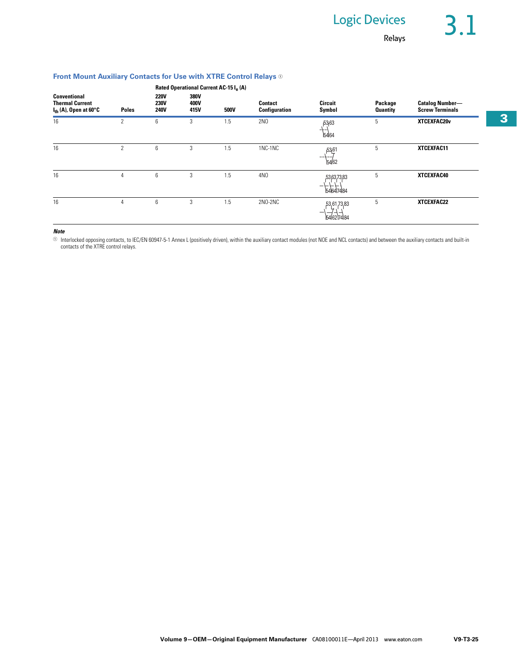## **Front Mount Auxiliary Contacts for Use with XTRE Control Relays** <sup>1</sup>

|                                                                                    |                |                                           |                      | Rated Operational Current AC-15 I. (A) |                                 |                              |                            |                                                  |
|------------------------------------------------------------------------------------|----------------|-------------------------------------------|----------------------|----------------------------------------|---------------------------------|------------------------------|----------------------------|--------------------------------------------------|
| <b>Conventional</b><br><b>Thermal Current</b><br>l <sub>th</sub> (A), Open at 60°C | <b>Poles</b>   | <b>220V</b><br><b>230V</b><br><b>240V</b> | 380V<br>400V<br>415V | 500V                                   | <b>Contact</b><br>Configuration | <b>Circuit</b><br>Symbol     | Package<br><b>Quantity</b> | <b>Catalog Number-</b><br><b>Screw Terminals</b> |
| 16                                                                                 | 2              | 6                                         | 3                    | 1.5                                    | 2NO                             | 53,63<br>5464                | 5                          | XTCEXFAC20v                                      |
| 16                                                                                 | $\overline{c}$ | 6                                         | 3                    | 1.5                                    | 1NC-1NC                         | 53,61<br>--+--<br>5462       | 5                          | XTCEXFAC11                                       |
| 16                                                                                 | 4              | 6                                         | 3                    | 1.5                                    | 4NO                             | 53,63,73,83<br>-<br>54647484 | 5                          | XTCEXFAC40                                       |
| 16                                                                                 | 4              | 6                                         | 3                    | 1.5                                    | 2NO-2NC                         | 53,61,73,83<br>5462174184    | 5                          | XTCEXFAC22                                       |

## *Note*

⊙ Interlocked opposing contacts, to IEC/EN 60947-5-1 Annex L (positively driven), within the auxiliary contact modules (not NOE and NCL contacts) and between the auxiliary contacts and built-in<br>contacts of the XTRE contro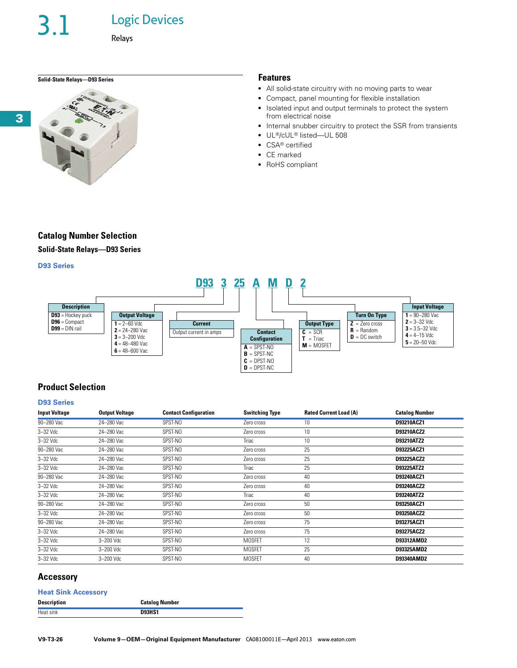3.1 Logic Devices

Relays

## **Solid-State Relays—D93 Series Features**



- All solid-state circuitry with no moving parts to wear
- Compact, panel mounting for flexible installation
- Isolated input and output terminals to protect the system from electrical noise
- Internal snubber circuitry to protect the SSR from transients
- UL®/cUL® listed—UL 508
- CSA® certified
- CE marked
- RoHS compliant

## **Catalog Number Selection**

**Solid-State Relays—D93 Series**

## **D93 Series**



## **Product Selection**

## **D93 Series**

| <b>Input Voltage</b> | <b>Output Voltage</b> | <b>Contact Configuration</b> | <b>Switching Type</b> | <b>Rated Current Load (A)</b> | <b>Catalog Number</b> |
|----------------------|-----------------------|------------------------------|-----------------------|-------------------------------|-----------------------|
| 90-280 Vac           | 24-280 Vac            | SPST-NO                      | Zero cross            | 10                            | D93210ACZ1            |
| 3-32 Vdc             | 24-280 Vac            | SPST-NO                      | Zero cross            | 10                            | D93210ACZ2            |
| $3-32$ Vdc           | 24-280 Vac            | SPST-NO                      | Triac                 | 10                            | D93210ATZ2            |
| 90-280 Vac           | 24-280 Vac            | SPST-NO                      | Zero cross            | 25                            | D93225ACZ1            |
| $3 - 32$ Vdc         | 24-280 Vac            | SPST-NO                      | Zero cross            | 25                            | D93225ACZ2            |
| $3-32$ Vdc           | 24-280 Vac            | SPST-NO                      | Triac                 | 25                            | D93225ATZ2            |
| 90-280 Vac           | 24-280 Vac            | SPST-NO                      | Zero cross            | 40                            | D93240ACZ1            |
| $3 - 32$ Vdc         | 24-280 Vac            | SPST-NO                      | Zero cross            | 40                            | D93240ACZ2            |
| $3 - 32$ $Vdc$       | 24-280 Vac            | SPST-NO                      | Triac                 | 40                            | D93240ATZ2            |
| 90-280 Vac           | 24-280 Vac            | SPST-NO                      | Zero cross            | 50                            | D93250ACZ1            |
| $3-32$ Vdc           | 24-280 Vac            | SPST-NO                      | Zero cross            | 50                            | D93250ACZ2            |
| 90-280 Vac           | 24-280 Vac            | SPST-NO                      | Zero cross            | 75                            | D93275ACZ1            |
| $3 - 32$ Vdc         | 24-280 Vac            | SPST-NO                      | Zero cross            | 75                            | D93275ACZ2            |
| $3-32$ Vdc           | 3-200 Vdc             | SPST-NO                      | <b>MOSFET</b>         | 12                            | D93312AMD2            |
| $3 - 32$ Vdc         | 3-200 Vdc             | SPST-NO                      | <b>MOSFET</b>         | 25                            | D93325AMD2            |
| $3-32$ Vdc           | 3-200 Vdc             | SPST-NO                      | <b>MOSFET</b>         | 40                            | D93340AMD2            |

## **Accessory**

### **Heat Sink Accessory**

| <b>Description</b> | <b>Catalog Number</b> |
|--------------------|-----------------------|
| Heat sink          | <b>D93HS1</b>         |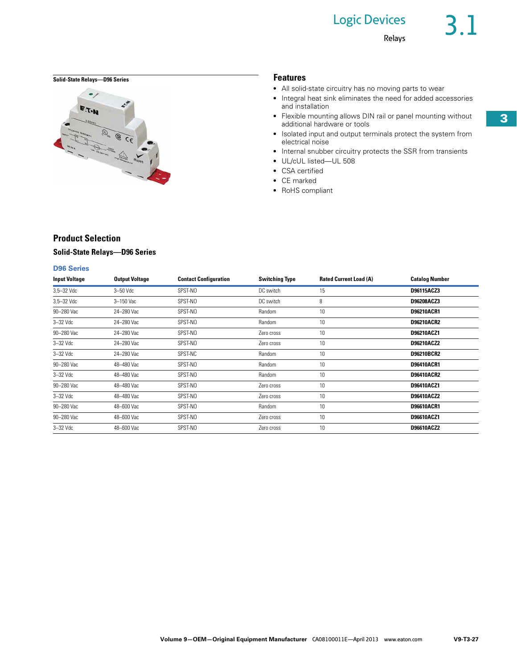## Logic Devices

## **Solid-State Relays—D96 Series Features**



- All solid-state circuitry has no moving parts to wear
- Integral heat sink eliminates the need for added accessories and installation
- Flexible mounting allows DIN rail or panel mounting without additional hardware or tools
- Isolated input and output terminals protect the system from electrical noise
- Internal snubber circuitry protects the SSR from transients
- UL/cUL listed—UL 508
- CSA certified
- CE marked
- RoHS compliant

## **Product Selection**

## **Solid-State Relays—D96 Series**

## **D96 Series**

| <b>Input Voltage</b> | <b>Output Voltage</b> | <b>Contact Configuration</b> | <b>Switching Type</b> | <b>Rated Current Load (A)</b> | <b>Catalog Number</b> |
|----------------------|-----------------------|------------------------------|-----------------------|-------------------------------|-----------------------|
| 3.5-32 Vdc           | $3 - 50$ Vdc          | SPST-NO                      | DC switch             | 15                            | D96115ACZ3            |
| 3.5-32 Vdc           | $3-150$ Vac           | SPST-NO                      | DC switch             | 8                             | D96208ACZ3            |
| 90-280 Vac           | 24-280 Vac            | SPST-NO                      | Random                | 10                            | D96210ACR1            |
| $3-32$ Vdc           | 24-280 Vac            | SPST-NO                      | Random                | 10                            | <b>D96210ACR2</b>     |
| 90-280 Vac           | 24-280 Vac            | SPST-NO                      | Zero cross            | 10                            | D96210ACZ1            |
| $3-32$ Vdc           | 24-280 Vac            | SPST-NO                      | Zero cross            | 10                            | D96210ACZ2            |
| $3-32$ Vdc           | 24-280 Vac            | SPST-NC                      | Random                | 10                            | D96210BCR2            |
| 90-280 Vac           | 48-480 Vac            | SPST-NO                      | Random                | 10                            | D96410ACR1            |
| $3-32$ Vdc           | 48-480 Vac            | SPST-NO                      | Random                | 10                            | <b>D96410ACR2</b>     |
| 90-280 Vac           | 48-480 Vac            | SPST-NO                      | Zero cross            | 10                            | D96410ACZ1            |
| $3-32$ Vdc           | 48-480 Vac            | SPST-NO                      | Zero cross            | 10                            | D96410ACZ2            |
| 90-280 Vac           | 48-600 Vac            | SPST-NO                      | Random                | 10                            | D96610ACR1            |
| 90-280 Vac           | 48-600 Vac            | SPST-NO                      | Zero cross            | 10                            | D96610ACZ1            |
| $3-32$ Vdc           | 48-600 Vac            | SPST-NO                      | Zero cross            | 10                            | D96610ACZ2            |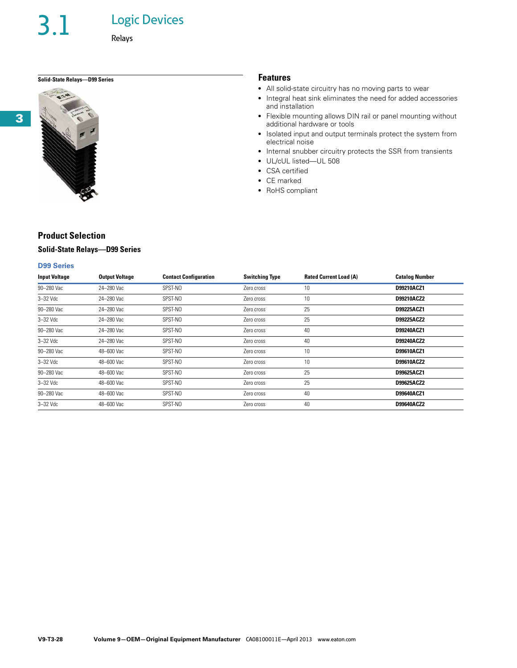3.1 Logic Devices

Relays

## **Solid-State Relays—D99 Series Features**



## **Product Selection**

## **Solid-State Relays—D99 Series**

## **D99 Series**

| <b>Input Voltage</b> | <b>Output Voltage</b> | <b>Contact Configuration</b> | <b>Switching Type</b> | <b>Rated Current Load (A)</b> | <b>Catalog Number</b> |
|----------------------|-----------------------|------------------------------|-----------------------|-------------------------------|-----------------------|
| 90-280 Vac           | 24-280 Vac            | SPST-NO                      | Zero cross            | 10                            | D99210ACZ1            |
| $3 - 32$ Vdc         | 24-280 Vac            | SPST-NO                      | Zero cross            | 10                            | D99210ACZ2            |
| 90-280 Vac           | 24-280 Vac            | SPST-NO                      | Zero cross            | 25                            | D99225ACZ1            |
| $3-32$ Vdc           | 24-280 Vac            | SPST-NO                      | Zero cross            | 25                            | D99225ACZ2            |
| 90-280 Vac           | 24-280 Vac            | SPST-NO                      | Zero cross            | 40                            | D99240ACZ1            |
| $3-32$ Vdc           | 24-280 Vac            | SPST-NO                      | Zero cross            | 40                            | D99240ACZ2            |
| 90-280 Vac           | 48-600 Vac            | SPST-NO                      | Zero cross            | 10                            | D99610ACZ1            |
| $3-32$ Vdc           | 48-600 Vac            | SPST-NO                      | Zero cross            | 10                            | D99610ACZ2            |
| 90-280 Vac           | 48-600 Vac            | SPST-NO                      | Zero cross            | 25                            | D99625ACZ1            |
| $3-32$ Vdc           | 48-600 Vac            | SPST-NO                      | Zero cross            | 25                            | D99625ACZ2            |
| 90-280 Vac           | 48-600 Vac            | SPST-NO                      | Zero cross            | 40                            | D99640ACZ1            |
| $3-32$ Vdc           | 48-600 Vac            | SPST-NO                      | Zero cross            | 40                            | D99640ACZ2            |

- All solid-state circuitry has no moving parts to wear
- Integral heat sink eliminates the need for added accessories and installation
- Flexible mounting allows DIN rail or panel mounting without additional hardware or tools
- Isolated input and output terminals protect the system from electrical noise

- Internal snubber circuitry protects the SSR from transients
- UL/cUL listed—UL 508
- CSA certified
- CE marked
- RoHS compliant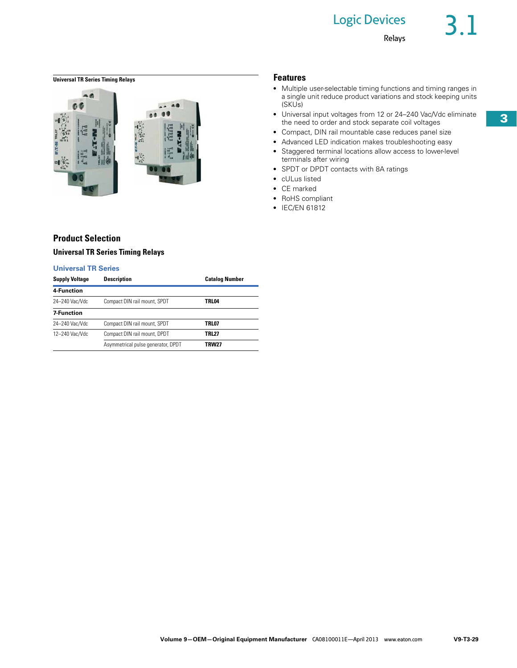## **Universal TR Series Timing Relays Features**



- Multiple user-selectable timing functions and timing ranges in a single unit reduce product variations and stock keeping units (SKUs)
- Universal input voltages from 12 or 24-240 Vac/Vdc eliminate the need to order and stock separate coil voltages
- Compact, DIN rail mountable case reduces panel size
- Advanced LED indication makes troubleshooting easy
- Staggered terminal locations allow access to lower-level terminals after wiring
- SPDT or DPDT contacts with 8A ratings
- cULus listed
- CE marked
- RoHS compliant
- IEC/EN 61812

## **Product Selection Universal TR Series Timing Relays**

## **Universal TR Series**

| <b>Supply Voltage</b> | <b>Description</b>                 | <b>Catalog Number</b> |
|-----------------------|------------------------------------|-----------------------|
| 4-Function            |                                    |                       |
| 24-240 Vac/Vdc        | Compact DIN rail mount, SPDT       | TRL04                 |
| <b>7 Function</b>     |                                    |                       |
| 24-240 Vac/Vdc        | Compact DIN rail mount, SPDT       | TRL07                 |
| 12-240 Vac/Vdc        | Compact DIN rail mount, DPDT       | TRL27                 |
|                       | Asymmetrical pulse generator, DPDT | <b>TRW27</b>          |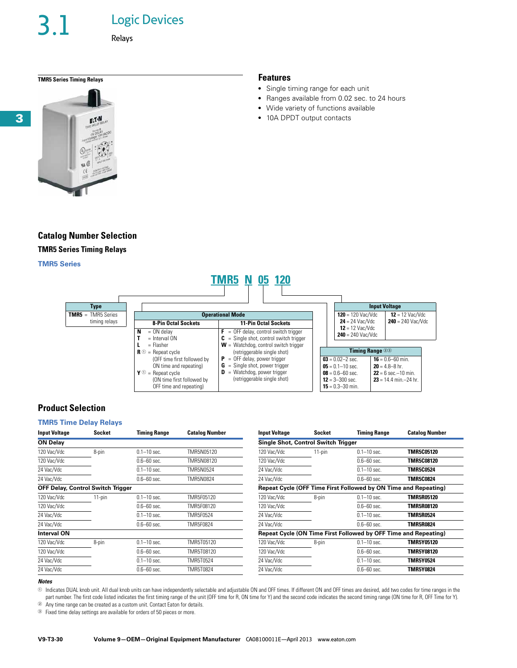**Logic Devices** 

Relays

## **TMR5 Series Timing Relays Features**



## **Catalog Number Selection TMR5 Series Timing Relays**

### **TMR5 Series**

### **Input Voltage 120** = 120 Vac/Vdc **24** = 24 Vac/Vdc **12** = 12 Vac/Vdc **240** = 240 Vac/Vdc  $12 = 12$  Vac/Vdc **240** = 240 Vac/Vdc **Type TMR5** = TMR5 Series timing relays **Timing Range** <sup>23</sup> **03** = 0.02–2 sec. **05** = 0.1–10 sec.  $08 = 0.6 - 60$  sec. **12** = 3–300 sec.  $16 = 0.6 - 60$  min. **20** = 4.8–8 hr.  $22 = 6$  sec.–10 min. **23** = 14.4 min.–24 hr. **Operational Mode 8-Pin Octal Sockets 11-Pin Octal Sockets**  $N = ON$  delay<br> $T = Interval$ = Interval ON **L** = Flasher  $\mathbf{R}$   $\odot$  = Repeat cycle (OFF time first followed by ON time and repeating)  $\mathbf{Y}$   $\odot$  = Repeat cycle (ON time first followed by OFF time and repeating)  $\mathbf{F}$  = OFF delay, control switch trigger **C** = Single shot, control switch trigger **W** = Watchdog, control switch trigger (retriggerable single shot) **P** = OFF delay, power trigger **G** = Single shot, power trigger **D** = Watchdog, power trigger (retriggerable single shot) **TMR5 N 05 120**

## **Product Selection**

## **TMR5 Time Delay Relays**

| <b>Socket</b> | <b>Timing Range</b> | <b>Catalog Number</b>                    | <b>Input Voltage</b> | <b>Socket</b> | <b>Timing Range</b> | <b>Catalog Number</b>                                                                                                                                                     |
|---------------|---------------------|------------------------------------------|----------------------|---------------|---------------------|---------------------------------------------------------------------------------------------------------------------------------------------------------------------------|
|               |                     |                                          |                      |               |                     |                                                                                                                                                                           |
| 8-pin         | $0.1 - 10$ sec.     | TMR5N05120                               | 120 Vac/Vdc          | $11$ -pin     | $0.1 - 10$ sec.     | <b>TMR5C05120</b>                                                                                                                                                         |
|               | $0.6 - 60$ sec.     | TMR5N08120                               | 120 Vac/Vdc          |               | $0.6 - 60$ sec.     | <b>TMR5C08120</b>                                                                                                                                                         |
|               | $0.1 - 10$ sec.     | TMR5N0524                                | 24 Vac/Vdc           |               | $0.1 - 10$ sec.     | <b>TMR5C0524</b>                                                                                                                                                          |
|               | $0.6 - 60$ sec.     | TMR5N0824                                | 24 Vac/Vdc           |               | $0.6 - 60$ sec.     | <b>TMR5C0824</b>                                                                                                                                                          |
|               |                     |                                          |                      |               |                     |                                                                                                                                                                           |
| $11$ -pin     | $0.1 - 10$ sec.     | TMR5F05120                               | 120 Vac/Vdc          | 8-pin         | $0.1 - 10$ sec.     | <b>TMR5R05120</b>                                                                                                                                                         |
|               | $0.6 - 60$ sec.     | TMR5F08120                               | 120 Vac/Vdc          |               | $0.6 - 60$ sec.     | <b>TMR5R08120</b>                                                                                                                                                         |
|               | $0.1 - 10$ sec.     | TMR5F0524                                | 24 Vac/Vdc           |               | $0.1 - 10$ sec.     | <b>TMR5R0524</b>                                                                                                                                                          |
|               | $0.6 - 60$ sec.     | TMR5F0824                                | 24 Vac/Vdc           |               | $0.6 - 60$ sec.     | <b>TMR5R0824</b>                                                                                                                                                          |
|               |                     |                                          |                      |               |                     |                                                                                                                                                                           |
| 8-pin         | $0.1 - 10$ sec.     | TMR5T05120                               | 120 Vac/Vdc          | 8-pin         | $0.1 - 10$ sec.     | <b>TMR5Y05120</b>                                                                                                                                                         |
|               | $0.6 - 60$ sec.     | TMR5T08120                               | 120 Vac/Vdc          |               | $0.6 - 60$ sec.     | <b>TMR5Y08120</b>                                                                                                                                                         |
|               | $0.1 - 10$ sec.     | TMR5T0524                                | 24 Vac/Vdc           |               | $0.1 - 10$ sec.     | <b>TMR5Y0524</b>                                                                                                                                                          |
|               | $0.6 - 60$ sec.     | TMR5T0824                                | 24 Vac/Vdc           |               | $0.6 - 60$ sec.     | <b>TMR5Y0824</b>                                                                                                                                                          |
|               |                     | <b>OFF Delay, Control Switch Trigger</b> |                      |               |                     | Single Shot, Control Switch Trigger<br>Repeat Cycle (OFF Time First Followed by ON Time and Repeating)<br>Repeat Cycle (ON Time First Followed by OFF Time and Repeating) |

### *Notes*

 $\odot$  Indicates DUAL knob unit. All dual knob units can have independently selectable and adjustable ON and OFF times. If different ON and OFF times are desired, add two codes for time ranges in the part number. The first code listed indicates the first timing range of the unit (OFF time for R, ON time for Y) and the second code indicates the second timing range (ON time for R, OFF Time for Y).

<sup>2</sup> Any time range can be created as a custom unit. Contact Eaton for details.

<sup>3</sup> Fixed time delay settings are available for orders of 50 pieces or more.

**3**

- Single timing range for each unit
- Ranges available from 0.02 sec. to 24 hours

**15** = 0.3–30 min.

- Wide variety of functions available
- 10A DPDT output contacts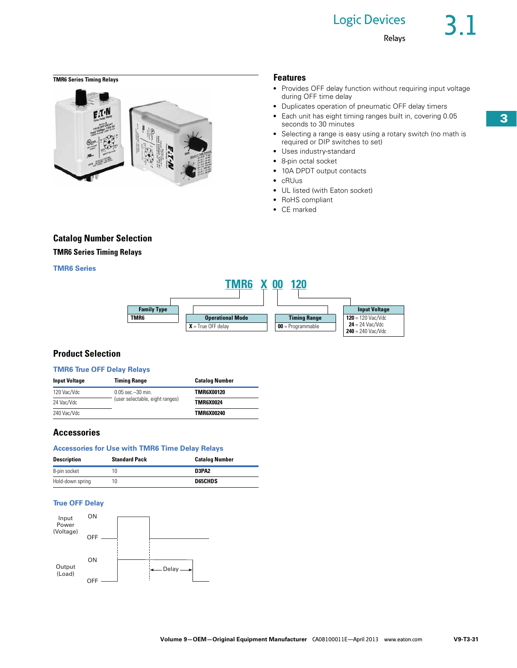# Logic Devices

## **TMR6 Series Timing Relays Features**



- Provides OFF delay function without requiring input voltage during OFF time delay
- Duplicates operation of pneumatic OFF delay timers
- Each unit has eight timing ranges built in, covering 0.05 seconds to 30 minutes
- Selecting a range is easy using a rotary switch (no math is required or DIP switches to set)
- Uses industry-standard
- 8-pin octal socket
- 10A DPDT output contacts
- cRUus
- UL listed (with Eaton socket)
- RoHS compliant
- CE marked

## **Catalog Number Selection**

## **TMR6 Series Timing Relays**

## **TMR6 Series**



## **Product Selection**

### **TMR6 True OFF Delay Relays**

| <b>Input Voltage</b> | <b>Timing Range</b>             | <b>Catalog Number</b> |
|----------------------|---------------------------------|-----------------------|
| 120 Vac/Vdc          | $0.05$ sec $-30$ min.           | <b>TMR6X00120</b>     |
| 24 Vac/Vdc           | (user selectable, eight ranges) | <b>TMR6X0024</b>      |
| 240 Vac/Vdc          |                                 | TMR6X00240            |

## **Accessories**

### **Accessories for Use with TMR6 Time Delay Relays**

| <b>Description</b> | <b>Standard Pack</b> | <b>Catalog Number</b> |
|--------------------|----------------------|-----------------------|
| 8-pin socket       |                      | D3PA2                 |
| Hold-down spring   | 10                   | <b>D65CHDS</b>        |

## **True OFF Delay**

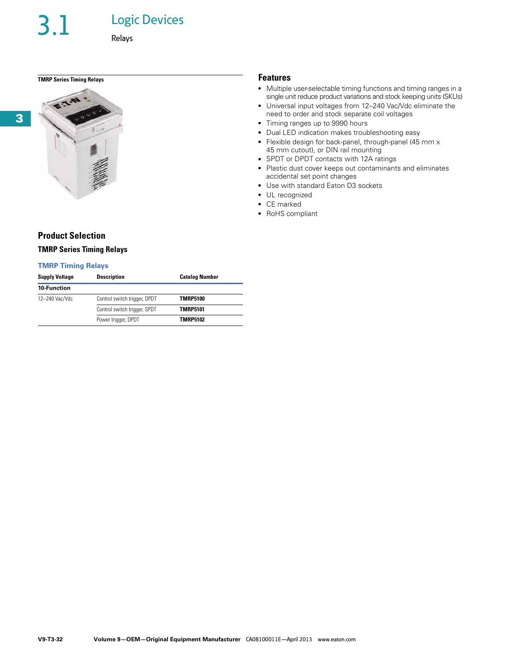**3**

## Logic Devices

Relays

## **TMRP Series Timing Relays Features**



## **Product Selection**

## **TMRP Series Timing Relays**

## **TMRP Timing Relays**

| <b>Supply Voltage</b> | <b>Description</b>           | <b>Catalog Number</b> |
|-----------------------|------------------------------|-----------------------|
| <b>10 Function</b>    |                              |                       |
| 12-240 Vac/Vdc        | Control switch trigger, DPDT | <b>TMRP5100</b>       |
|                       | Control switch trigger, SPDT | <b>TMRP5101</b>       |
|                       | Power trigger, DPDT          | <b>TMRP5102</b>       |

- Multiple user-selectable timing functions and timing ranges in a single unit reduce product variations and stock keeping units (SKUs)
- Universal input voltages from 12–240 Vac/Vdc eliminate the need to order and stock separate coil voltages
- Timing ranges up to 9990 hours
- Dual LED indication makes troubleshooting easy
- Flexible design for back-panel, through-panel (45 mm x 45 mm cutout), or DIN rail mounting
- SPDT or DPDT contacts with 12A ratings
- Plastic dust cover keeps out contaminants and eliminates accidental set point changes
- Use with standard Eaton D3 sockets
- UL recognized
- CE marked
- RoHS compliant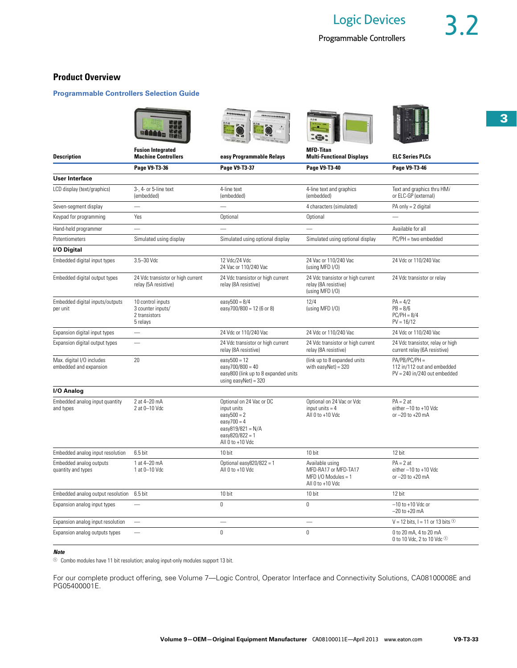## **Product Overview**

## **Programmable Controllers Selection Guide**







|                                                                                                                    |                                                                                  |                                                                                                                                         | - 10                                                                                 |                                                                                  |
|--------------------------------------------------------------------------------------------------------------------|----------------------------------------------------------------------------------|-----------------------------------------------------------------------------------------------------------------------------------------|--------------------------------------------------------------------------------------|----------------------------------------------------------------------------------|
| <b>Description</b>                                                                                                 | <b>Fusion Integrated</b><br><b>Machine Controllers</b>                           | easy Programmable Relays                                                                                                                | <b>MFD-Titan</b><br><b>Multi-Functional Displays</b>                                 | <b>ELC Series PLCs</b>                                                           |
|                                                                                                                    | Page V9-T3-36                                                                    | Page V9-T3-37                                                                                                                           | Page V9-T3-40                                                                        | Page V9-T3-46                                                                    |
| <b>User Interface</b>                                                                                              |                                                                                  |                                                                                                                                         |                                                                                      |                                                                                  |
| LCD display (text/graphics)                                                                                        | 3-, 4- or 5-line text<br>(embedded)                                              | 4-line text<br>(embedded)                                                                                                               | 4-line text and graphics<br>(embedded)                                               | Text and graphics thru HMi<br>or ELC-GP (external)                               |
| Seven-segment display                                                                                              |                                                                                  |                                                                                                                                         | 4 characters (simulated)                                                             | $PA$ only = 2 digital                                                            |
| Keypad for programming                                                                                             | Yes                                                                              | Optional                                                                                                                                | Optional                                                                             | $\overline{\phantom{0}}$                                                         |
| Hand-held programmer                                                                                               |                                                                                  |                                                                                                                                         |                                                                                      | Available for all                                                                |
| Potentiometers                                                                                                     | Simulated using display                                                          | Simulated using optional display                                                                                                        | Simulated using optional display                                                     | PC/PH = two embedded                                                             |
| I/O Digital                                                                                                        |                                                                                  |                                                                                                                                         |                                                                                      |                                                                                  |
| Embedded digital input types                                                                                       | 3.5-30 Vdc                                                                       | 12 Vdc/24 Vdc<br>24 Vac or 110/240 Vac                                                                                                  | 24 Vac or 110/240 Vac<br>(using MFD I/O)                                             | 24 Vdc or 110/240 Vac                                                            |
| Embedded digital output types                                                                                      | 24 Vdc transistor or high current<br>relay (5A resistive)                        | 24 Vdc transistor or high current<br>relay (8A resistive)                                                                               | 24 Vdc transistor or high current<br>relay (8A resistive)<br>(using MFD I/O)         | 24 Vdc transistor or relay                                                       |
| Embedded digital inputs/outputs<br>10 control inputs<br>3 counter inputs/<br>per unit<br>2 transistors<br>5 relays |                                                                                  | easy $500 = 8/4$<br>easy700/800 = 12 (6 or 8)                                                                                           | 12/4<br>(using MFD I/O)                                                              | $PA = 4/2$<br>$PB = 8/6$<br>$PC/PH = 8/4$<br>$PV = 16/12$                        |
| Expansion digital input types                                                                                      | $\overline{\phantom{0}}$                                                         | 24 Vdc or 110/240 Vac                                                                                                                   | 24 Vdc or 110/240 Vac                                                                | 24 Vdc or 110/240 Vac                                                            |
| Expansion digital output types                                                                                     | <u>Lind</u>                                                                      | 24 Vdc transistor or high current<br>relay (8A resistive)                                                                               | 24 Vdc transistor or high current<br>relay (8A resistive)                            | 24 Vdc transistor, relay or high<br>current relay (6A resistive)                 |
| 20<br>Max. digital I/O includes<br>embedded and expansion                                                          |                                                                                  | $easy500 = 12$<br>$easy700/800 = 40$<br>easy800 (link up to 8 expanded units<br>using easyNet) = $320$                                  | (link up to 8 expanded units<br>with $easyNet) = 320$                                | $PA/PB/PC/PH =$<br>112 in/112 out and embedded<br>$PV = 240$ in/240 out embedded |
| I/O Analog                                                                                                         |                                                                                  |                                                                                                                                         |                                                                                      |                                                                                  |
| Embedded analog input quantity<br>and types                                                                        | 2 at 4-20 mA<br>2 at 0-10 Vdc                                                    | Optional on 24 Vac or DC<br>input units<br>$easy500 = 2$<br>$easy700 = 4$<br>easy819/821 = $N/A$<br>easy820/822 = 1<br>All 0 to +10 Vdc | Optional on 24 Vac or Vdc<br>input units $= 4$<br>All 0 to +10 Vdc                   | $PA = 2$ at<br>either $-10$ to $+10$ Vdc<br>or $-20$ to $+20$ mA                 |
| Embedded analog input resolution                                                                                   | $6.5$ bit                                                                        | 10 bit                                                                                                                                  | 10 bit                                                                               | 12 bit                                                                           |
| Embedded analog outputs<br>quantity and types                                                                      | 1 at 4-20 mA<br>Optional easy $820/822 = 1$<br>All 0 to +10 Vdc<br>1 at 0-10 Vdc |                                                                                                                                         | Available using<br>MFD-RA17 or MFD-TA17<br>MFD I/O Modules = $1$<br>All 0 to +10 Vdc | $PA = 2$ at<br>either -10 to +10 Vdc<br>or $-20$ to $+20$ mA                     |
| Embedded analog output resolution                                                                                  | 6.5 bit                                                                          | 10 bit                                                                                                                                  | 10 bit                                                                               | 12 bit                                                                           |
| Expansion analog input types                                                                                       |                                                                                  | $\mathbf{0}$                                                                                                                            | 0                                                                                    | $-10$ to $+10$ Vdc or<br>$-20$ to $+20$ mA                                       |
| Expansion analog input resolution                                                                                  |                                                                                  |                                                                                                                                         |                                                                                      | V = 12 bits, I = 11 or 13 bits $\odot$                                           |
| Expansion analog outputs types                                                                                     |                                                                                  | $\mathbf{0}$                                                                                                                            | $\theta$                                                                             | 0 to 20 mA, 4 to 20 mA<br>0 to 10 Vdc, 2 to 10 Vdc <sup>1</sup>                  |

### *Note*

 $\odot$  Combo modules have 11 bit resolution; analog input-only modules support 13 bit.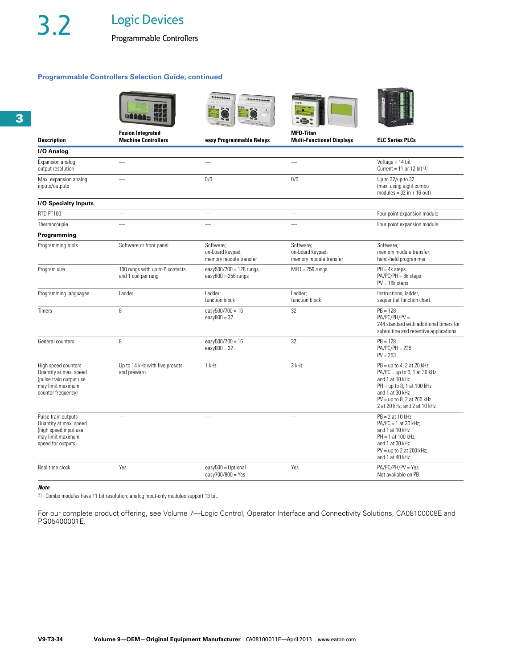Programmable Controllers

## **Programmable Controllers Selection Guide, continued**

|                                                                                                                     |                                                        | **************                                          |                                                         |                                                                                                                                                                                                     |
|---------------------------------------------------------------------------------------------------------------------|--------------------------------------------------------|---------------------------------------------------------|---------------------------------------------------------|-----------------------------------------------------------------------------------------------------------------------------------------------------------------------------------------------------|
| <b>Description</b>                                                                                                  | <b>Fusion Integrated</b><br><b>Machine Controllers</b> | easy Programmable Relays                                | <b>MFD-Titan</b><br><b>Multi-Functional Displays</b>    | <b>ELC Series PLCs</b>                                                                                                                                                                              |
| I/O Analog                                                                                                          |                                                        |                                                         |                                                         |                                                                                                                                                                                                     |
| Expansion analog<br>output resolution                                                                               |                                                        |                                                         |                                                         | Voltage = 14 bit<br>Current = 11 or 12 bit $\odot$                                                                                                                                                  |
| Max. expansion analog<br>inputs/outputs                                                                             |                                                        | 0/0                                                     | 0/0                                                     | Up to 32/up to 32<br>(max. using eight combo<br>modules = $32$ in + 16 out)                                                                                                                         |
| <b>I/O Specialty Inputs</b>                                                                                         |                                                        |                                                         |                                                         |                                                                                                                                                                                                     |
| RTD PT100                                                                                                           |                                                        |                                                         | $\overline{\phantom{0}}$                                | Four point expansion module                                                                                                                                                                         |
| Thermocouple                                                                                                        |                                                        |                                                         |                                                         | Four point expansion module                                                                                                                                                                         |
| Programming                                                                                                         |                                                        |                                                         |                                                         |                                                                                                                                                                                                     |
| Programming tools                                                                                                   | Software or front panel                                | Software:<br>on-board keypad;<br>memory module transfer | Software:<br>on-board keypad;<br>memory module transfer | Software:<br>memory module transfer;<br>hand-held programmer                                                                                                                                        |
| Program size                                                                                                        | 100 rungs with up to 6 contacts<br>and 1 coil per rung | easy500/700 = 128 rungs<br>$easy800 = 256 rungs$        | $MFD = 256$ rungs                                       | $PB = 4k$ steps<br>$PA/PC/PH = 8k$ steps<br>$PV = 16k$ steps                                                                                                                                        |
| Programming languages                                                                                               | Ladder                                                 | Ladder;<br>function block                               | Ladder;<br>function block                               | Instructions, ladder,<br>sequential function chart                                                                                                                                                  |
| <b>Timers</b>                                                                                                       | 8                                                      | easy500/700 = 16<br>$easy800 = 32$                      | 32                                                      | $PB = 128$<br>$PA/PC/PH/PV =$<br>244 standard with additional timers for<br>subroutine and retentive applications                                                                                   |
| General counters                                                                                                    | 8                                                      | easy500/700 = 16<br>$easy800 = 32$                      | 32                                                      | $PB = 128$<br>$PA/PC/PH = 235$<br>$PV = 253$                                                                                                                                                        |
| High speed counters<br>Quantity at max. speed<br>(pulse train output use<br>may limit maximum<br>counter frequency) | Up to 14 kHz with five presets<br>and prewarn          | 1 kHz                                                   | 3 kHz                                                   | $PB = up to 4, 2 at 20 kHz$<br>$PA/PC = up to 6, 1 at 30 kHz$<br>and 1 at 10 kHz<br>$PH = up to 8, 1 at 100 kHz$<br>and 1 at 30 kHz<br>$PV = up to 8, 2 at 200 kHz$<br>2 at 20 kHz; and 2 at 10 kHz |
| Pulse train outputs<br>Quantity at max. speed<br>(high speed input use<br>may limit maximum<br>speed for outputs)   |                                                        |                                                         |                                                         | $PB = 2$ at 10 kHz<br>$PA/PC = 1$ at 30 kHz;<br>and 1 at 10 kHz<br>$PH = 1$ at 100 kHz:<br>and 1 at 30 kHz<br>$PV = up to 2 at 200 kHz$ ;<br>and 1 at 40 kHz                                        |
| Real time clock                                                                                                     | Yes                                                    | $easy500 = Optional$<br>easy700/800 = Yes               | Yes                                                     | $PA/PC/PH/PV = Yes$<br>Not available on PB                                                                                                                                                          |

## *Note*

 $\Phi$  Combo modules have 11 bit resolution; analog input-only modules support 13 bit.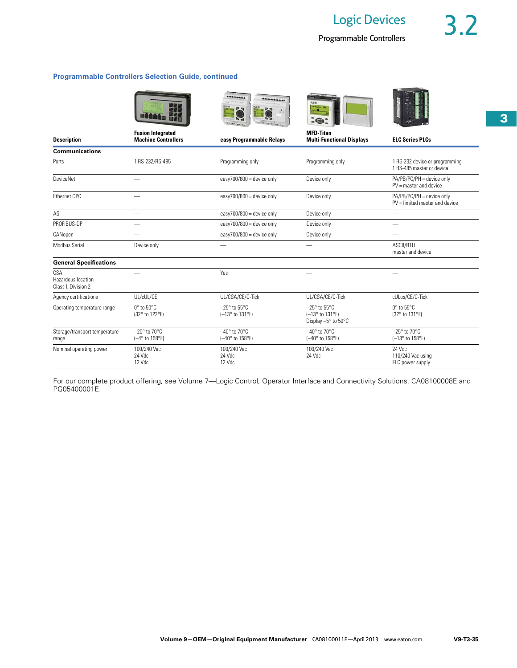**IN COLUMN 2 IS NOT** 

## **Programmable Controllers Selection Guide, continued**

|                                                  |                                                        | ************<br>***************                  |                                                                       |                                                               |
|--------------------------------------------------|--------------------------------------------------------|--------------------------------------------------|-----------------------------------------------------------------------|---------------------------------------------------------------|
| <b>Description</b>                               | <b>Fusion Integrated</b><br><b>Machine Controllers</b> | easy Programmable Relays                         | <b>MFD-Titan</b><br><b>Multi-Functional Displays</b>                  | <b>ELC Series PLCs</b>                                        |
| <b>Communications</b>                            |                                                        |                                                  |                                                                       |                                                               |
| Ports                                            | 1 RS-232/RS-485                                        | Programming only                                 | Programming only                                                      | 1 RS-232 device or programming<br>1 RS-485 master or device   |
| DeviceNet                                        |                                                        | easy700/800 = device only                        | Device only                                                           | PA/PB/PC/PH = device only<br>$PV = master$ and device         |
| Ethernet OPC                                     |                                                        | easy700/800 = device only                        | Device only                                                           | PA/PB/PC/PH = device only<br>$PV = limited master$ and device |
| ASi                                              |                                                        | easy700/800 = device only                        | Device only                                                           |                                                               |
| PROFIBUS-DP                                      |                                                        | easy700/800 = device only                        | Device only                                                           |                                                               |
| CANopen                                          |                                                        | easy700/800 = device only                        | Device only                                                           | --                                                            |
| Modbus Serial                                    | Device only                                            |                                                  |                                                                       | ASCII/RTU<br>master and device                                |
| <b>General Specifications</b>                    |                                                        |                                                  |                                                                       |                                                               |
| CSA<br>Hazardous location<br>Class I, Division 2 |                                                        | Yes                                              |                                                                       |                                                               |
| Agency certifications                            | UL/cUL/CE                                              | UL/CSA/CE/C-Tick                                 | UL/CSA/CE/C-Tick                                                      | cULus/CE/C-Tick                                               |
| Operating temperature range                      | 0° to 50°C<br>(32° to 122°F)                           | $-25^\circ$ to 55 $\degree$ C<br>(-13° to 131°F) | $-25^\circ$ to $55^\circ$ C<br>(-13° to 131°F)<br>Display -5° to 50°C | $0^\circ$ to 55 $^\circ$ C<br>(32° to 131°F)                  |
| Storage/transport temperature<br>range           | $-20^\circ$ to 70 $^\circ$ C<br>(-4° to 158°F)         | $-40^\circ$ to 70 $^\circ$ C<br>(-40° to 158°F)  | $-40^\circ$ to 70 $\degree$ C<br>(-40° to 158°F)                      | $-25^\circ$ to 70 $\degree$ C<br>(-13° to 158°F)              |
| Nominal operating power                          | 100/240 Vac<br>24 Vdc<br>12 Vdc                        | 100/240 Vac<br>24 Vdc<br>12 Vdc                  | 100/240 Vac<br>24 Vdc                                                 | 24 Vdc<br>110/240 Vac using<br>ELC power supply               |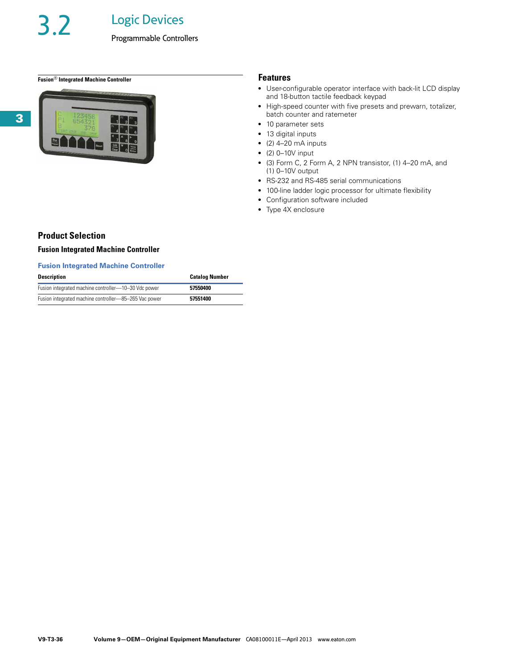## **Fusion**® **Integrated Machine Controller Features**



- User-configurable operator interface with back-lit LCD display and 18-button tactile feedback keypad
- High-speed counter with five presets and prewarn, totalizer, batch counter and ratemeter
- 10 parameter sets
- 13 digital inputs
- $\bullet$  (2) 4-20 mA inputs
- $\bullet$  (2) 0-10V input
- (3) Form C, 2 Form A, 2 NPN transistor, (1) 4–20 mA, and (1) 0–10V output
- RS-232 and RS-485 serial communications
- 100-line ladder logic processor for ultimate flexibility
- Configuration software included
- Type 4X enclosure

## **Product Selection**

## **Fusion Integrated Machine Controller**

## **Fusion Integrated Machine Controller**

| <b>Description</b>                                    | <b>Catalog Number</b> |
|-------------------------------------------------------|-----------------------|
| Fusion integrated machine controller—10-30 Vdc power  | 57550400              |
| Fusion integrated machine controller-85-265 Vac power | 57551400              |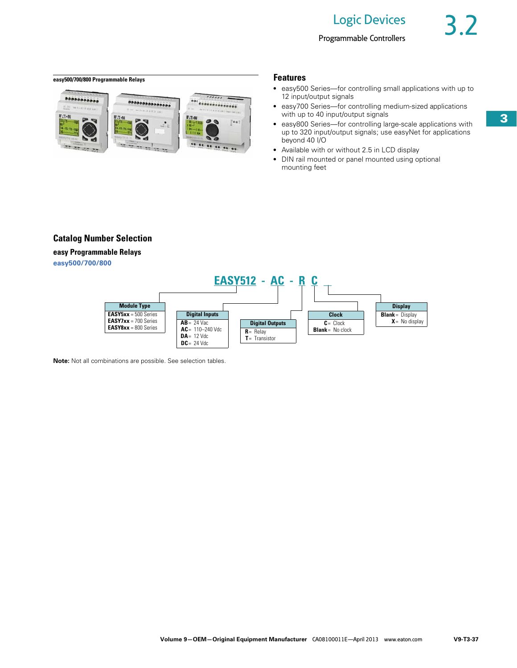## **easy500/700/800 Programmable Relays Features**



- easy500 Series-for controlling small applications with up to 12 input/output signals
- easy700 Series-for controlling medium-sized applications with up to 40 input/output signals
- easy800 Series-for controlling large-scale applications with up to 320 input/output signals; use easyNet for applications beyond 40 I/O
- Available with or without 2.5 in LCD display
- DIN rail mounted or panel mounted using optional mounting feet

## **Catalog Number Selection**

## **easy Programmable Relays**

**easy500/700/800**



**Note:** Not all combinations are possible. See selection tables.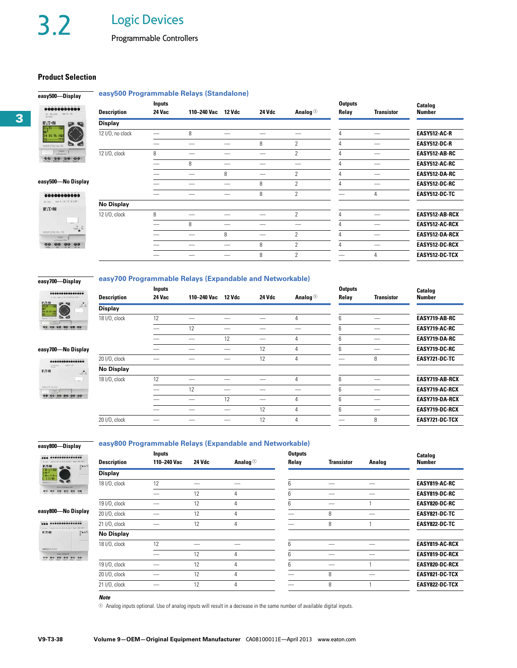## **Product Selection**

**easy500—Display** 

## **easy500 Programmable Relays (Standalone)**



| 0000000000                                                          |                    | <b>Inputs</b> |             |        |        |                       | <b>Outputs</b> |                   | Catalog               |
|---------------------------------------------------------------------|--------------------|---------------|-------------|--------|--------|-----------------------|----------------|-------------------|-----------------------|
| $160.3 \times 10$<br>AT MUSIC.<br><b>NUMBER</b>                     | <b>Description</b> | 24 Vac        | 110–240 Vac | 12 Vdc | 24 Vdc | Analog $\circledcirc$ | Relay          | <b>Transistor</b> | <b>Number</b>         |
| $E: T \cdot N$<br>$\mathbf{D}$<br><b>CO</b>                         | <b>Display</b>     |               |             |        |        |                       |                |                   |                       |
| 11   T1 ---- 1 01<br>  14 - 15 - 11 - 1 02<br>  14 - 15 - 11 - 1 02 | 12 I/O, no clock   |               | 8           |        |        |                       |                |                   | <b>EASY512-AC-R</b>   |
| $-11$<br>✍<br>$\sum_{i=1}^{n}$<br>008930-ALR                        |                    |               |             |        | 8      | $\overline{2}$        |                |                   | <b>EASY512-DC-R</b>   |
| <b>DOM</b>                                                          | 12 I/O, clock      | 8             |             |        |        | 2                     |                | __                | EASY512-AB-RC         |
| 00000<br><b>GG</b>                                                  |                    |               | 8           |        |        |                       |                |                   | EASY512-AC-RC         |
|                                                                     |                    |               | --          | 8      | —      | $\overline{2}$        |                | –                 | EASY512-DA-RC         |
| easy500-No Display                                                  |                    |               |             |        | 8      | $\overline{2}$        |                |                   | EASY512-DC-RC         |
| 00000000000                                                         |                    |               |             |        | 8      | $\overline{2}$        |                | 4                 | EASY512-DC-TC         |
| A A SET ST WANT<br>$E: T \cdot N$                                   | <b>No Display</b>  |               |             |        |        |                       |                |                   |                       |
| $\begin{array}{c}\n\ddots \\ \hline\n\end{array}$                   | 12 I/O, clock      | 8             |             |        |        | $\overline{2}$        | 4              |                   | EASY512-AB-RCX        |
|                                                                     |                    |               | 8           |        |        |                       |                | –                 | EASY512-AC-RCX        |
| eanysp.cc-to<br><b>TOMAT</b>                                        |                    |               |             | 8      | —      | $\overline{2}$        |                | __                | EASY512-DA-RCX        |
| where the                                                           |                    |               |             |        | 8      | $\overline{2}$        |                | –                 | <b>EASY512-DC-RCX</b> |
|                                                                     |                    |               |             |        | 8      | $\overline{2}$        |                | 4                 | EASY512-DC-TCX        |

## **easy700—Display**  .........

## **easy700 Programmable Relays (Expandable and Networkable)**

|                                                                     |                    | <b>Inputs</b> |             |        |        |                       | <b>Outputs</b> |                   | Catalog               |
|---------------------------------------------------------------------|--------------------|---------------|-------------|--------|--------|-----------------------|----------------|-------------------|-----------------------|
| and with the first part of the con-                                 | <b>Description</b> | 24 Vac        | 110–240 Vac | 12 Vdc | 24 Vdc | Analog $\circledcirc$ | Relay          | <b>Transistor</b> | <b>Number</b>         |
| <b>FAC-N</b><br>Little<br>$-2.1$<br>$(4.15 - 1)$                    | <b>Display</b>     |               |             |        |        |                       |                |                   |                       |
| <b>College College</b>                                              | 18 I/O, clock      | 12            |             |        |        | 4                     | հ              |                   | EASY719-AB-RC         |
|                                                                     |                    |               | 12          |        |        |                       | 6              | –                 | EASY719-AC-RC         |
|                                                                     |                    |               |             | 12     |        | 4                     | 6              |                   | EASY719-DA-RC         |
| easy700-No Display                                                  |                    |               |             |        | 12     | 4                     | 6              | _                 | EASY719-DC-RC         |
| ***************                                                     | 20 I/O, clock      |               |             |        | 12     | 4                     |                | 8                 | EASY721-DC-TC         |
| <b>EXHIP</b><br>$-44.8 + 0.00$<br>$W \cdot T \cdot W$<br>$\Delta$ . | <b>No Display</b>  |               |             |        |        |                       |                |                   |                       |
| <b>Local</b><br>nevy's ALEX<br><b>Child</b>                         | 18 I/O, clock      | 12            |             |        |        | 4                     | 6              |                   | EASY719-AB-RCX        |
|                                                                     |                    |               | 12          |        |        |                       | 6              |                   | <b>EASY719-AC-RCX</b> |
|                                                                     |                    |               |             | 12     |        | 4                     | 6              | _                 | EASY719-DA-RCX        |
|                                                                     |                    |               |             |        | 12     | 4                     | 6              | –                 | <b>EASY719-DC-RCX</b> |
|                                                                     | 20 I/O, clock      |               |             |        | 12     | 4                     |                | 8                 | EASY721-DC-TCX        |
|                                                                     |                    |               |             |        |        |                       |                |                   |                       |

## **easy800—Display**

## **easy800 Programmable Relays (Expandable and Networkable)**

| <b>000 00000000000000</b><br>$T = 1$<br>09               | <b>Description</b> | <b>Inputs</b><br>110-240 Vac | 24 Vdc | Analog $\circledcirc$ | <b>Outputs</b><br>Relay | <b>Transistor</b> | <b>Analog</b> | Catalog<br>Number     |
|----------------------------------------------------------|--------------------|------------------------------|--------|-----------------------|-------------------------|-------------------|---------------|-----------------------|
| <b>FACK</b><br><b>HALL</b><br><b>HALL</b><br><b>HALL</b> | <b>Display</b>     |                              |        |                       |                         |                   |               |                       |
| $\sigma$                                                 | 18 I/O, clock      | 12                           |        |                       | 6                       |                   |               | <b>EASY819-AC-RC</b>  |
|                                                          |                    |                              | 12     | 4                     | h                       |                   |               | <b>EASY819-DC-RC</b>  |
|                                                          | 19 I/O, clock      | –                            | 12     | 4                     | 6                       |                   |               | <b>EASY820-DC-RC</b>  |
| easy800-No Display                                       | 20 I/O, clock      |                              | 12     | 4                     |                         | 8                 |               | EASY821-DC-TC         |
|                                                          | 21 I/O, clock      |                              | 12     | 4                     |                         | 8                 |               | EASY822-DC-TC         |
| <b>WIT-N</b><br>$\frac{1}{2}$ a.e.                       | <b>No Display</b>  |                              |        |                       |                         |                   |               |                       |
| <b>BBFVILLES</b>                                         | 18 I/O, clock      | 12                           |        |                       | ĥ                       |                   |               | EASY819-AC-RCX        |
|                                                          |                    |                              | 12     | 4                     | հ                       |                   |               | <b>EASY819-DC-RCX</b> |
|                                                          | 19 I/O, clock      |                              | 12     | 4                     | ĥ                       |                   |               | <b>EASY820-DC-RCX</b> |
|                                                          | 20 I/O, clock      |                              | 12     | 4                     |                         | 8                 |               | <b>EASY821-DC-TCX</b> |
|                                                          | 21 I/O, clock      |                              | 12     | 4                     |                         | 8                 |               | EASY822-DC-TCX        |
|                                                          |                    |                              |        |                       |                         |                   |               |                       |

## *Note*

 $\odot$  Analog inputs optional. Use of analog inputs will result in a decrease in the same number of available digital inputs.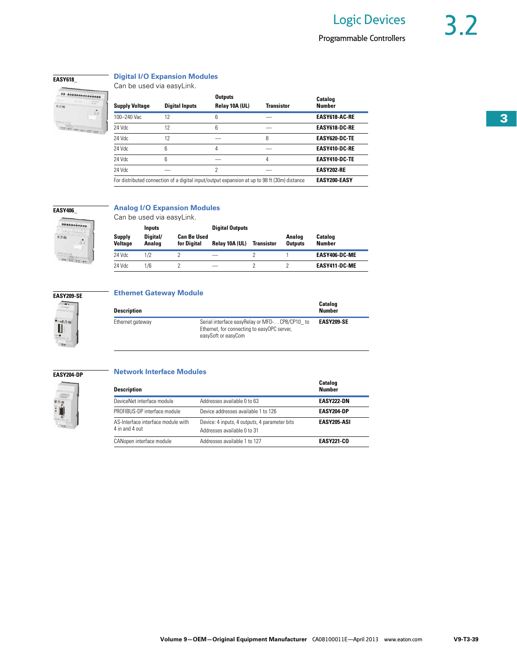## **EASY618\_**

 $v_{\text{DM}}$ 

 $\frac{1}{2}$ 

... ...............

## **Digital I/O Expansion Modules**

Can be used via easyLink.

| <b>Supply Voltage</b> | <b>Digital Inputs</b> | <b>Outputs</b><br>Relay 10A (UL)                                                             | <b>Transistor</b> | <b>Catalog</b><br><b>Number</b> |
|-----------------------|-----------------------|----------------------------------------------------------------------------------------------|-------------------|---------------------------------|
| 100-240 Vac           | 12                    | 6                                                                                            |                   | <b>EASY618 AC RE</b>            |
| 24 Vdc                | 12                    | 6                                                                                            |                   | <b>EASY618 DC RE</b>            |
| 24 Vdc                | 12                    |                                                                                              | 8                 | <b>FASY620-DC-TF</b>            |
| 24 Vdc                | 6                     | 4                                                                                            |                   | <b>EASY410 DC RE</b>            |
| 24 Vdc                | 6                     |                                                                                              | 4                 | <b>EASY410 DC TE</b>            |
| 24 Vdc                |                       | 2                                                                                            |                   | <b>FASY202-RF</b>               |
|                       |                       | For distributed connection of a digital input/output expansion at up to 98 ft (30m) distance |                   | <b>EASY200-EASY</b>             |



## **Analog I/O Expansion Modules**

Can be used via easyLink.

**Supply Voltage Inputs Digital Outputs Analog Outputs Catalog Number Digital/ Analog Can Be Used**  *f***elay 10A (UL) Transistor** 24 Vdc 1/2 2 — 2 1 **EASY406-DC-ME** 24 Vdc 1/6 2 — 2 2 **EASY411-DC-ME**



н

 $-20$ 

## **Ethernet Gateway Module**

| <b>Description</b> |                                                                                                                     | Catalog<br>Number |
|--------------------|---------------------------------------------------------------------------------------------------------------------|-------------------|
| Ethernet gateway   | Serial interface easyRelay or MFD-CP8/CP10 to<br>Ethernet, for connecting to easyOPC server,<br>easySoft or easyCom | <b>EASY209-SE</b> |

### **EASY204-DP**



## **Network Interface Modules**

| <b>Description</b>                                   |                                                                              | Catalog<br><b>Number</b> |
|------------------------------------------------------|------------------------------------------------------------------------------|--------------------------|
| DeviceNet interface module                           | Addresses available 0 to 63                                                  | <b>EASY222 DN</b>        |
| PROFIBUS-DP interface module                         | Device addresses available 1 to 126                                          | EASY204-DP               |
| AS-Interface interface module with<br>4 in and 4 out | Device: 4 inputs, 4 outputs, 4 parameter bits<br>Addresses available 0 to 31 | EASY205-ASI              |
| CANopen interface module                             | Addresses available 1 to 127                                                 | <b>EASY221-CO</b>        |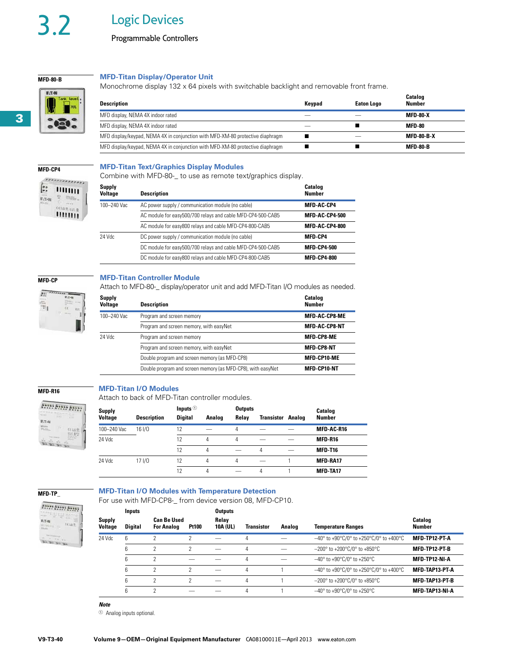# 3.2 Logic Devices

## **MFD-80-B**  $E: T \rightarrow N$

**3**

## **MFD-Titan Display/Operator Unit**

Monochrome display 132 x 64 pixels with switchable backlight and removable front frame.

| <b>Description</b>                                                             | Keypad | <b>Eaton Logo</b> | Catalog<br><b>Number</b> |
|--------------------------------------------------------------------------------|--------|-------------------|--------------------------|
| MFD display, NEMA 4X indoor rated                                              |        |                   | <b>MFD-80-X</b>          |
| MFD display, NEMA 4X indoor rated                                              |        |                   | MFD-80                   |
| MFD display/keypad, NEMA 4X in conjunction with MFD-XM-80 protective diaphragm |        |                   | <b>MFD-80-B-X</b>        |
| MFD display/keypad, NEMA 4X in conjunction with MFD-XM-80 protective diaphragm |        |                   | <b>MFD-80-B</b>          |

### **MFD-Titan Text/Graphics Display Modules**

Combine with MFD-80-\_ to use as remote text/graphics display.

| 1111111 |
|---------|
|         |
|         |
|         |
| ,,,,,,, |

**MFD-CP4** 

| Supply<br><b>Voltage</b> | <b>Description</b>                                          | Catalog<br><b>Number</b> |
|--------------------------|-------------------------------------------------------------|--------------------------|
| 100-240 Vac              | AC power supply / communication module (no cable)           | <b>MFD-AC-CP4</b>        |
|                          | AC module for easy500/700 relays and cable MFD-CP4-500-CAB5 | <b>MFD-AC-CP4-500</b>    |
|                          | AC module for easy800 relays and cable MFD-CP4-800-CAB5     | <b>MFD-AC-CP4-800</b>    |
| 24 Vdc                   | DC power supply / communication module (no cable)           | <b>MFD-CP4</b>           |
|                          | DC module for easy500/700 relays and cable MFD-CP4-500-CAB5 | <b>MFD-CP4-500</b>       |
|                          | DC module for easy800 relays and cable MFD-CP4-800-CAB5     | <b>MFD-CP4-800</b>       |

## **MFD-Titan Controller Module**

Attach to MFD-80-\_ display/operator unit and add MFD-Titan I/O modules as needed.



**MFD-CP**

| Supply<br><b>Voltage</b> | <b>Description</b>                                          | Catalog<br><b>Number</b> |
|--------------------------|-------------------------------------------------------------|--------------------------|
| 100-240 Vac              | Program and screen memory                                   | <b>MFD-AC-CP8-ME</b>     |
|                          | Program and screen memory, with easyNet                     | <b>MFD-AC-CP8-NT</b>     |
| 24 Vdc                   | Program and screen memory                                   | <b>MFD-CP8-ME</b>        |
|                          | Program and screen memory, with easyNet                     | <b>MFD-CP8-NT</b>        |
|                          | Double program and screen memory (as MFD-CP8)               | MFD-CP10-ME              |
|                          | Double program and screen memory (as MFD-CP8), with easyNet | <b>MFD-CP10-NT</b>       |

## **MFD-Titan I/O Modules**

Attach to back of MFD-Titan controller modules.



**MFD-R16**

| <b>Supply</b>  |                    | Inputs $\odot$ |        | <b>Outputs</b> |            | <b>Catalog</b> |                   |
|----------------|--------------------|----------------|--------|----------------|------------|----------------|-------------------|
| <b>Voltage</b> | <b>Description</b> | <b>Digital</b> | Analog | Relav          | Transistor | Analog         | <b>Number</b>     |
| 100-240 Vac    | 16 1/0             | 12             |        | 4              |            |                | <b>MFD-AC-R16</b> |
| 24 Vdc         |                    | 12             | 4      | 4              |            |                | <b>MFD-R16</b>    |
|                |                    | 12             | 4      |                | 4          |                | <b>MFD-T16</b>    |
| 24 Vdc         | 17 1/0             | 12             | 4      | 4              |            |                | <b>MFD-RA17</b>   |
|                |                    | 12             | 4      |                | 4          |                | <b>MFD-TA17</b>   |

**MFD-TP\_**

## **MFD-Titan I/O Modules with Temperature Detection**

For use with MFD-CP8-\_ from device version 08, MFD-CP10.

|                         | <u>U du vitil ivil D UI U TIUIII duviuu vuluiuu, ivil D UI TU.</u> |                |                                                         |        |                   |                   |        |                                                                       |                                 |  |  |
|-------------------------|--------------------------------------------------------------------|----------------|---------------------------------------------------------|--------|-------------------|-------------------|--------|-----------------------------------------------------------------------|---------------------------------|--|--|
| boose boose boose       |                                                                    | Inputs         | <b>Can Be Used</b><br><b>Pt100</b><br><b>For Analog</b> |        | <b>Outputs</b>    |                   |        |                                                                       |                                 |  |  |
| <b>E</b> :T-N<br>Kilos: | Supply<br>Voltage                                                  | <b>Digital</b> |                                                         |        | Relay<br>10A (UL) | <b>Transistor</b> | Analog | <b>Temperature Ranges</b>                                             | <b>Catalog</b><br><b>Number</b> |  |  |
|                         | 24 Vdc                                                             | 6              |                                                         |        |                   |                   |        | $-40^{\circ}$ to +90°C/0° to +250°C/0° to +400°C                      | MFD-TP12-PT-A                   |  |  |
|                         |                                                                    |                |                                                         |        |                   | 4                 | _      | $-200^{\circ}$ to +200 $^{\circ}$ C/0 $^{\circ}$ to +850 $^{\circ}$ C | MFD-TP12-PT-B                   |  |  |
|                         |                                                                    |                |                                                         |        |                   | 4                 |        | $-40^{\circ}$ to +90 $^{\circ}$ C/0 $^{\circ}$ to +250 $^{\circ}$ C   | MFD-TP12-NI-A                   |  |  |
|                         |                                                                    |                | っ                                                       | $\sim$ |                   | 4                 |        | $-40^{\circ}$ to +90°C/0° to +250°C/0° to +400°C                      | MFD-TAP13-PT-A                  |  |  |
|                         |                                                                    |                | ↷                                                       |        |                   | 4                 |        | $-200^{\circ}$ to +200 $^{\circ}$ C/0 $^{\circ}$ to +850 $^{\circ}$ C | MFD-TAP13-PT-B                  |  |  |
|                         |                                                                    |                | c                                                       |        |                   |                   |        | $-40^{\circ}$ to +90 $^{\circ}$ C/0 $^{\circ}$ to +250 $^{\circ}$ C   | MFD-TAP13-NI-A                  |  |  |
|                         |                                                                    |                |                                                         |        |                   |                   |        |                                                                       |                                 |  |  |

*Note*

 $\odot$  Analog inputs optional.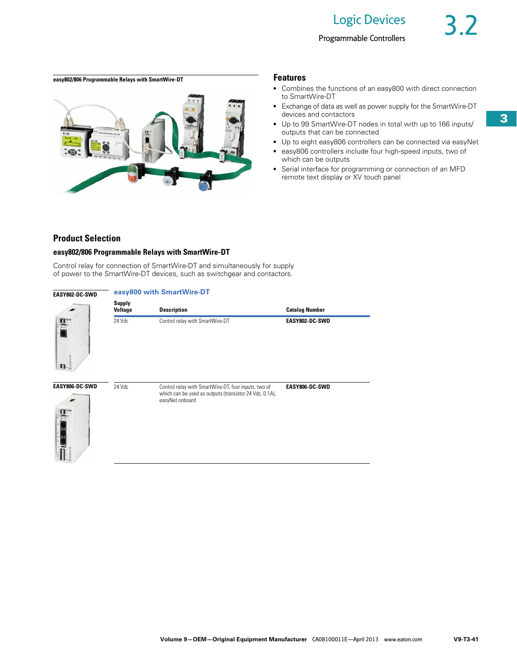## **easy802/806 Programmable Relays with SmartWire-DT Features**



- Combines the functions of an easy800 with direct connection to SmartWire-DT
- Exchange of data as well as power supply for the SmartWire-DT devices and contactors
- Up to 99 SmartWire-DT nodes in total with up to 166 inputs/ outputs that can be connected
- Up to eight easy806 controllers can be connected via easyNet
- easy806 controllers include four high-speed inputs, two of which can be outputs
- Serial interface for programming or connection of an MFD remote text display or XV touch panel

## **Product Selection**

## **easy802/806 Programmable Relays with SmartWire-DT**

Control relay for connection of SmartWire-DT and simultaneously for supply of power to the SmartWire-DT devices, such as switchgear and contactors.

| EASY802-DC-SWD               | easy800 with SmartWire-DT       |                                                                                                                                    |                       |  |  |  |  |  |  |
|------------------------------|---------------------------------|------------------------------------------------------------------------------------------------------------------------------------|-----------------------|--|--|--|--|--|--|
|                              | <b>Supply</b><br><b>Voltage</b> | <b>Description</b>                                                                                                                 | <b>Catalog Number</b> |  |  |  |  |  |  |
| 플                            | 24 Vdc                          | Control relay with SmartWire-DT                                                                                                    | EASY802-DC-SWD        |  |  |  |  |  |  |
| ۰п.<br>EASY806-DC-SWD<br>П., | 24 Vdc                          | Control relay with SmartWire-DT, four inputs, two of<br>which can be used as outputs (transistor 24 Vdc, 0.1A),<br>easyNet onboard | EASY806-DC-SWD        |  |  |  |  |  |  |
|                              |                                 |                                                                                                                                    |                       |  |  |  |  |  |  |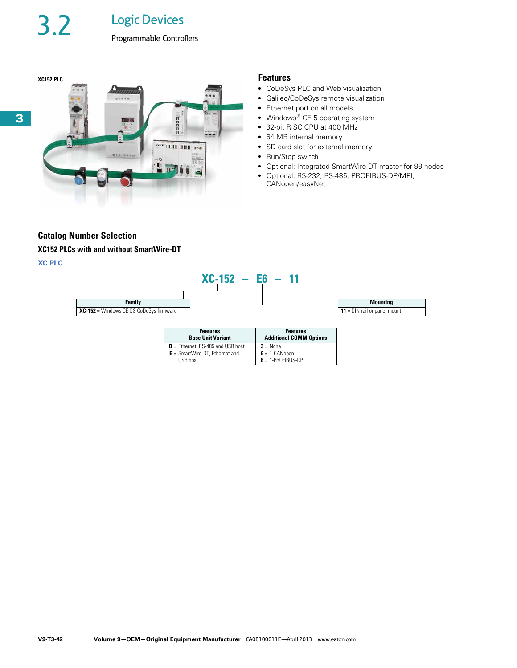3.2 Logic Devices





- CoDeSys PLC and Web visualization
- Galileo/CoDeSys remote visualization
- Ethernet port on all models
- Windows® CE 5 operating system
- 32-bit RISC CPU at 400 MHz
- 64 MB internal memory
- SD card slot for external memory
- Run/Stop switch
- Optional: Integrated SmartWire-DT master for 99 nodes
- Optional: RS-232, RS-485, PROFIBUS-DP/MPI, CANopen/easyNet

## **Catalog Number Selection**

## **XC152 PLCs with and without SmartWire-DT**

## **XC PLC**

|                                         |          | $XC-152 - E6 - 11$                                                      |                                                       |                                       |
|-----------------------------------------|----------|-------------------------------------------------------------------------|-------------------------------------------------------|---------------------------------------|
| Family                                  |          |                                                                         |                                                       | <b>Mounting</b>                       |
| XC-152 = Windows CE OS CoDeSys firmware |          |                                                                         |                                                       | <b>11</b> = $DIN$ rail or panel mount |
|                                         |          | <b>Features</b>                                                         | <b>Features</b>                                       |                                       |
|                                         |          | <b>Base Unit Variant</b>                                                | <b>Additional COMM Options</b>                        |                                       |
|                                         | USB host | $D =$ Ethernet, RS-485 and USB host<br>$E =$ SmartWire-DT, Ethernet and | $3 = None$<br>$6 = 1$ -CANopen<br>$8 = 1-PROFIBUS-DP$ |                                       |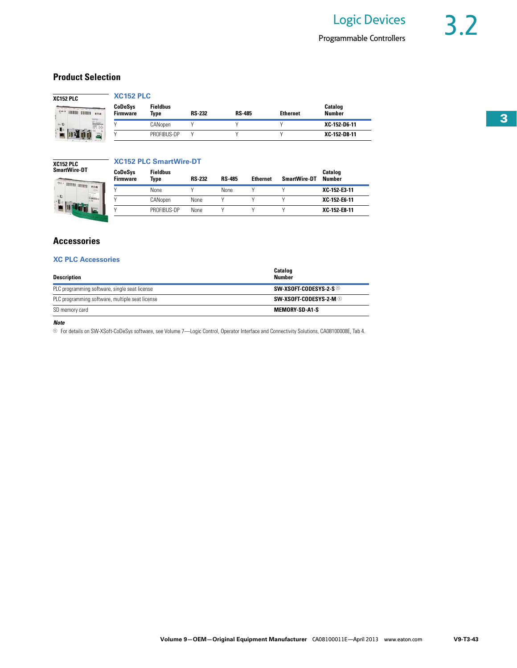## **Product Selection**

| <b>HIRRI BURG</b> |  |
|-------------------|--|
|                   |  |
|                   |  |

|          | <b>XC152 PLC</b>                  |                                |               |               |                 |                          |
|----------|-----------------------------------|--------------------------------|---------------|---------------|-----------------|--------------------------|
| IIII Kaw | <b>CoDeSys</b><br><b>Firmware</b> | <b>Fieldbus</b><br><b>Type</b> | <b>RS-232</b> | <b>RS-485</b> | <b>Ethernet</b> | Catalog<br><b>Number</b> |
| E.       |                                   | CANopen                        |               |               |                 | XC-152-D6-11             |
| ã        |                                   | PROFIBUS-DP                    |               |               |                 | XC-152-D8-11             |

## **XC152 PLC SmartWire-DT** $\overline{\cdots}$  mm

Ł 'u bir

## **XC152 PLC SmartWire-DT**

|       | CoDeSys<br><b>Firmware</b> | <b>Fieldbus</b><br>Type | <b>RS-232</b> | <b>RS-485</b> | <b>Ethernet</b> | <b>SmartWire-DT</b> | <b>Catalog</b><br><b>Number</b> |
|-------|----------------------------|-------------------------|---------------|---------------|-----------------|---------------------|---------------------------------|
| Rites |                            | None                    |               | None          |                 |                     | XC 152 E3-11                    |
|       |                            | CANopen                 | None          |               |                 |                     | XC-152-E6-11                    |
|       |                            | PROFIBUS-DP             | None          |               |                 |                     | XC-152-E8-11                    |

## **Accessories**

## **XC PLC Accessories**

| <b>Description</b>                              | <b>Catalog</b><br><b>Number</b> |
|-------------------------------------------------|---------------------------------|
| PLC programming software, single seat license   | SW-XSOFT-CODESYS-2-S $\odot$    |
| PLC programming software, multiple seat license | SW-XSOFT-CODESYS-2-M $\odot$    |
| SD memory card                                  | <b>MEMORY-SD-A1-S</b>           |

### *Note*

<sup>1</sup> For details on SW-XSoft-CoDeSys software, see Volume 7—Logic Control, Operator Interface and Connectivity Solutions, CA08100008E, Tab 4.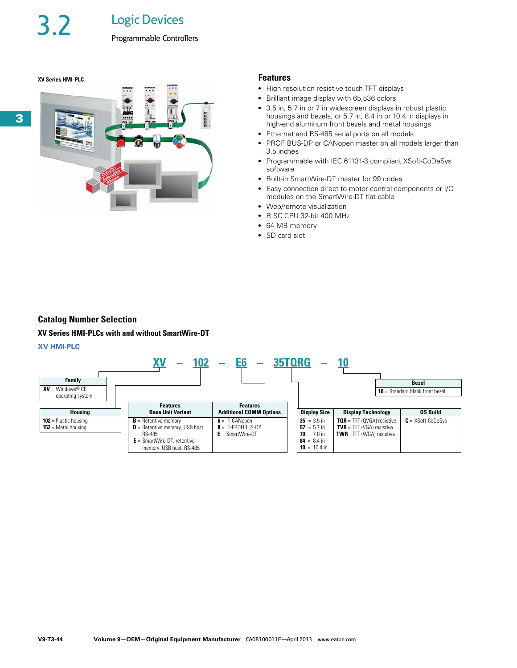3.2 Logic Devices



- High resolution resistive touch TFT displays
- Brilliant image display with 65,536 colors
- 3.5 in, 5.7 in or 7 in widescreen displays in robust plastic housings and bezels, or 5.7 in, 8.4 in or 10.4 in displays in high-end aluminum front bezels and metal housings
- Ethernet and RS-485 serial ports on all models
- PROFIBUS-DP or CANopen master on all models larger than 3.5 inches
- Programmable with IEC 61131-3 compliant XSoft-CoDeSys software
- Built-in SmartWire-DT master for 99 nodes
- Easy connection direct to motor control components or I/O modules on the SmartWire-DT flat cable
- Web/remote visualization
- RISC CPU 32-bit 400 MHz
- 64 MB memory
- SD card slot

## **Catalog Number Selection**

### **XV Series HMI-PLCs with and without SmartWire-DT**

## **XV HMI-PLC**

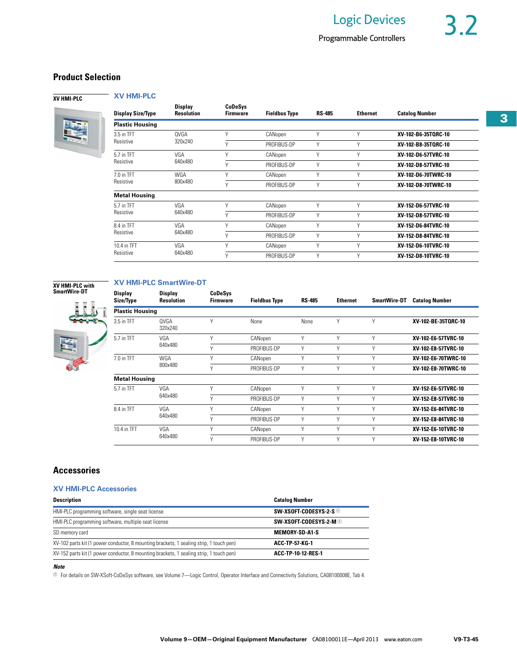## **Product Selection**

**XV HMI-PLC** 



**XV HMI-PLC** 

| <b>Display Size/Type</b> | <b>Display</b><br><b>Resolution</b> | CoDeSys<br><b>Firmware</b> | <b>Fieldbus Type</b> | <b>RS-485</b> | <b>Ethernet</b> | <b>Catalog Number</b> |
|--------------------------|-------------------------------------|----------------------------|----------------------|---------------|-----------------|-----------------------|
| <b>Plastic Housing</b>   |                                     |                            |                      |               |                 |                       |
| 3.5 in TFT               | OVGA                                | v                          | CANopen              | γ             | Υ               | XV-102-B6-35TORC-10   |
| Resistive                | 320x240                             | v                          | PROFIBUS-DP          | Υ             | Υ               | XV-102-B8-35TORC-10   |
| 5.7 in TFT               | VGA                                 | Υ                          | CANopen              | Υ             | Υ               | XV-102-D6-57TVRC-10   |
| Resistive                | 640x480                             | $\vee$                     | PROFIBUS-DP          | γ             | Υ               | XV-102-D8-57TVRC-10   |
| 7.0 in TFT               | WGA<br>800x480                      | V                          | CANopen              | Υ             | Υ               | XV-102-D6-70TWRC-10   |
| Resistive                |                                     | $\vee$                     | PROFIBUS-DP          | γ             | Υ               | XV-102-D8-70TWRC-10   |
| <b>Metal Housing</b>     |                                     |                            |                      |               |                 |                       |
| 5.7 in TFT               | VGA                                 | V                          | CANopen              | Υ             | Υ               | XV-152-D6-57TVRC-10   |
| Resistive                | 640x480                             | v                          | PROFIBUS-DP          | γ             | Υ               | XV-152-D8-57TVRC-10   |
| 8.4 in TFT               | VGA                                 | V                          | CANopen              | Υ             | Υ               | XV-152-D6-84TVRC-10   |
| Resistive                | 640x480                             | $\vee$                     | PROFIBUS-DP          | Υ             | Υ               | XV-152-D8-84TVRC-10   |
| 10.4 in TFT              | VGA                                 | γ                          | CANopen              | Υ             | Υ               | XV-152-D6-10TVRC-10   |
| Resistive                | 640x480                             | $\vee$                     | PROFIBUS-DP          | γ             | Υ               | XV-152-D8-10TVRC-10   |

## **XV HMI-PLC with SmartWire-DT**



## **XV HMI-PLC SmartWire-DT**

| <b>Display</b><br>Size/Type  | <b>Display</b><br><b>Resolution</b> | CoDeSys<br><b>Firmware</b> | <b>Fieldbus Type</b> | <b>RS-485</b> | <b>Ethernet</b> | <b>SmartWire-DT</b> | <b>Catalog Number</b> |
|------------------------------|-------------------------------------|----------------------------|----------------------|---------------|-----------------|---------------------|-----------------------|
| <b>Plastic Housing</b>       |                                     |                            |                      |               |                 |                     |                       |
| 3.5 in TFT                   | <b>OVGA</b><br>320x240              | Υ                          | <b>None</b>          | None          | V               | $\vee$              | XV-102-BE-35TORC-10   |
| 5.7 in TFT                   | VGA                                 | Υ                          | CANopen              | V             | V               | $\vee$              | XV-102-E6-57TVRC-10   |
| 640x480                      |                                     | Y                          | PROFIBUS-DP          | V             | V               | $\vee$              | XV-102-E8-57TVRC-10   |
| 7.0 in TFT                   | WGA                                 | Υ                          | CANopen              | V             | V               | $\vee$              | XV-102-E6-70TWRC-10   |
|                              | 800x480                             | γ                          | PROFIBUS-DP          | γ             | V               | $\vee$              | XV-102-E8-70TWRC-10   |
| <b>Metal Housing</b>         |                                     |                            |                      |               |                 |                     |                       |
| VGA<br>5.7 in TFT<br>640x480 |                                     | Y                          | CANopen              | γ             | V               | $\vee$              | XV-152-E6-57TVRC-10   |
|                              |                                     | Υ                          | PROFIBUS-DP          | γ             | V               | $\vee$              | XV-152-E8-57TVRC-10   |
| 8.4 in TFT                   | VGA                                 | Y                          | CANopen              | γ             | V               | γ                   | XV-152-E6-84TVRC-10   |
|                              | 640x480                             | Υ                          | PROFIBUS-DP          | Y             | $\vee$          | v                   | XV-152-E8-84TVRC-10   |
| 10.4 in TFT                  | VGA                                 | Υ                          | CANopen              | γ             | V               | V                   | XV-152-E6-10TVRC-10   |
|                              | 640x480                             | Υ                          | PROFIBUS-DP          | $\vee$        | $\vee$          | $\vee$              | XV-152-E8-10TVRC-10   |

## **Accessories**

## **XV HMI-PLC Accessories**

| <b>Description</b>                                                                      | <b>Catalog Number</b>             |
|-----------------------------------------------------------------------------------------|-----------------------------------|
| HMI-PLC programming software, single seat license                                       | SW-XSOFT-CODESYS-2-S <sup>1</sup> |
| HMI-PLC programming software, multiple seat license                                     | SW-XSOFT-CODESYS-2-M $\odot$      |
| SD memory card                                                                          | <b>MEMORY-SD-A1-S</b>             |
| XV-102 parts kit (1 power conductor, 8 mounting brackets, 1 sealing strip, 1 touch pen) | <b>ACC-TP-57-KG-1</b>             |
| XV-152 parts kit (1 power conductor, 8 mounting brackets, 1 sealing strip, 1 touch pen) | ACC-TP-10-12-RES-1                |

## *Note*

<sup>1</sup> For details on SW-XSoft-CoDeSys software, see Volume 7—Logic Control, Operator Interface and Connectivity Solutions, CA08100008E, Tab 4.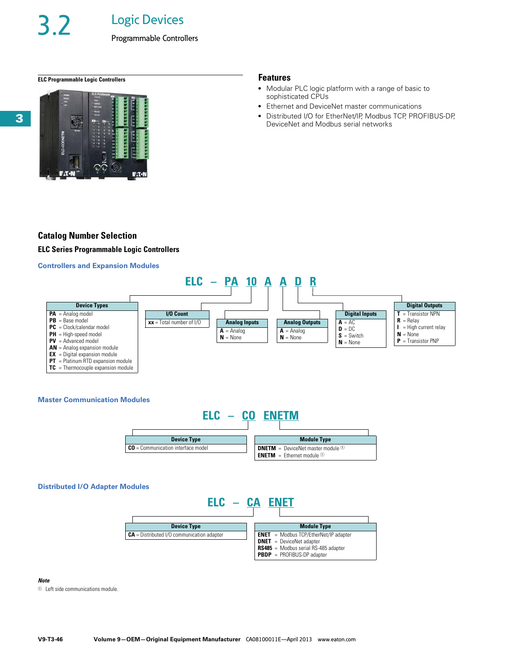Programmable Controllers

## **ELC Programmable Logic Controllers Features**



- Modular PLC logic platform with a range of basic to sophisticated CPUs
- Ethernet and DeviceNet master communications
- Distributed I/O for EtherNet/IP, Modbus TCP, PROFIBUS-DP, DeviceNet and Modbus serial networks

## **Catalog Number Selection**

**ELC Series Programmable Logic Controllers**

## **Controllers and Expansion Modules**



## **Master Communication Modules**



### **Distributed I/O Adapter Modules**



### *Note*

 $\Phi$  Left side communications module.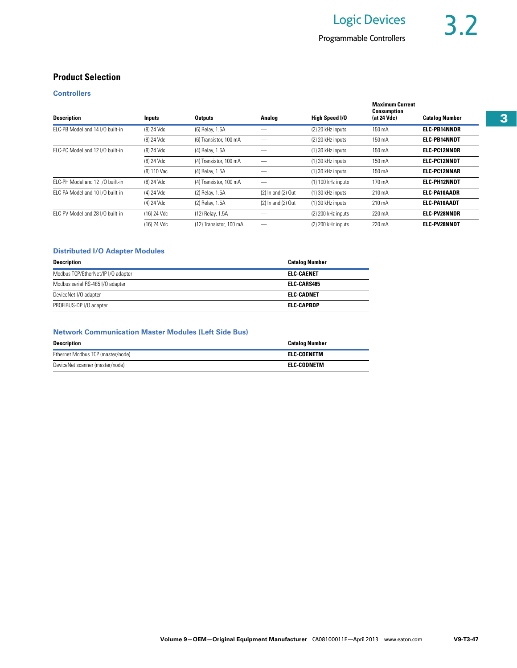## **Product Selection**

## **Controllers**

| <b>Description</b>               | Inputs      | <b>Outputs</b>          | Analog                 | High Speed I/O     | <b>Maximum Current</b><br><b>Consumption</b><br>(at 24 Vdc) | <b>Catalog Number</b> |
|----------------------------------|-------------|-------------------------|------------------------|--------------------|-------------------------------------------------------------|-----------------------|
| ELC-PB Model and 14 I/O built-in | (8) 24 Vdc  | (6) Relay, 1.5A         |                        | (2) 20 kHz inputs  | 150 mA                                                      | <b>ELC-PB14NNDR</b>   |
|                                  | (8) 24 Vdc  | (6) Transistor, 100 mA  |                        | (2) 20 kHz inputs  | 150 mA                                                      | <b>ELC-PB14NNDT</b>   |
| ELC-PC Model and 12 I/O built-in | (8) 24 Vdc  | (4) Relay, 1.5A         |                        | (1) 30 kHz inputs  | 150 mA                                                      | <b>ELC-PC12NNDR</b>   |
|                                  | (8) 24 Vdc  | (4) Transistor, 100 mA  |                        | (1) 30 kHz inputs  | 150 mA                                                      | <b>ELC-PC12NNDT</b>   |
|                                  | (8) 110 Vac | (4) Relay, 1.5A         |                        | (1) 30 kHz inputs  | 150 mA                                                      | <b>ELC-PC12NNAR</b>   |
| ELC-PH Model and 12 I/O built-in | (8) 24 Vdc  | (4) Transistor, 100 mA  |                        | (1) 100 kHz inputs | 170 mA                                                      | <b>ELC-PH12NNDT</b>   |
| ELC-PA Model and 10 I/O built-in | (4) 24 Vdc  | (2) Relay, 1.5A         | $(2)$ In and $(2)$ Out | (1) 30 kHz inputs  | 210 mA                                                      | <b>ELC PA10AADR</b>   |
|                                  | (4) 24 Vdc  | (2) Relay, 1.5A         | $(2)$ In and $(2)$ Out | (1) 30 kHz inputs  | 210 mA                                                      | <b>ELC-PA10AADT</b>   |
| ELC-PV Model and 28 I/O built-in | (16) 24 Vdc | (12) Relay, 1.5A        |                        | (2) 200 kHz inputs | 220 mA                                                      | <b>ELC-PV28NNDR</b>   |
|                                  | (16) 24 Vdc | (12) Transistor. 100 mA |                        | (2) 200 kHz inputs | 220 mA                                                      | <b>ELC-PV28NNDT</b>   |

## **Distributed I/O Adapter Modules**

| <b>Description</b>                 | <b>Catalog Number</b> |
|------------------------------------|-----------------------|
| Modbus TCP/EtherNet/IP I/O adapter | ELC-CAENET            |
| Modbus serial RS-485 I/O adapter   | <b>ELC CARS485</b>    |
| DeviceNet I/O adapter              | ELC-CADNET            |
| PROFIBUS-DP I/O adapter            | <b>ELC-CAPBDP</b>     |

## **Network Communication Master Modules (Left Side Bus)**

| <b>Description</b>                | <b>Catalog Number</b> |
|-----------------------------------|-----------------------|
| Ethernet Modbus TCP (master/node) | ELC-COENETM           |
| DeviceNet scanner (master/node)   | ELC-CODNETM           |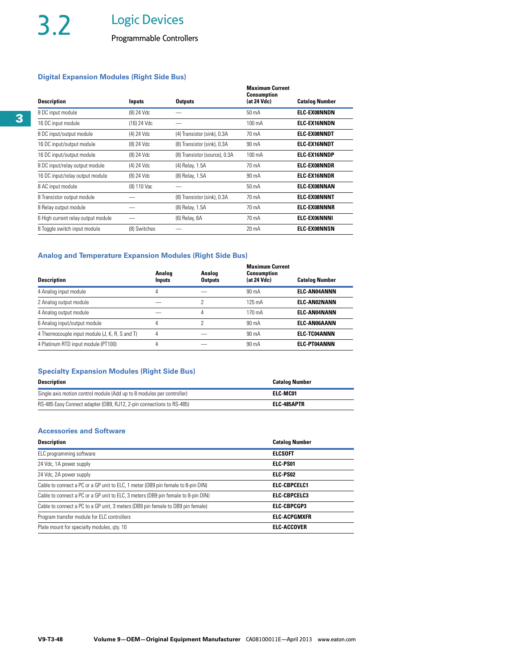Programmable Controllers

## **Digital Expansion Modules (Right Side Bus)**

| <b>Description</b>                 | Inputs       | <b>Outputs</b>                | <b>Maximum Current</b><br><b>Consumption</b><br>(at 24 Vdc) | <b>Catalog Number</b> |
|------------------------------------|--------------|-------------------------------|-------------------------------------------------------------|-----------------------|
| 8 DC input module                  | (8) 24 Vdc   |                               | $50 \text{ mA}$                                             | <b>ELC-EX08NNDN</b>   |
| 16 DC input module                 | (16) 24 Vdc  |                               | $100 \text{ mA}$                                            | <b>ELC-EX16NNDN</b>   |
| 8 DC input/output module           | (4) 24 Vdc   | (4) Transistor (sink), 0.3A   | 70 mA                                                       | <b>ELC EXO8NNDT</b>   |
| 16 DC input/output module          | (8) 24 Vdc   | (8) Transistor (sink), 0.3A   | 90 mA                                                       | <b>ELC-EX16NNDT</b>   |
| 16 DC input/output module          | (8) 24 Vdc   | (8) Transistor (source), 0.3A | $100 \text{ mA}$                                            | <b>ELC-EX16NNDP</b>   |
| 8 DC input/relay output module     | (4) 24 Vdc   | (4) Relay, 1.5A               | 70 mA                                                       | <b>ELC EXO8NNDR</b>   |
| 16 DC input/relay output module    | (8) 24 Vdc   | (8) Relay, 1.5A               | 90 mA                                                       | <b>ELC-EX16NNDR</b>   |
| 8 AC input module                  | (8) 110 Vac  |                               | $50 \text{ mA}$                                             | <b>ELC-EX08NNAN</b>   |
| 8 Transistor output module         |              | (8) Transistor (sink), 0.3A   | 70 mA                                                       | <b>ELC-EX08NNNT</b>   |
| 8 Relay output module              |              | (8) Relay, 1.5A               | 70 mA                                                       | <b>ELC-EXO8NNNR</b>   |
| 6 High current relay output module |              | (6) Relay, 6A                 | 70 mA                                                       | <b>ELC-EX06NNNI</b>   |
| 8 Toggle switch input module       | (8) Switches |                               | 20 mA                                                       | <b>ELC EXO8NNSN</b>   |

## **Analog and Temperature Expansion Modules (Right Side Bus)**

| <b>Description</b>                             | Analog<br>Inputs | Analog<br><b>Outputs</b> | <b>Maximum Current</b><br><b>Consumption</b><br>(at 24 Vdc) | <b>Catalog Number</b> |
|------------------------------------------------|------------------|--------------------------|-------------------------------------------------------------|-----------------------|
| 4 Analog input module                          | 4                |                          | $90 \text{ mA}$                                             | <b>ELC-AN04ANNN</b>   |
| 2 Analog output module                         |                  |                          | $125 \text{ mA}$                                            | <b>ELC-AN02NANN</b>   |
| 4 Analog output module                         |                  | 4                        | 170 mA                                                      | <b>ELC-AN04NANN</b>   |
| 6 Analog input/output module                   | 4                |                          | $90 \text{ mA}$                                             | <b>ELC-AN06AANN</b>   |
| 4 Thermocouple input module (J, K, R, S and T) | 4                |                          | $90 \text{ mA}$                                             | <b>ELC-TC04ANNN</b>   |
| 4 Platinum RTD input module (PT100)            | 4                |                          | 90 mA                                                       | <b>ELC-PT04ANNN</b>   |
|                                                |                  |                          |                                                             |                       |

## **Specialty Expansion Modules (Right Side Bus)**

| <b>Description</b>                                                     | <b>Catalog Number</b> |
|------------------------------------------------------------------------|-----------------------|
| Single axis motion control module (Add up to 8 modules per controller) | ELC-MC01              |
| RS-485 Easy Connect adapter (DB9, RJ12, 2-pin connections to RS-485)   | ELC-485APTR           |

## **Accessories and Software**

| <b>Description</b>                                                                | <b>Catalog Number</b> |
|-----------------------------------------------------------------------------------|-----------------------|
| ELC programming software                                                          | <b>ELCSOFT</b>        |
| 24 Vdc, 1A power supply                                                           | ELC-PS01              |
| 24 Vdc, 2A power supply                                                           | ELC-PS02              |
| Cable to connect a PC or a GP unit to ELC, 1 meter (DB9 pin female to 8-pin DIN)  | <b>ELC-CBPCELC1</b>   |
| Cable to connect a PC or a GP unit to ELC, 3 meters (DB9 pin female to 8-pin DIN) | ELC-CBPCELC3          |
| Cable to connect a PC to a GP unit, 3 meters (DB9 pin female to DB9 pin female)   | <b>ELC-CBPCGP3</b>    |
| Program transfer module for ELC controllers                                       | <b>ELC-ACPGMXFR</b>   |
| Plate mount for specialty modules, gty. 10                                        | <b>ELC-ACCOVER</b>    |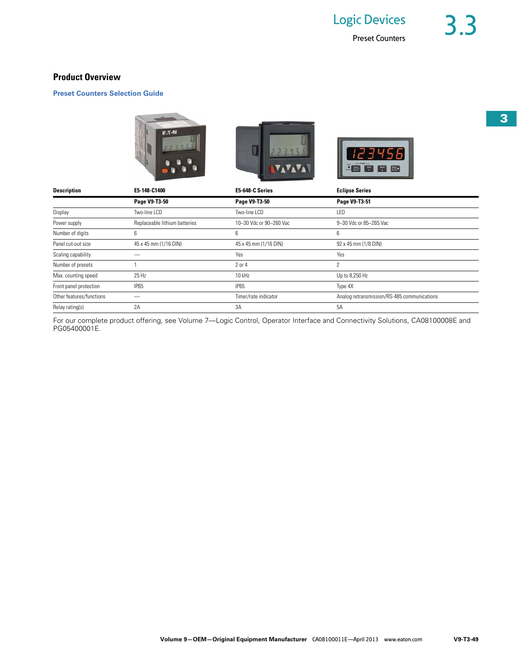## **Product Overview**

**Preset Counters Selection Guide**



| <b>Description</b>       | E5-148-C1400                  | E5-648-C Series         | <b>Eclipse Series</b>                       |
|--------------------------|-------------------------------|-------------------------|---------------------------------------------|
|                          | Page V9-T3-50                 | Page V9-T3-50           | Page V9-T3-51                               |
| Display                  | Two-line LCD                  | Two-line LCD            | LED                                         |
| Power supply             | Replaceable lithium batteries | 10-30 Vdc or 90-260 Vac | 9-30 Vdc or 85-265 Vac                      |
| Number of digits         | 6                             | 6                       | 6                                           |
| Panel cut-out size       | 45 x 45 mm (1/16 DIN)         | 45 x 45 mm (1/16 DIN)   | 92 x 45 mm (1/8 DIN)                        |
| Scaling capability       |                               | Yes                     | Yes                                         |
| Number of presets        |                               | 2 or 4                  | 2                                           |
| Max. counting speed      | 25 Hz                         | 10 kHz                  | Up to 8,250 Hz                              |
| Front panel protection   | IP <sub>65</sub>              | <b>IP65</b>             | Type 4X                                     |
| Other features/functions |                               | Timer/rate indicator    | Analog retransmission/RS-485 communications |
| Relay rating(s)          | 2A                            | 3A                      | 5A                                          |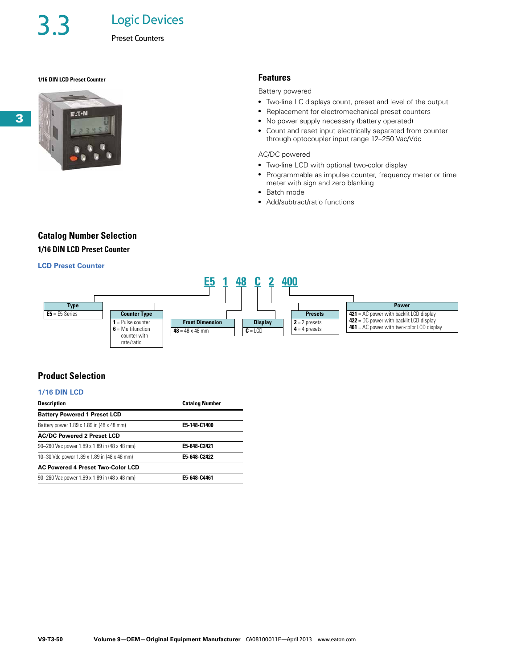Logic Devices

## **1/16 DIN LCD Preset Counter Features**



### Battery powered

- Two-line LC displays count, preset and level of the output
- Replacement for electromechanical preset counters
- No power supply necessary (battery operated)
- Count and reset input electrically separated from counter through optocoupler input range 12–250 Vac/Vdc

## AC/DC powered

- Two-line LCD with optional two-color display
- Programmable as impulse counter, frequency meter or time meter with sign and zero blanking
- Batch mode
- Add/subtract/ratio functions

## **Catalog Number Selection**

## **1/16 DIN LCD Preset Counter**

## **LCD Preset Counter**



## **Product Selection**

## **1/16 DIN LCD**

| <b>Description</b>                           | <b>Catalog Number</b> |  |
|----------------------------------------------|-----------------------|--|
| <b>Battery Powered 1 Preset LCD</b>          |                       |  |
| Battery power 1.89 x 1.89 in (48 x 48 mm)    | E5-148-C1400          |  |
| <b>AC/DC Powered 2 Preset LCD</b>            |                       |  |
| 90-260 Vac power 1.89 x 1.89 in (48 x 48 mm) | E5-648-C2421          |  |
| 10-30 Vdc power 1.89 x 1.89 in (48 x 48 mm)  | E5-648-C2422          |  |
| <b>AC Powered 4 Preset Two-Color LCD</b>     |                       |  |
| 90-260 Vac power 1.89 x 1.89 in (48 x 48 mm) | E5-648-C4461          |  |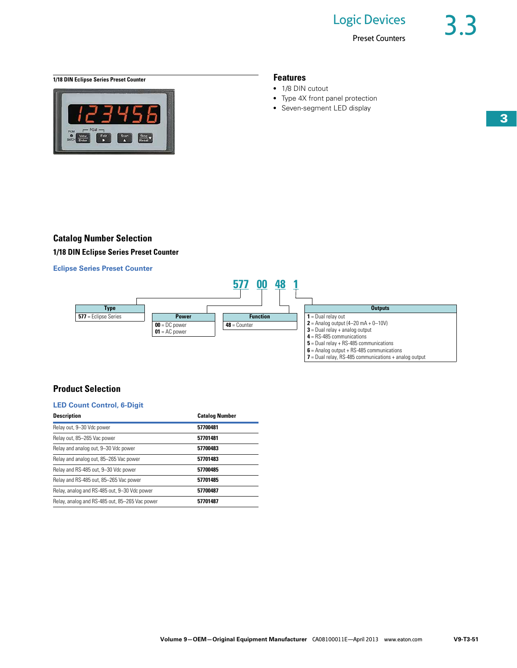Preset Counters

**1/18 DIN Eclipse Series Preset Counter Features** 



- 1/8 DIN cutout
- Type 4X front panel protection
- Seven-segment LED display

## **Catalog Number Selection 1/18 DIN Eclipse Series Preset Counter**

**Eclipse Series Preset Counter** 



**7** = Dual relay, RS-485 communications + analog output

## **Product Selection**

## **LED Count Control, 6-Digit**

| <b>Description</b>                             | <b>Catalog Number</b> |
|------------------------------------------------|-----------------------|
| Relay out, 9-30 Vdc power                      | 57700481              |
| Relay out, 85-265 Vac power                    | 57701481              |
| Relay and analog out, 9-30 Vdc power           | 57700483              |
| Relay and analog out, 85-265 Vac power         | 57701483              |
| Relay and RS-485 out, 9-30 Vdc power           | 57700485              |
| Relay and RS-485 out, 85-265 Vac power         | 57701485              |
| Relay, analog and RS-485 out, 9-30 Vdc power   | 57700487              |
| Relay, analog and RS-485 out, 85-265 Vac power | 57701487              |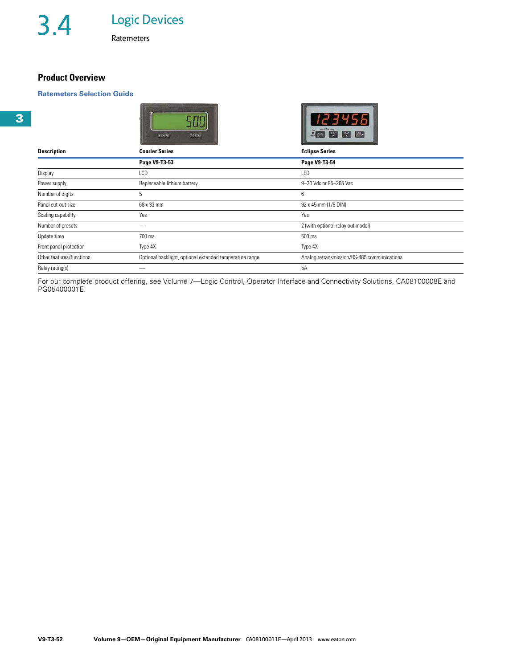## **Product Overview**

## **Ratemeters Selection Guide**

| <b>Description</b>       | TIR<br>RST A<br><b>Courier Series</b>                   | <b>Allen</b><br><b>Eclipse Series</b>       |
|--------------------------|---------------------------------------------------------|---------------------------------------------|
|                          | Page V9-T3-53                                           | Page V9-T3-54                               |
| Display                  | LCD                                                     | LED                                         |
| Power supply             | Replaceable lithium battery                             | 9-30 Vdc or 85-265 Vac                      |
| Number of digits         | 5                                                       | 6                                           |
| Panel cut-out size       | 68 x 33 mm                                              | 92 x 45 mm (1/8 DIN)                        |
| Scaling capability       | Yes                                                     | Yes                                         |
| Number of presets        | _                                                       | 2 (with optional relay out model)           |
| Update time              | 700 ms                                                  | 500 ms                                      |
| Front panel protection   | Type 4X                                                 | Type 4X                                     |
| Other features/functions | Optional backlight, optional extended temperature range | Analog retransmission/RS-485 communications |
| Relay rating(s)          |                                                         | 5A                                          |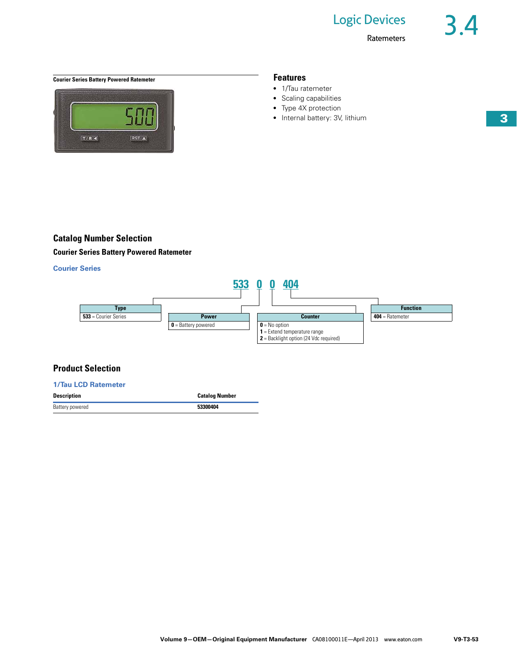

- 1/Tau ratemeter
- Scaling capabilities
- Type 4X protection
- Internal battery: 3V, lithium

## **Catalog Number Selection**

**Courier Series Battery Powered Ratemeter** 

## **Courier Series**



## **Product Selection**

| <b>1/Tau LCD Ratemeter</b> |                       |
|----------------------------|-----------------------|
| <b>Description</b>         | <b>Catalog Number</b> |
| Battery powered            | 53300404              |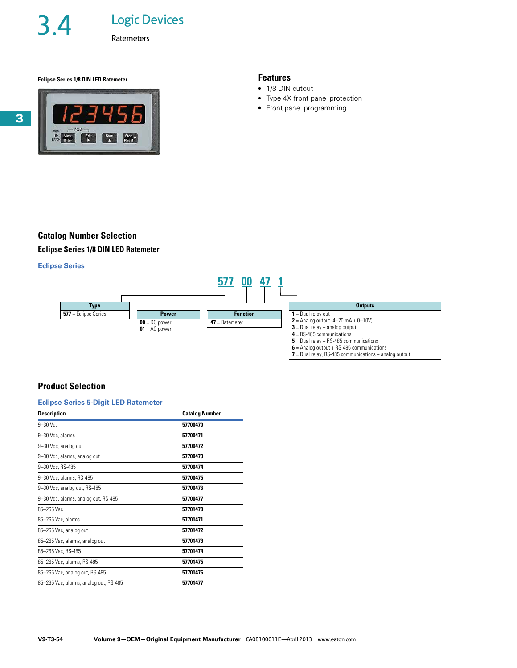# 3.4 Logic Devices

**Ratemeters** 

## **Eclipse Series 1/8 DIN LED Ratemeter Features**



- 1/8 DIN cutout
- Type 4X front panel protection
- Front panel programming

## **Catalog Number Selection Eclipse Series 1/8 DIN LED Ratemeter**

## **Eclipse Series**



## **7** = Dual relay, RS-485 communications + analog output

## **Product Selection**

## **Eclipse Series 5-Digit LED Ratemeter**

| <b>Description</b>                     | <b>Catalog Number</b> |
|----------------------------------------|-----------------------|
| $9 - 30$ Vdc                           | 57700470              |
| 9-30 Vdc, alarms                       | 57700471              |
| 9-30 Vdc, analog out                   | 57700472              |
| 9-30 Vdc, alarms, analog out           | 57700473              |
| 9-30 Vdc, RS-485                       | 57700474              |
| 9-30 Vdc, alarms, RS-485               | 57700475              |
| 9-30 Vdc, analog out, RS-485           | 57700476              |
| 9-30 Vdc, alarms, analog out, RS-485   | 57700477              |
| 85-265 Vac                             | 57701470              |
| 85-265 Vac, alarms                     | 57701471              |
| 85-265 Vac, analog out                 | 57701472              |
| 85-265 Vac, alarms, analog out         | 57701473              |
| 85-265 Vac, RS-485                     | 57701474              |
| 85-265 Vac, alarms, RS-485             | 57701475              |
| 85-265 Vac, analog out, RS-485         | 57701476              |
| 85-265 Vac, alarms, analog out, RS-485 | 57701477              |
|                                        |                       |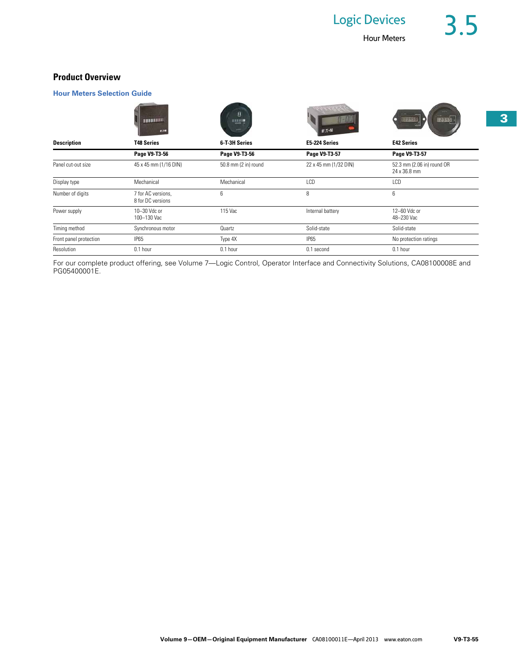## **Product Overview**

## **Hour Meters Selection Guide**

|                        | 18800000<br><b>TAT-N</b>                | Ε<br><b>HAME</b>     | $E.T-M$               | <b>UPAKS</b><br>12345                      |
|------------------------|-----------------------------------------|----------------------|-----------------------|--------------------------------------------|
| <b>Description</b>     | <b>T48 Series</b>                       | 6-T-3H Series        | E5-224 Series         | <b>E42 Series</b>                          |
|                        | Page V9-T3-56                           | Page V9-T3-56        | Page V9-T3-57         | Page V9-T3-57                              |
| Panel cut-out size     | 45 x 45 mm (1/16 DIN)                   | 50.8 mm (2 in) round | 22 x 45 mm (1/32 DIN) | 52.3 mm (2.06 in) round OR<br>24 x 36.8 mm |
| Display type           | Mechanical                              | Mechanical           | LCD                   | LCD                                        |
| Number of digits       | 7 for AC versions,<br>8 for DC versions | 6                    | 8                     | 6                                          |
| Power supply           | 10-30 Vdc or<br>100-130 Vac             | 115 Vac              | Internal battery      | 12-60 Vdc or<br>48-230 Vac                 |
| Timing method          | Synchronous motor                       | Quartz               | Solid-state           | Solid-state                                |
| Front panel protection | <b>IP65</b>                             | Type 4X              | IP65                  | No protection ratings                      |
| Resolution             | 0.1 hour                                | 0.1 hour             | 0.1 second            | 0.1 hour                                   |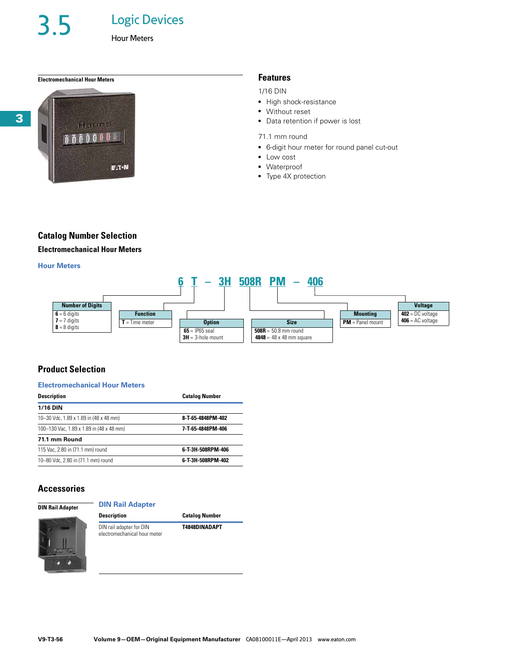3.5 Logic Devices

Hour Meters

## **Electromechanical Hour Meters Features**



1/16 DIN

- High shock-resistance
- Without reset
- Data retention if power is lost
- 71.1 mm round
- 6-digit hour meter for round panel cut-out
- Low cost
- Waterproof
- Type 4X protection

## **Catalog Number Selection**

## **Electromechanical Hour Meters**

## **Hour Meters**



## **Product Selection**

## **Electromechanical Hour Meters**

| <b>Description</b>                       | <b>Catalog Number</b> |  |
|------------------------------------------|-----------------------|--|
| <b>1/16 DIN</b>                          |                       |  |
| 10-30 Vdc, 1.89 x 1.89 in (48 x 48 mm)   | 8-T-65-4848PM-402     |  |
| 100-130 Vac. 1.89 x 1.89 in (48 x 48 mm) | 7-T-65-4848PM-406     |  |
| 71.1 mm Round                            |                       |  |
| 115 Vac, 2.80 in (71.1 mm) round         | 6-T-3H-508RPM-406     |  |
| 10-80 Vdc. 2.80 in (71.1 mm) round       | 6-T-3H-508RPM-402     |  |

## **Accessories**

| <b>DIN Rail Adapter</b> |  |  |
|-------------------------|--|--|
|-------------------------|--|--|

**DIN Rail Adapter**



**Description Catalog Number** DIN rail adapter for DIN electromechanical hour meter **T4848DINADAPT**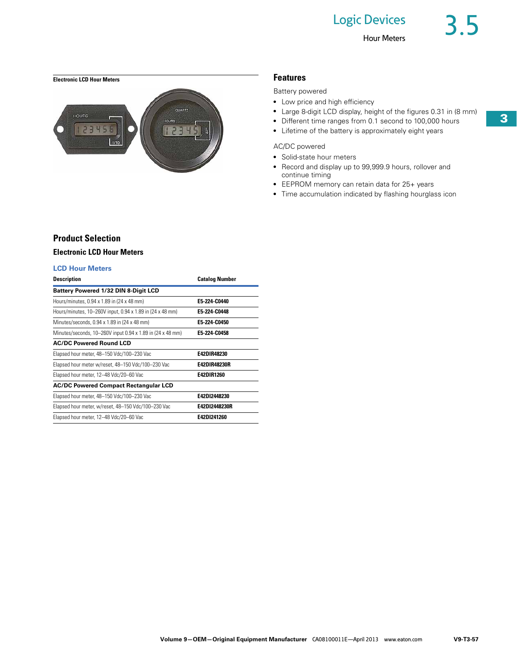## **Electronic LCD Hour Meters Features**



Battery powered

- Low price and high efficiency
- Large 8-digit LCD display, height of the figures 0.31 in (8 mm)
- Different time ranges from 0.1 second to 100,000 hours
- Lifetime of the battery is approximately eight years

## AC/DC powered

- Solid-state hour meters
- Record and display up to 99,999.9 hours, rollover and continue timing
- EEPROM memory can retain data for 25+ years
- Time accumulation indicated by flashing hourglass icon

## **Product Selection**

## **Electronic LCD Hour Meters**

## **LCD Hour Meters**

| <b>Description</b>                                         | <b>Catalog Number</b> |
|------------------------------------------------------------|-----------------------|
| Battery Powered 1/32 DIN 8-Digit LCD                       |                       |
| Hours/minutes, 0.94 x 1.89 in (24 x 48 mm)                 | E5-224-C0440          |
| Hours/minutes, 10–260V input, 0.94 x 1.89 in (24 x 48 mm)  | F5 224 C0448          |
| Minutes/seconds, 0.94 x 1.89 in (24 x 48 mm)               | F5 224 C0450          |
| Minutes/seconds, 10-260V input 0.94 x 1.89 in (24 x 48 mm) | E5-224-C0458          |
| <b>AC/DC Powered Round LCD</b>                             |                       |
| Elapsed hour meter, 48-150 Vdc/100-230 Vac                 | E42DIR48230           |
| Elapsed hour meter w/reset, 48-150 Vdc/100-230 Vac         | E42DIR48230R          |
| Elapsed hour meter, 12-48 Vdc/20-60 Vac                    | E42DIR1260            |
| <b>AC/DC Powered Compact Rectangular LCD</b>               |                       |
| Elapsed hour meter, 48-150 Vdc/100-230 Vac                 | E42D12448230          |
| Elapsed hour meter, w/reset, 48-150 Vdc/100-230 Vac        | E42D12448230R         |
| Elapsed hour meter, 12-48 Vdc/20-60 Vac                    | E42D1241260           |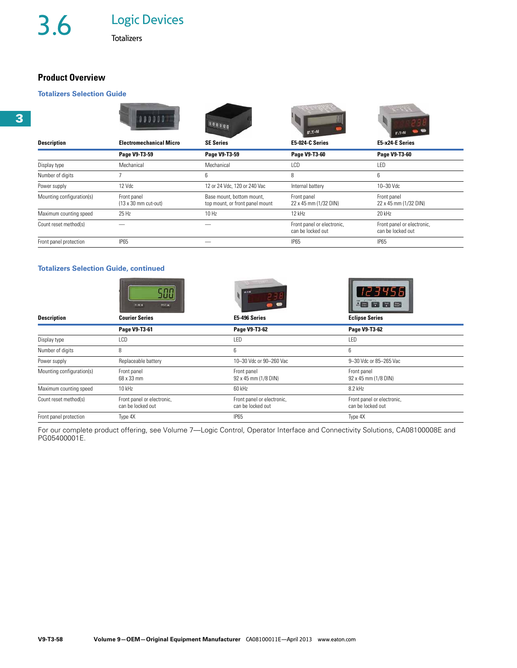## **Product Overview**

## **Totalizers Selection Guide**

| <b>Description</b>        | 000<br><b>Electromechanical Micro</b>              | <b>SE Series</b>                                             | E:T-N<br>E5-024-C Series                        | E5-x24-E Series                                 |
|---------------------------|----------------------------------------------------|--------------------------------------------------------------|-------------------------------------------------|-------------------------------------------------|
|                           | Page V9-T3-59                                      | Page V9-T3-59                                                | Page V9-T3-60                                   | Page V9-T3-60                                   |
| Display type              | Mechanical                                         | Mechanical                                                   | LCD                                             | LED                                             |
| Number of digits          |                                                    | 6                                                            | 8                                               | 6                                               |
| Power supply              | 12 Vdc                                             | 12 or 24 Vdc, 120 or 240 Vac                                 | Internal battery                                | 10-30 Vdc                                       |
| Mounting configuration(s) | Front panel<br>$(13 \times 30 \text{ mm}$ cut-out) | Base mount, bottom mount,<br>top mount, or front panel mount | Front panel<br>22 x 45 mm (1/32 DIN)            | Front panel<br>22 x 45 mm (1/32 DIN)            |
| Maximum counting speed    | 25 Hz                                              | 10 Hz                                                        | 12 kHz                                          | 20 kHz                                          |
| Count reset method(s)     |                                                    |                                                              | Front panel or electronic,<br>can be locked out | Front panel or electronic,<br>can be locked out |
| Front panel protection    | <b>IP65</b>                                        |                                                              | <b>IP65</b>                                     | IP <sub>65</sub>                                |

## **Totalizers Selection Guide, continued**

|                           | TIRSE.<br><b>BSYLA</b>                          | F.1-N                                           | <b>8888</b>                                     |
|---------------------------|-------------------------------------------------|-------------------------------------------------|-------------------------------------------------|
| <b>Description</b>        | <b>Courier Series</b>                           | E5-496 Series                                   | <b>Eclipse Series</b>                           |
|                           | Page V9-T3-61                                   | Page V9-T3-62                                   | Page V9-T3-62                                   |
| Display type              | LCD                                             | LED                                             | LED                                             |
| Number of digits          | 8                                               | 6                                               | 6                                               |
| Power supply              | Replaceable battery                             | 10-30 Vdc or 90-260 Vac                         | 9-30 Vdc or 85-265 Vac                          |
| Mounting configuration(s) | Front panel<br>68 x 33 mm                       | Front panel<br>92 x 45 mm (1/8 DIN)             | Front panel<br>92 x 45 mm (1/8 DIN)             |
| Maximum counting speed    | $10$ kHz                                        | 60 kHz                                          | 8.2 kHz                                         |
| Count reset method(s)     | Front panel or electronic,<br>can be locked out | Front panel or electronic,<br>can be locked out | Front panel or electronic,<br>can be locked out |
| Front panel protection    | Type 4X                                         | <b>IP65</b>                                     | Type 4X                                         |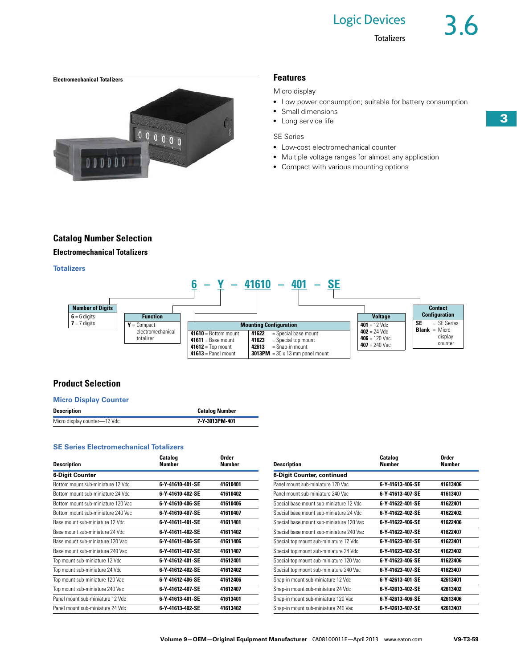

## Micro display

- Low power consumption; suitable for battery consumption
- Small dimensions
- Long service life

## SE Series

- Low-cost electromechanical counter
- Multiple voltage ranges for almost any application
- Compact with various mounting options

## **Catalog Number Selection**

## **Electromechanical Totalizers**

**Totalizers**



## **Product Selection**

## **Micro Display Counter**

| Description                  | <b>Catalog Number</b> |
|------------------------------|-----------------------|
| Micro display counter—12 Vdc | 7-Y-3013PM-401        |

## **SE Series Electromechanical Totalizers**

| <b>Description</b>                 | Catalog<br><b>Number</b> | Order<br>Number | <b>Description</b>                       | Catalog<br>Number | Order<br>Number |
|------------------------------------|--------------------------|-----------------|------------------------------------------|-------------------|-----------------|
| <b>6-Digit Counter</b>             |                          |                 | 6-Digit Counter, continued               |                   |                 |
| Bottom mount sub-miniature 12 Vdc  | 6-Y-41610-401-SE         | 41610401        | Panel mount sub-miniature 120 Vac        | 6-Y-41613-406-SE  | 41613406        |
| Bottom mount sub-miniature 24 Vdc  | 6-Y-41610-402-SE         | 41610402        | Panel mount sub-miniature 240 Vac        | 6-Y-41613-407-SE  | 41613407        |
| Bottom mount sub-miniature 120 Vac | 6-Y-41610-406-SE         | 41610406        | Special base mount sub-miniature 12 Vdc  | 6-Y-41622-401-SE  | 41622401        |
| Bottom mount sub-miniature 240 Vac | 6-Y-41610-407-SE         | 41610407        | Special base mount sub-miniature 24 Vdc  | 6-Y-41622-402-SE  | 41622402        |
| Base mount sub-miniature 12 Vdc    | 6-Y-41611-401-SE         | 41611401        | Special base mount sub-miniature 120 Vac | 6-Y-41622-406-SE  | 41622406        |
| Base mount sub-miniature 24 Vdc    | 6-Y-41611-402-SE         | 41611402        | Special base mount sub-miniature 240 Vac | 6-Y-41622-407-SE  | 41622407        |
| Base mount sub-miniature 120 Vac   | 6-Y-41611-406-SE         | 41611406        | Special top mount sub-miniature 12 Vdc   | 6-Y-41623-401-SE  | 41623401        |
| Base mount sub-miniature 240 Vac   | 6-Y-41611-407-SE         | 41611407        | Special top mount sub-miniature 24 Vdc   | 6-Y-41623-402-SE  | 41623402        |
| Top mount sub-miniature 12 Vdc     | 6-Y-41612-401-SE         | 41612401        | Special top mount sub-miniature 120 Vac  | 6-Y-41623-406-SE  | 41623406        |
| Top mount sub-miniature 24 Vdc     | 6-Y-41612-402-SE         | 41612402        | Special top mount sub-miniature 240 Vac  | 6-Y-41623-407-SE  | 41623407        |
| Top mount sub-miniature 120 Vac    | 6-Y-41612-406-SE         | 41612406        | Snap-in mount sub-miniature 12 Vdc       | 6-Y-42613-401-SE  | 42613401        |
| Top mount sub-miniature 240 Vac    | 6-Y-41612-407-SE         | 41612407        | Snap-in mount sub-miniature 24 Vdc       | 6-Y-42613-402-SE  | 42613402        |
| Panel mount sub-miniature 12 Vdc   | 6-Y-41613-401-SE         | 41613401        | Snap-in mount sub-miniature 120 Vac      | 6-Y-42613-406-SE  | 42613406        |
| Panel mount sub-miniature 24 Vdc   | 6-Y-41613-402-SE         | 41613402        | Snap-in mount sub-miniature 240 Vac      | 6-Y-42613-407-SE  | 42613407        |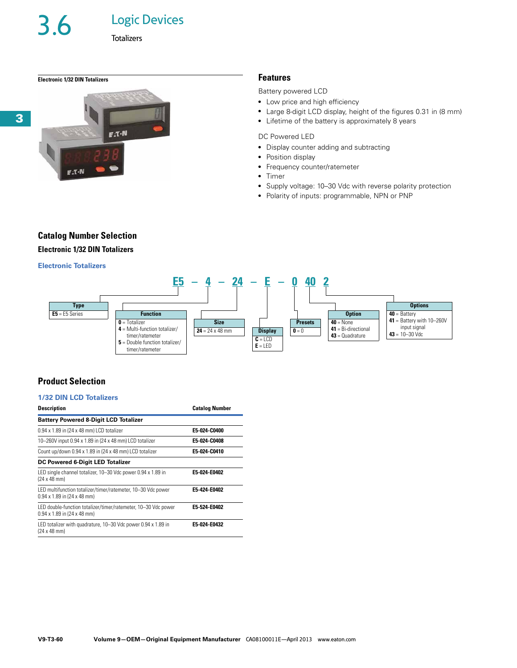3.6 Logic Devices

## **Electronic 1/32 DIN Totalizers Features**



Battery powered LCD

- Low price and high efficiency
- Large 8-digit LCD display, height of the figures 0.31 in (8 mm)
- Lifetime of the battery is approximately 8 years

## DC Powered LED

- Display counter adding and subtracting
- Position display
- Frequency counter/ratemeter
- Timer
- Supply voltage: 10-30 Vdc with reverse polarity protection
- Polarity of inputs: programmable, NPN or PNP

## **Catalog Number Selection Electronic 1/32 DIN Totalizers**

## **Electronic Totalizers**



## **Product Selection**

## **1/32 DIN LCD Totalizers**

| <b>Description</b>                                                                                   | <b>Catalog Number</b> |  |
|------------------------------------------------------------------------------------------------------|-----------------------|--|
| <b>Battery Powered 8-Digit LCD Totalizer</b>                                                         |                       |  |
| 0.94 x 1.89 in (24 x 48 mm) LCD totalizer                                                            | E5-024-C0400          |  |
| 10-260V input 0.94 x 1.89 in (24 x 48 mm) LCD totalizer                                              | E5-024-C0408          |  |
| Count up/down 0.94 x 1.89 in (24 x 48 mm) LCD totalizer                                              | E5-024-C0410          |  |
| DC Powered 6-Digit LED Totalizer                                                                     |                       |  |
| LED single channel totalizer, 10-30 Vdc power 0.94 x 1.89 in<br>$(24 \times 48 \text{ mm})$          | E5-024-E0402          |  |
| LED multifunction totalizer/timer/ratemeter, 10-30 Vdc power<br>$0.94 \times 1.89$ in (24 x 48 mm)   | E5-424-E0402          |  |
| LED double-function totalizer/timer/ratemeter, 10-30 Vdc power<br>$0.94 \times 1.89$ in (24 x 48 mm) | E5-524-E0402          |  |
| LED totalizer with quadrature, 10-30 Vdc power 0.94 x 1.89 in<br>$(24 \times 48 \text{ mm})$         | E5-024-E0432          |  |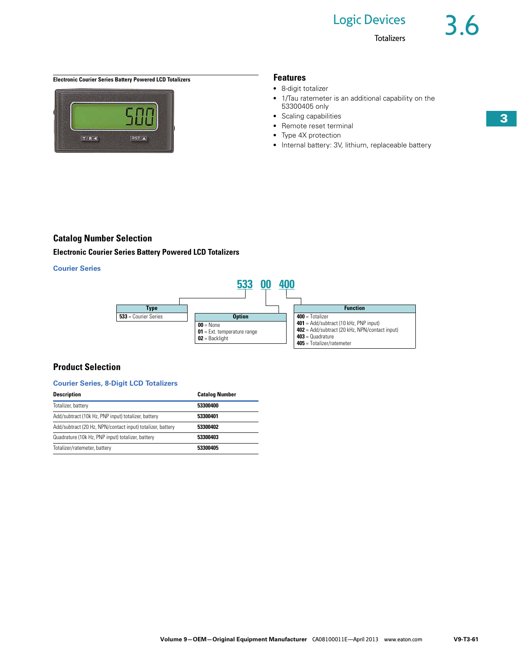**Totalizers** 

## **Electronic Courier Series Battery Powered LCD Totalizers <b>Features** Features



- 8-digit totalizer
- 1/Tau ratemeter is an additional capability on the 53300405 only
- Scaling capabilities
- Remote reset terminal
- Type 4X protection
- Internal battery: 3V, lithium, replaceable battery

## **Catalog Number Selection**

## **Electronic Courier Series Battery Powered LCD Totalizers**

## **Courier Series**



## **Product Selection**

### **Courier Series, 8-Digit LCD Totalizers**

| <b>Description</b>                                         | <b>Catalog Number</b> |
|------------------------------------------------------------|-----------------------|
| Totalizer, battery                                         | 53300400              |
| Add/subtract (10k Hz, PNP input) totalizer, battery        | 53300401              |
| Add/subtract (20 Hz, NPN/contact input) totalizer, battery | 53300402              |
| Quadrature (10k Hz, PNP input) totalizer, battery          | 53300403              |
| Totalizer/ratemeter, battery                               | 53300405              |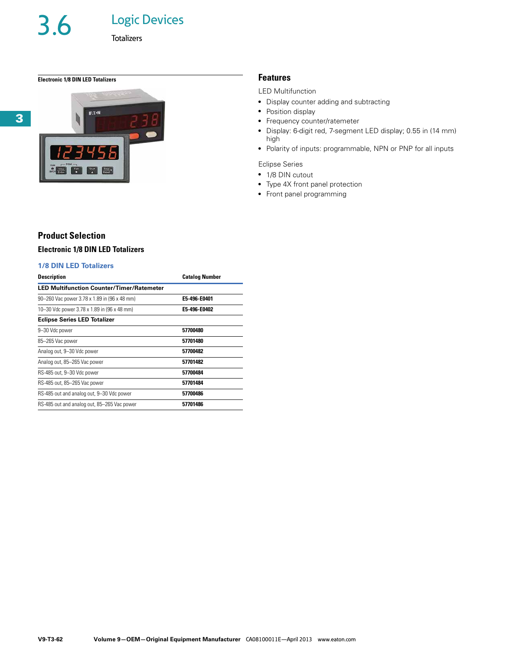**Totalizers** 

## **Electronic 1/8 DIN LED Totalizers Features**



## LED Multifunction

- Display counter adding and subtracting
- Position display
- Frequency counter/ratemeter
- Display: 6-digit red, 7-segment LED display; 0.55 in (14 mm) high
- Polarity of inputs: programmable, NPN or PNP for all inputs

## Eclipse Series

- 1/8 DIN cutout
- Type 4X front panel protection
- Front panel programming

## **Product Selection**

## **Electronic 1/8 DIN LED Totalizers**

## **1/8 DIN LED Totalizers**

| <b>Description</b>                               | <b>Catalog Number</b> |  |
|--------------------------------------------------|-----------------------|--|
| <b>LED Multifunction Counter/Timer/Ratemeter</b> |                       |  |
| 90-260 Vac power 3.78 x 1.89 in (96 x 48 mm)     | E5-496-E0401          |  |
| 10-30 Vdc power 3.78 x 1.89 in (96 x 48 mm)      | E5-496-E0402          |  |
| <b>Eclipse Series LED Totalizer</b>              |                       |  |
| 9-30 Vdc power                                   | 57700480              |  |
| 85-265 Vac power                                 | 57701480              |  |
| Analog out, 9-30 Vdc power                       | 57700482              |  |
| Analog out, 85-265 Vac power                     | 57701482              |  |
| RS-485 out, 9-30 Vdc power                       | 57700484              |  |
| RS-485 out, 85–265 Vac power                     | 57701484              |  |
| RS-485 out and analog out, 9-30 Vdc power        | 57700486              |  |
| RS-485 out and analog out, 85-265 Vac power      | 57701486              |  |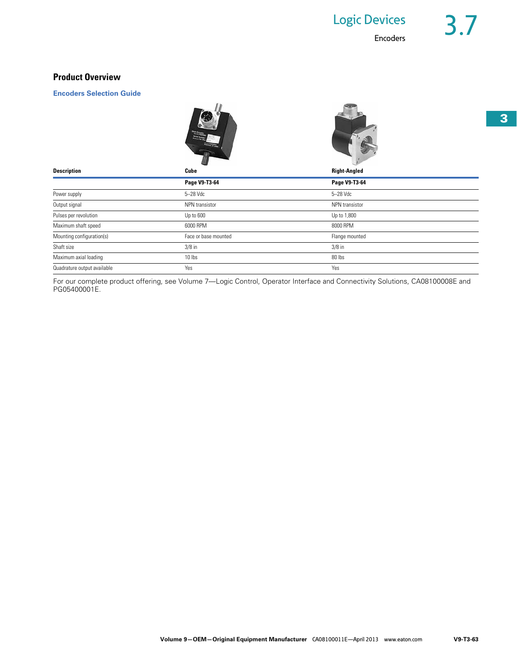## **Product Overview**

**Encoders Selection Guide**



|                             |                      | $\sim$              |  |
|-----------------------------|----------------------|---------------------|--|
| <b>Description</b>          | Cube                 | <b>Right-Angled</b> |  |
|                             | Page V9-T3-64        | Page V9-T3-64       |  |
| Power supply                | 5-28 Vdc             | 5-28 Vdc            |  |
| Output signal               | NPN transistor       | NPN transistor      |  |
| Pulses per revolution       | Up to 600            | Up to 1,800         |  |
| Maximum shaft speed         | 6000 RPM             | 8000 RPM            |  |
| Mounting configuration(s)   | Face or base mounted | Flange mounted      |  |
| Shaft size                  | $3/8$ in             | $3/8$ in            |  |
| Maximum axial loading       | 10 lbs               | 80 lbs              |  |
| Quadrature output available | Yes                  | Yes                 |  |